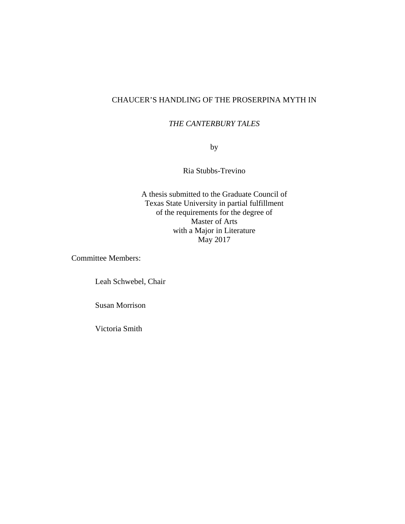# CHAUCER'S HANDLING OF THE PROSERPINA MYTH IN

## *THE CANTERBURY TALES*

by

Ria Stubbs-Trevino

A thesis submitted to the Graduate Council of Texas State University in partial fulfillment of the requirements for the degree of Master of Arts with a Major in Literature May 2017

Committee Members:

Leah Schwebel, Chair

Susan Morrison

Victoria Smith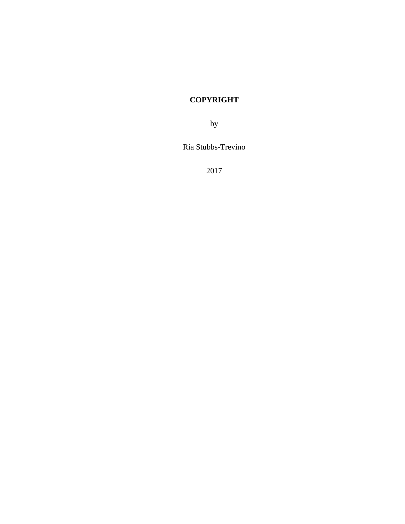# **COPYRIGHT**

by

Ria Stubbs-Trevino

2017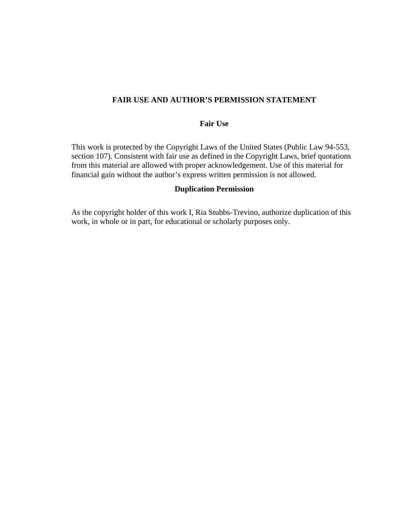## **FAIR USE AND AUTHOR'S PERMISSION STATEMENT**

## **Fair Use**

This work is protected by the Copyright Laws of the United States (Public Law 94-553, section 107). Consistent with fair use as defined in the Copyright Laws, brief quotations from this material are allowed with proper acknowledgement. Use of this material for financial gain without the author's express written permission is not allowed.

### **Duplication Permission**

As the copyright holder of this work I, Ria Stubbs-Trevino, authorize duplication of this work, in whole or in part, for educational or scholarly purposes only.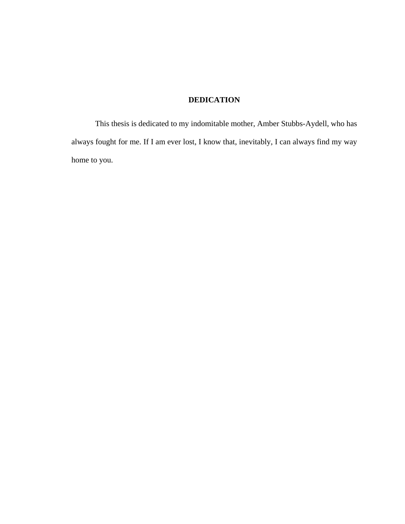# **DEDICATION**

This thesis is dedicated to my indomitable mother, Amber Stubbs-Aydell, who has always fought for me. If I am ever lost, I know that, inevitably, I can always find my way home to you.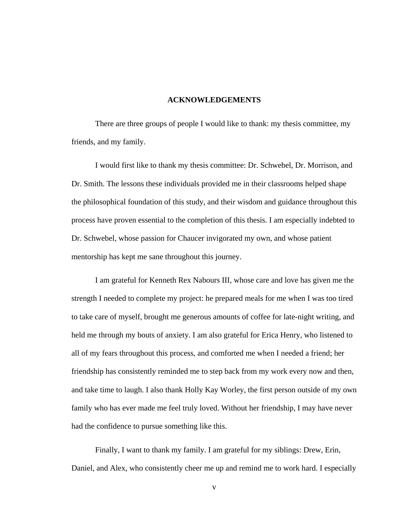#### **ACKNOWLEDGEMENTS**

There are three groups of people I would like to thank: my thesis committee, my friends, and my family.

I would first like to thank my thesis committee: Dr. Schwebel, Dr. Morrison, and Dr. Smith. The lessons these individuals provided me in their classrooms helped shape the philosophical foundation of this study, and their wisdom and guidance throughout this process have proven essential to the completion of this thesis. I am especially indebted to Dr. Schwebel, whose passion for Chaucer invigorated my own, and whose patient mentorship has kept me sane throughout this journey.

I am grateful for Kenneth Rex Nabours III, whose care and love has given me the strength I needed to complete my project: he prepared meals for me when I was too tired to take care of myself, brought me generous amounts of coffee for late-night writing, and held me through my bouts of anxiety. I am also grateful for Erica Henry, who listened to all of my fears throughout this process, and comforted me when I needed a friend; her friendship has consistently reminded me to step back from my work every now and then, and take time to laugh. I also thank Holly Kay Worley, the first person outside of my own family who has ever made me feel truly loved. Without her friendship, I may have never had the confidence to pursue something like this.

Finally, I want to thank my family. I am grateful for my siblings: Drew, Erin, Daniel, and Alex, who consistently cheer me up and remind me to work hard. I especially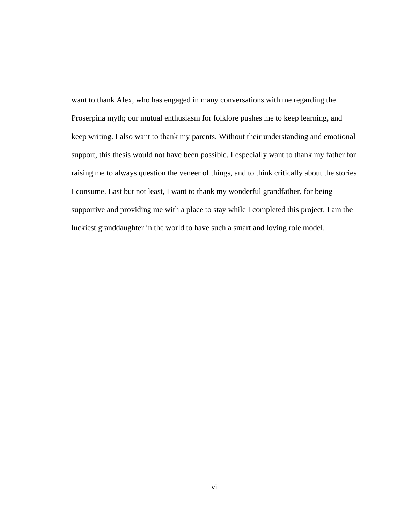want to thank Alex, who has engaged in many conversations with me regarding the Proserpina myth; our mutual enthusiasm for folklore pushes me to keep learning, and keep writing. I also want to thank my parents. Without their understanding and emotional support, this thesis would not have been possible. I especially want to thank my father for raising me to always question the veneer of things, and to think critically about the stories I consume. Last but not least, I want to thank my wonderful grandfather, for being supportive and providing me with a place to stay while I completed this project. I am the luckiest granddaughter in the world to have such a smart and loving role model.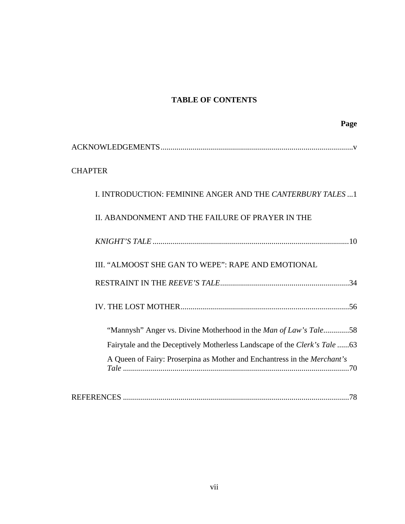# **TABLE OF CONTENTS**

| Page                                                                      |
|---------------------------------------------------------------------------|
|                                                                           |
| <b>CHAPTER</b>                                                            |
| I. INTRODUCTION: FEMININE ANGER AND THE CANTERBURY TALES  1               |
| II. ABANDONMENT AND THE FAILURE OF PRAYER IN THE                          |
|                                                                           |
| III. "ALMOOST SHE GAN TO WEPE": RAPE AND EMOTIONAL                        |
|                                                                           |
|                                                                           |
| "Mannysh" Anger vs. Divine Motherhood in the Man of Law's Tale58          |
| Fairytale and the Deceptively Motherless Landscape of the Clerk's Tale 63 |
| A Queen of Fairy: Proserpina as Mother and Enchantress in the Merchant's  |
| .78                                                                       |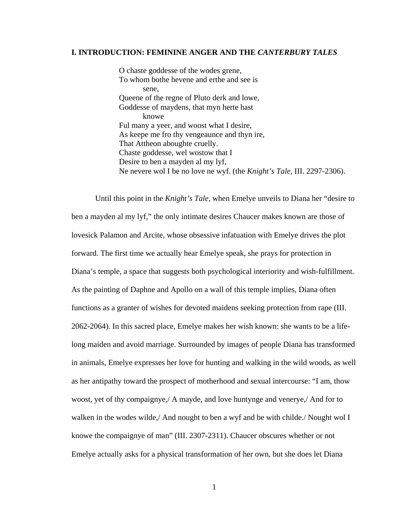#### **I. INTRODUCTION: FEMININE ANGER AND THE** *CANTERBURY TALES*

O chaste goddesse of the wodes grene, To whom bothe hevene and erthe and see is sene, Queene of the regne of Pluto derk and lowe, Goddesse of maydens, that myn herte hast knowe Ful many a yeer, and woost what I desire, As keepe me fro thy vengeaunce and thyn ire, That Attheon aboughte cruelly. Chaste goddesse, wel wostow that I Desire to ben a mayden al my lyf, Ne nevere wol I be no love ne wyf. (the *Knight's Tale,* III. 2297-2306).

Until this point in the *Knight's Tale*, when Emelye unveils to Diana her "desire to ben a mayden al my lyf," the only intimate desires Chaucer makes known are those of lovesick Palamon and Arcite, whose obsessive infatuation with Emelye drives the plot forward. The first time we actually hear Emelye speak, she prays for protection in Diana's temple, a space that suggests both psychological interiority and wish-fulfillment. As the painting of Daphne and Apollo on a wall of this temple implies, Diana often functions as a granter of wishes for devoted maidens seeking protection from rape (III. 2062-2064). In this sacred place, Emelye makes her wish known: she wants to be a lifelong maiden and avoid marriage. Surrounded by images of people Diana has transformed in animals, Emelye expresses her love for hunting and walking in the wild woods, as well as her antipathy toward the prospect of motherhood and sexual intercourse: "I am, thow woost, yet of thy compaignye,/ A mayde, and love huntynge and venerye,/ And for to walken in the wodes wilde, And nought to ben a wyf and be with childe. Nought wol I knowe the compaignye of man" (III. 2307-2311). Chaucer obscures whether or not Emelye actually asks for a physical transformation of her own, but she does let Diana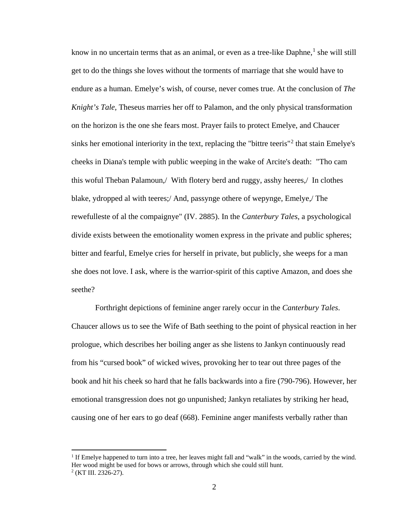know in no uncertain terms that as an animal, or even as a tree-like Daphne, $<sup>1</sup>$  $<sup>1</sup>$  $<sup>1</sup>$  she will still</sup> get to do the things she loves without the torments of marriage that she would have to endure as a human. Emelye's wish, of course, never comes true. At the conclusion of *The Knight's Tale,* Theseus marries her off to Palamon, and the only physical transformation on the horizon is the one she fears most. Prayer fails to protect Emelye, and Chaucer sinks her emotional interiority in the text, replacing the "bittre teeris"<sup>[2](#page-8-1)</sup> that stain Emelye's cheeks in Diana's temple with public weeping in the wake of Arcite's death: "Tho cam this woful Theban Palamoun,/ With flotery berd and ruggy, asshy heeres,/ In clothes blake, ydropped al with teeres;/ And, passynge othere of wepynge, Emelye,/ The rewefulleste of al the compaignye" (IV. 2885). In the *Canterbury Tales*, a psychological divide exists between the emotionality women express in the private and public spheres; bitter and fearful, Emelye cries for herself in private, but publicly, she weeps for a man she does not love. I ask, where is the warrior-spirit of this captive Amazon, and does she seethe?

Forthright depictions of feminine anger rarely occur in the *Canterbury Tales*. Chaucer allows us to see the Wife of Bath seething to the point of physical reaction in her prologue, which describes her boiling anger as she listens to Jankyn continuously read from his "cursed book" of wicked wives, provoking her to tear out three pages of the book and hit his cheek so hard that he falls backwards into a fire (790-796). However, her emotional transgression does not go unpunished; Jankyn retaliates by striking her head, causing one of her ears to go deaf (668). Feminine anger manifests verbally rather than

 $\overline{a}$ 

<span id="page-8-1"></span><span id="page-8-0"></span><sup>1</sup> If Emelye happened to turn into a tree, her leaves might fall and "walk" in the woods, carried by the wind. Her wood might be used for bows or arrows, through which she could still hunt.  $2$  (KT III. 2326-27).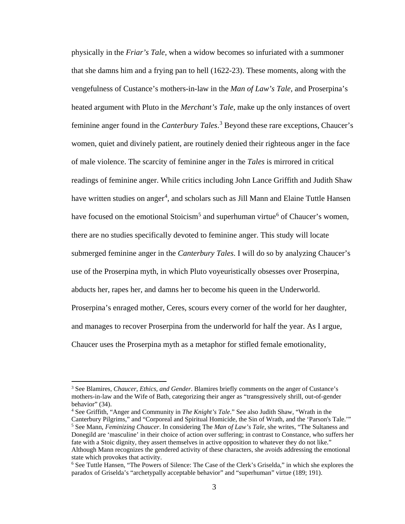physically in the *Friar's Tale*, when a widow becomes so infuriated with a summoner that she damns him and a frying pan to hell (1622-23). These moments, along with the vengefulness of Custance's mothers-in-law in the *Man of Law's Tale,* and Proserpina's heated argument with Pluto in the *Merchant's Tale*, make up the only instances of overt feminine anger found in the *Canterbury Tales*. [3](#page-9-0) Beyond these rare exceptions, Chaucer's women, quiet and divinely patient, are routinely denied their righteous anger in the face of male violence. The scarcity of feminine anger in the *Tales* is mirrored in critical readings of feminine anger. While critics including John Lance Griffith and Judith Shaw have written studies on anger<sup>[4](#page-9-1)</sup>, and scholars such as Jill Mann and Elaine Tuttle Hansen have focused on the emotional Stoicism<sup>[5](#page-9-2)</sup> and superhuman virtue<sup>[6](#page-9-3)</sup> of Chaucer's women, there are no studies specifically devoted to feminine anger. This study will locate submerged feminine anger in the *Canterbury Tales*. I will do so by analyzing Chaucer's use of the Proserpina myth, in which Pluto voyeuristically obsesses over Proserpina, abducts her, rapes her, and damns her to become his queen in the Underworld. Proserpina's enraged mother, Ceres, scours every corner of the world for her daughter, and manages to recover Proserpina from the underworld for half the year. As I argue, Chaucer uses the Proserpina myth as a metaphor for stifled female emotionality,

 $\overline{a}$ 

<span id="page-9-0"></span><sup>3</sup> See Blamires, *Chaucer, Ethics, and Gender*. Blamires briefly comments on the anger of Custance's mothers-in-law and the Wife of Bath, categorizing their anger as "transgressively shrill, out-of-gender behavior" (34).

<span id="page-9-2"></span><span id="page-9-1"></span><sup>4</sup> See Griffith, "Anger and Community in *The Knight's Tale*." See also Judith Shaw, "Wrath in the Canterbury Pilgrims," and "Corporeal and Spiritual Homicide, the Sin of Wrath, and the 'Parson's Tale.'" <sup>5</sup> See Mann, *Feminizing Chaucer*. In considering The *Man of Law's Tale*, she writes, "The Sultaness and Donegild are 'masculine' in their choice of action over suffering; in contrast to Constance, who suffers her fate with a Stoic dignity, they assert themselves in active opposition to whatever they do not like." Although Mann recognizes the gendered activity of these characters, she avoids addressing the emotional state which provokes that activity.

<span id="page-9-3"></span><sup>6</sup> See Tuttle Hansen, "The Powers of Silence: The Case of the Clerk's Griselda," in which she explores the paradox of Griselda's "archetypally acceptable behavior" and "superhuman" virtue (189; 191).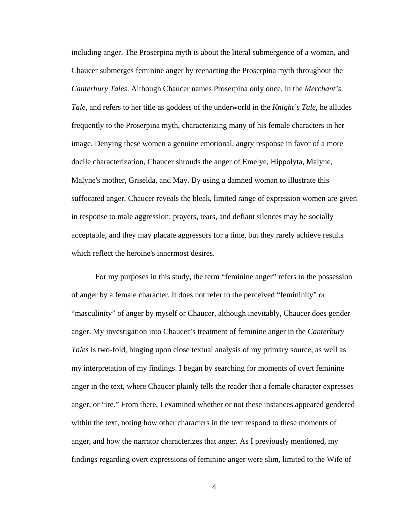including anger. The Proserpina myth is about the literal submergence of a woman, and Chaucer submerges feminine anger by reenacting the Proserpina myth throughout the *Canterbury Tales*. Although Chaucer names Proserpina only once, in the *Merchant's Tale*, and refers to her title as goddess of the underworld in the *Knight's Tale*, he alludes frequently to the Proserpina myth, characterizing many of his female characters in her image. Denying these women a genuine emotional, angry response in favor of a more docile characterization, Chaucer shrouds the anger of Emelye, Hippolyta, Malyne, Malyne's mother, Griselda, and May. By using a damned woman to illustrate this suffocated anger, Chaucer reveals the bleak, limited range of expression women are given in response to male aggression: prayers, tears, and defiant silences may be socially acceptable, and they may placate aggressors for a time, but they rarely achieve results which reflect the heroine's innermost desires.

For my purposes in this study, the term "feminine anger" refers to the possession of anger by a female character. It does not refer to the perceived "femininity" or "masculinity" of anger by myself or Chaucer, although inevitably, Chaucer does gender anger. My investigation into Chaucer's treatment of feminine anger in the *Canterbury Tales* is two-fold, hinging upon close textual analysis of my primary source, as well as my interpretation of my findings. I began by searching for moments of overt feminine anger in the text, where Chaucer plainly tells the reader that a female character expresses anger, or "ire." From there, I examined whether or not these instances appeared gendered within the text, noting how other characters in the text respond to these moments of anger, and how the narrator characterizes that anger. As I previously mentioned, my findings regarding overt expressions of feminine anger were slim, limited to the Wife of

4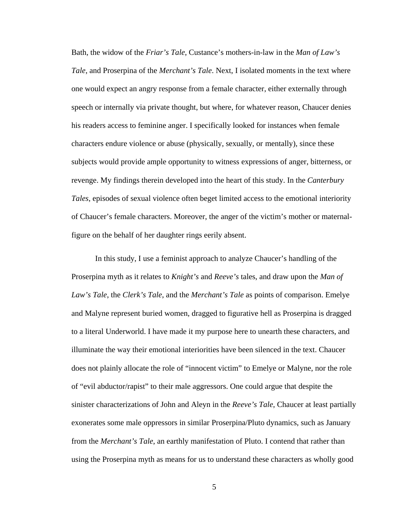Bath, the widow of the *Friar's Tale*, Custance's mothers-in-law in the *Man of Law's Tale*, and Proserpina of the *Merchant's Tale*. Next, I isolated moments in the text where one would expect an angry response from a female character, either externally through speech or internally via private thought, but where, for whatever reason, Chaucer denies his readers access to feminine anger. I specifically looked for instances when female characters endure violence or abuse (physically, sexually, or mentally), since these subjects would provide ample opportunity to witness expressions of anger, bitterness, or revenge. My findings therein developed into the heart of this study. In the *Canterbury Tales*, episodes of sexual violence often beget limited access to the emotional interiority of Chaucer's female characters. Moreover, the anger of the victim's mother or maternalfigure on the behalf of her daughter rings eerily absent.

In this study, I use a feminist approach to analyze Chaucer's handling of the Proserpina myth as it relates to *Knight's* and *Reeve's* tales, and draw upon the *Man of Law's Tale*, the *Clerk's Tale*, and the *Merchant's Tale* as points of comparison. Emelye and Malyne represent buried women, dragged to figurative hell as Proserpina is dragged to a literal Underworld. I have made it my purpose here to unearth these characters, and illuminate the way their emotional interiorities have been silenced in the text. Chaucer does not plainly allocate the role of "innocent victim" to Emelye or Malyne, nor the role of "evil abductor/rapist" to their male aggressors. One could argue that despite the sinister characterizations of John and Aleyn in the *Reeve's Tale*, Chaucer at least partially exonerates some male oppressors in similar Proserpina/Pluto dynamics, such as January from the *Merchant's Tale*, an earthly manifestation of Pluto. I contend that rather than using the Proserpina myth as means for us to understand these characters as wholly good

5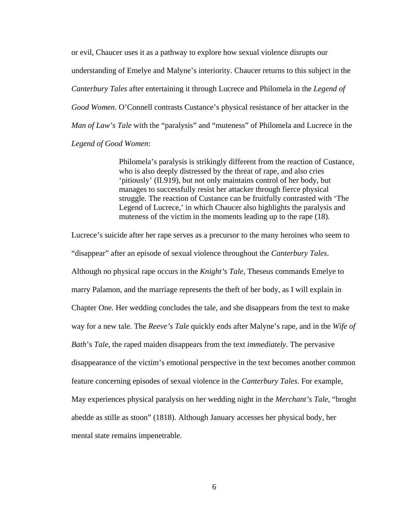or evil, Chaucer uses it as a pathway to explore how sexual violence disrupts our understanding of Emelye and Malyne's interiority. Chaucer returns to this subject in the *Canterbury Tales* after entertaining it through Lucrece and Philomela in the *Legend of Good Women*. O'Connell contrasts Custance's physical resistance of her attacker in the *Man of Law's Tale* with the "paralysis" and "muteness" of Philomela and Lucrece in the *Legend of Good Women*:

> Philomela's paralysis is strikingly different from the reaction of Custance, who is also deeply distressed by the threat of rape, and also cries 'pitiously' (II.919), but not only maintains control of her body, but manages to successfully resist her attacker through fierce physical struggle. The reaction of Custance can be fruitfully contrasted with 'The Legend of Lucrece,' in which Chaucer also highlights the paralysis and muteness of the victim in the moments leading up to the rape (18).

Lucrece's suicide after her rape serves as a precursor to the many heroines who seem to "disappear" after an episode of sexual violence throughout the *Canterbury Tales*. Although no physical rape occurs in the *Knight's Tale*, Theseus commands Emelye to marry Palamon, and the marriage represents the theft of her body, as I will explain in Chapter One. Her wedding concludes the tale, and she disappears from the text to make way for a new tale. The *Reeve's Tale* quickly ends after Malyne's rape, and in the *Wife of Bath*'s *Tale*, the raped maiden disappears from the text *immediately*. The pervasive disappearance of the victim's emotional perspective in the text becomes another common feature concerning episodes of sexual violence in the *Canterbury Tales*. For example, May experiences physical paralysis on her wedding night in the *Merchant's Tale*, "broght abedde as stille as stoon" (1818). Although January accesses her physical body, her mental state remains impenetrable.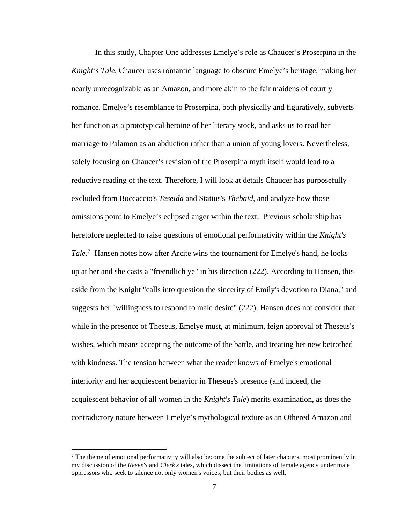In this study, Chapter One addresses Emelye's role as Chaucer's Proserpina in the *Knight's Tale*. Chaucer uses romantic language to obscure Emelye's heritage, making her nearly unrecognizable as an Amazon, and more akin to the fair maidens of courtly romance. Emelye's resemblance to Proserpina, both physically and figuratively, subverts her function as a prototypical heroine of her literary stock, and asks us to read her marriage to Palamon as an abduction rather than a union of young lovers. Nevertheless, solely focusing on Chaucer's revision of the Proserpina myth itself would lead to a reductive reading of the text. Therefore, I will look at details Chaucer has purposefully excluded from Boccaccio's *Teseida* and Statius's *Thebaid*, and analyze how those omissions point to Emelye's eclipsed anger within the text. Previous scholarship has heretofore neglected to raise questions of emotional performativity within the *Knight's Tale.*[7](#page-13-0) Hansen notes how after Arcite wins the tournament for Emelye's hand, he looks up at her and she casts a "freendlich ye" in his direction (222). According to Hansen, this aside from the Knight "calls into question the sincerity of Emily's devotion to Diana," and suggests her "willingness to respond to male desire" (222). Hansen does not consider that while in the presence of Theseus, Emelye must, at minimum, feign approval of Theseus's wishes, which means accepting the outcome of the battle, and treating her new betrothed with kindness. The tension between what the reader knows of Emelye's emotional interiority and her acquiescent behavior in Theseus's presence (and indeed, the acquiescent behavior of all women in the *Knight's Tale*) merits examination, as does the contradictory nature between Emelye's mythological texture as an Othered Amazon and

<span id="page-13-0"></span><sup>&</sup>lt;sup>7</sup> The theme of emotional performativity will also become the subject of later chapters, most prominently in my discussion of the *Reeve's* and *Clerk's* tales, which dissect the limitations of female agency under male oppressors who seek to silence not only women's voices, but their bodies as well.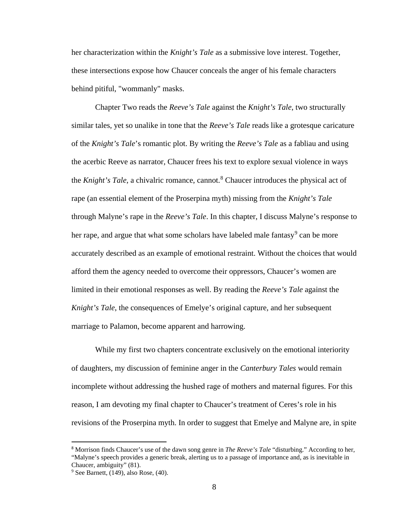her characterization within the *Knight's Tale* as a submissive love interest. Together, these intersections expose how Chaucer conceals the anger of his female characters behind pitiful, "wommanly" masks.

Chapter Two reads the *Reeve's Tale* against the *Knight's Tale*, two structurally similar tales, yet so unalike in tone that the *Reeve's Tale* reads like a grotesque caricature of the *Knight's Tale*'s romantic plot. By writing the *Reeve's Tale* as a fabliau and using the acerbic Reeve as narrator, Chaucer frees his text to explore sexual violence in ways the *Knight's Tale*, a chivalric romance, cannot.<sup>[8](#page-14-0)</sup> Chaucer introduces the physical act of rape (an essential element of the Proserpina myth) missing from the *Knight's Tale* through Malyne's rape in the *Reeve's Tale*. In this chapter, I discuss Malyne's response to her rape, and argue that what some scholars have labeled male fantasy<sup>[9](#page-14-1)</sup> can be more accurately described as an example of emotional restraint. Without the choices that would afford them the agency needed to overcome their oppressors, Chaucer's women are limited in their emotional responses as well. By reading the *Reeve's Tale* against the *Knight's Tale*, the consequences of Emelye's original capture, and her subsequent marriage to Palamon, become apparent and harrowing.

While my first two chapters concentrate exclusively on the emotional interiority of daughters, my discussion of feminine anger in the *Canterbury Tales* would remain incomplete without addressing the hushed rage of mothers and maternal figures. For this reason, I am devoting my final chapter to Chaucer's treatment of Ceres's role in his revisions of the Proserpina myth. In order to suggest that Emelye and Malyne are, in spite

<span id="page-14-0"></span> <sup>8</sup> Morrison finds Chaucer's use of the dawn song genre in *The Reeve's Tale* "disturbing." According to her, "Malyne's speech provides a generic break, alerting us to a passage of importance and, as is inevitable in Chaucer, ambiguity" (81).

<span id="page-14-1"></span> $9$  See Barnett, (149), also Rose, (40).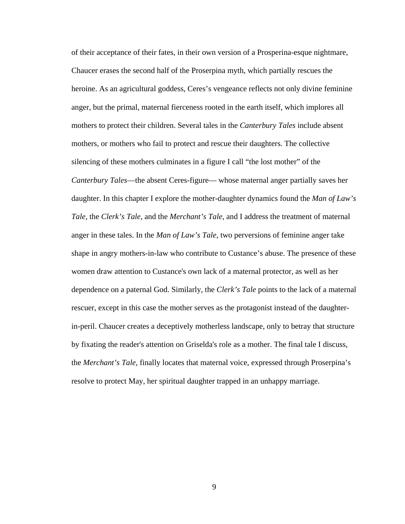of their acceptance of their fates, in their own version of a Prosperina-esque nightmare, Chaucer erases the second half of the Proserpina myth, which partially rescues the heroine. As an agricultural goddess, Ceres's vengeance reflects not only divine feminine anger, but the primal, maternal fierceness rooted in the earth itself, which implores all mothers to protect their children. Several tales in the *Canterbury Tales* include absent mothers, or mothers who fail to protect and rescue their daughters. The collective silencing of these mothers culminates in a figure I call "the lost mother" of the *Canterbury Tales*—the absent Ceres-figure— whose maternal anger partially saves her daughter. In this chapter I explore the mother-daughter dynamics found the *Man of Law's Tale*, the *Clerk's Tale*, and the *Merchant's Tale*, and I address the treatment of maternal anger in these tales. In the *Man of Law's Tale*, two perversions of feminine anger take shape in angry mothers-in-law who contribute to Custance's abuse. The presence of these women draw attention to Custance's own lack of a maternal protector, as well as her dependence on a paternal God. Similarly, the *Clerk's Tale* points to the lack of a maternal rescuer, except in this case the mother serves as the protagonist instead of the daughterin-peril. Chaucer creates a deceptively motherless landscape, only to betray that structure by fixating the reader's attention on Griselda's role as a mother. The final tale I discuss, the *Merchant's Tale*, finally locates that maternal voice, expressed through Proserpina's resolve to protect May, her spiritual daughter trapped in an unhappy marriage.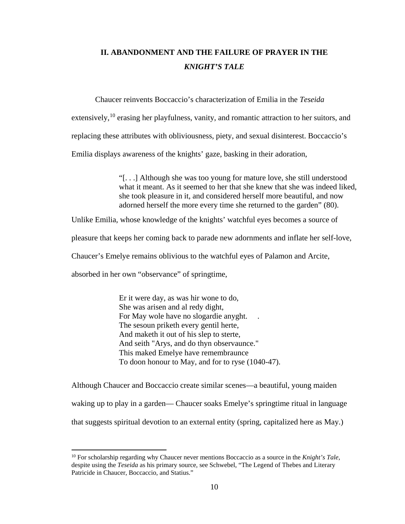# **II. ABANDONMENT AND THE FAILURE OF PRAYER IN THE**  *KNIGHT'S TALE*

Chaucer reinvents Boccaccio's characterization of Emilia in the *Teseida*

extensively,<sup>[10](#page-16-0)</sup> erasing her playfulness, vanity, and romantic attraction to her suitors, and

replacing these attributes with obliviousness, piety, and sexual disinterest. Boccaccio's

Emilia displays awareness of the knights' gaze, basking in their adoration,

"[. . .] Although she was too young for mature love, she still understood what it meant. As it seemed to her that she knew that she was indeed liked, she took pleasure in it, and considered herself more beautiful, and now adorned herself the more every time she returned to the garden" (80).

Unlike Emilia, whose knowledge of the knights' watchful eyes becomes a source of

pleasure that keeps her coming back to parade new adornments and inflate her self-love,

Chaucer's Emelye remains oblivious to the watchful eyes of Palamon and Arcite,

absorbed in her own "observance" of springtime,

 $\overline{a}$ 

Er it were day, as was hir wone to do, She was arisen and al redy dight, For May wole have no slogardie anyght. . The sesoun priketh every gentil herte, And maketh it out of his slep to sterte, And seith "Arys, and do thyn observaunce." This maked Emelye have remembraunce To doon honour to May, and for to ryse (1040-47).

Although Chaucer and Boccaccio create similar scenes—a beautiful, young maiden waking up to play in a garden— Chaucer soaks Emelye's springtime ritual in language that suggests spiritual devotion to an external entity (spring, capitalized here as May.)

<span id="page-16-0"></span><sup>10</sup> For scholarship regarding why Chaucer never mentions Boccaccio as a source in the *Knight's Tale*, despite using the *Teseida* as his primary source, see Schwebel, "The Legend of Thebes and Literary Patricide in Chaucer, Boccaccio, and Statius."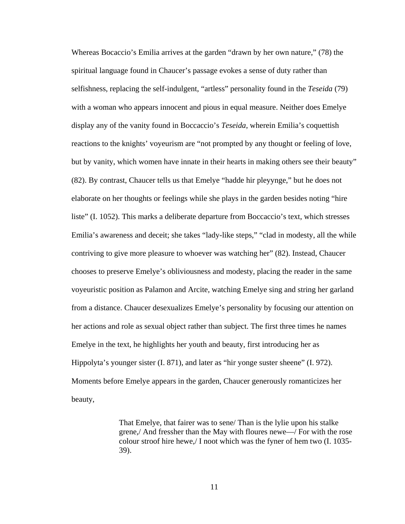Whereas Bocaccio's Emilia arrives at the garden "drawn by her own nature," (78) the spiritual language found in Chaucer's passage evokes a sense of duty rather than selfishness, replacing the self-indulgent, "artless" personality found in the *Teseida* (79) with a woman who appears innocent and pious in equal measure. Neither does Emelye display any of the vanity found in Boccaccio's *Teseida*, wherein Emilia's coquettish reactions to the knights' voyeurism are "not prompted by any thought or feeling of love, but by vanity, which women have innate in their hearts in making others see their beauty" (82). By contrast, Chaucer tells us that Emelye "hadde hir pleyynge," but he does not elaborate on her thoughts or feelings while she plays in the garden besides noting "hire liste" (I. 1052). This marks a deliberate departure from Boccaccio's text, which stresses Emilia's awareness and deceit; she takes "lady-like steps," "clad in modesty, all the while contriving to give more pleasure to whoever was watching her" (82). Instead, Chaucer chooses to preserve Emelye's obliviousness and modesty, placing the reader in the same voyeuristic position as Palamon and Arcite, watching Emelye sing and string her garland from a distance. Chaucer desexualizes Emelye's personality by focusing our attention on her actions and role as sexual object rather than subject. The first three times he names Emelye in the text, he highlights her youth and beauty, first introducing her as Hippolyta's younger sister (I. 871), and later as "hir yonge suster sheene" (I. 972). Moments before Emelye appears in the garden, Chaucer generously romanticizes her beauty,

> That Emelye, that fairer was to sene/ Than is the lylie upon his stalke grene,/ And fressher than the May with floures newe—/ For with the rose colour stroof hire hewe,/ I noot which was the fyner of hem two (I. 1035- 39).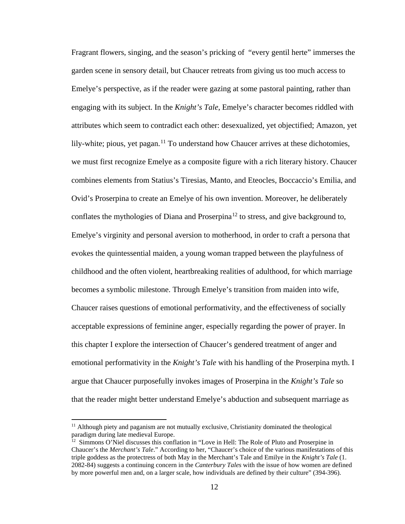Fragrant flowers, singing, and the season's pricking of "every gentil herte" immerses the garden scene in sensory detail, but Chaucer retreats from giving us too much access to Emelye's perspective, as if the reader were gazing at some pastoral painting, rather than engaging with its subject. In the *Knight's Tale*, Emelye's character becomes riddled with attributes which seem to contradict each other: desexualized, yet objectified; Amazon, yet lily-white; pious, yet pagan.<sup>[11](#page-18-0)</sup> To understand how Chaucer arrives at these dichotomies, we must first recognize Emelye as a composite figure with a rich literary history. Chaucer combines elements from Statius's Tiresias, Manto, and Eteocles, Boccaccio's Emilia, and Ovid's Proserpina to create an Emelye of his own invention. Moreover, he deliberately conflates the mythologies of Diana and Proserpina<sup>[12](#page-18-1)</sup> to stress, and give background to, Emelye's virginity and personal aversion to motherhood, in order to craft a persona that evokes the quintessential maiden, a young woman trapped between the playfulness of childhood and the often violent, heartbreaking realities of adulthood, for which marriage becomes a symbolic milestone. Through Emelye's transition from maiden into wife, Chaucer raises questions of emotional performativity, and the effectiveness of socially acceptable expressions of feminine anger, especially regarding the power of prayer. In this chapter I explore the intersection of Chaucer's gendered treatment of anger and emotional performativity in the *Knight's Tale* with his handling of the Proserpina myth. I argue that Chaucer purposefully invokes images of Proserpina in the *Knight's Tale* so that the reader might better understand Emelye's abduction and subsequent marriage as

l

<span id="page-18-0"></span> $<sup>11</sup>$  Although piety and paganism are not mutually exclusive, Christianity dominated the theological</sup> paradigm during late medieval Europe.

<span id="page-18-1"></span><sup>&</sup>lt;sup>12</sup> Simmons O'Niel discusses this conflation in "Love in Hell: The Role of Pluto and Proserpine in Chaucer's the *Merchant's Tale*." According to her, "Chaucer's choice of the various manifestations of this triple goddess as the protectress of both May in the Merchant's Tale and Emilye in the *Knight's Tale* (1. 2082-84) suggests a continuing concern in the *Canterbury Tales* with the issue of how women are defined by more powerful men and, on a larger scale, how individuals are defined by their culture" (394-396).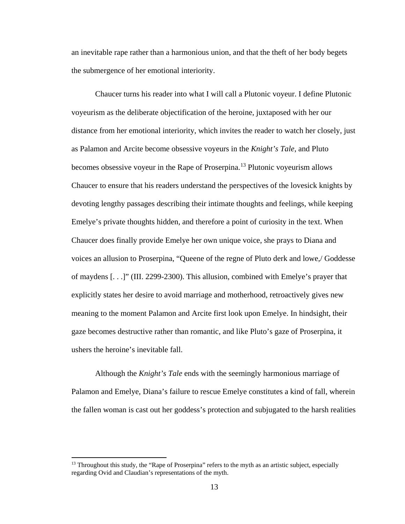an inevitable rape rather than a harmonious union, and that the theft of her body begets the submergence of her emotional interiority.

Chaucer turns his reader into what I will call a Plutonic voyeur. I define Plutonic voyeurism as the deliberate objectification of the heroine, juxtaposed with her our distance from her emotional interiority, which invites the reader to watch her closely, just as Palamon and Arcite become obsessive voyeurs in the *Knight's Tale*, and Pluto becomes obsessive voyeur in the Rape of Proserpina.<sup>[13](#page-19-0)</sup> Plutonic voyeurism allows Chaucer to ensure that his readers understand the perspectives of the lovesick knights by devoting lengthy passages describing their intimate thoughts and feelings, while keeping Emelye's private thoughts hidden, and therefore a point of curiosity in the text. When Chaucer does finally provide Emelye her own unique voice, she prays to Diana and voices an allusion to Proserpina, "Queene of the regne of Pluto derk and lowe,/ Goddesse of maydens [. . .]" (III. 2299-2300). This allusion, combined with Emelye's prayer that explicitly states her desire to avoid marriage and motherhood, retroactively gives new meaning to the moment Palamon and Arcite first look upon Emelye. In hindsight, their gaze becomes destructive rather than romantic, and like Pluto's gaze of Proserpina, it ushers the heroine's inevitable fall.

Although the *Knight's Tale* ends with the seemingly harmonious marriage of Palamon and Emelye, Diana's failure to rescue Emelye constitutes a kind of fall, wherein the fallen woman is cast out her goddess's protection and subjugated to the harsh realities

 $\overline{\phantom{a}}$ 

<span id="page-19-0"></span><sup>&</sup>lt;sup>13</sup> Throughout this study, the "Rape of Proserpina" refers to the myth as an artistic subject, especially regarding Ovid and Claudian's representations of the myth.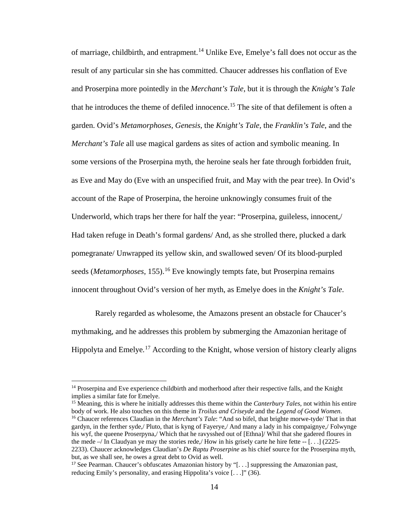of marriage, childbirth, and entrapment.<sup>[14](#page-20-0)</sup> Unlike Eve, Emelye's fall does not occur as the result of any particular sin she has committed. Chaucer addresses his conflation of Eve and Proserpina more pointedly in the *Merchant's Tale*, but it is through the *Knight's Tale* that he introduces the theme of defiled innocence. [15](#page-20-1) The site of that defilement is often a garden. Ovid's *Metamorphoses*, *Genesis*, the *Knight's Tale*, the *Franklin's Tale*, and the *Merchant's Tale* all use magical gardens as sites of action and symbolic meaning. In some versions of the Proserpina myth, the heroine seals her fate through forbidden fruit, as Eve and May do (Eve with an unspecified fruit, and May with the pear tree). In Ovid's account of the Rape of Proserpina, the heroine unknowingly consumes fruit of the Underworld, which traps her there for half the year: "Proserpina, guileless, innocent,/ Had taken refuge in Death's formal gardens/ And, as she strolled there, plucked a dark pomegranate/ Unwrapped its yellow skin, and swallowed seven/ Of its blood-purpled seeds (*Metamorphoses*, 155).<sup>[16](#page-20-2)</sup> Eve knowingly tempts fate, but Proserpina remains innocent throughout Ovid's version of her myth, as Emelye does in the *Knight's Tale*.

Rarely regarded as wholesome, the Amazons present an obstacle for Chaucer's mythmaking, and he addresses this problem by submerging the Amazonian heritage of Hippolyta and Emelye*.* [17](#page-20-3) According to the Knight, whose version of history clearly aligns

l

<span id="page-20-2"></span><span id="page-20-1"></span><sup>15</sup> Meaning, this is where he initially addresses this theme within the *Canterbury Tales*, not within his entire body of work. He also touches on this theme in *Troilus and Criseyde* and the *Legend of Good Women*. <sup>16</sup> Chaucer references Claudian in the *Merchant's Tale*: "And so bifel, that brighte morwe-tyde/ That in that gardyn, in the ferther syde,/ Pluto, that is kyng of Fayerye,/ And many a lady in his compaignye,/ Folwynge his wyf, the queene Proserpyna,/ Which that he ravysshed out of [Ethna]/ Whil that she gadered floures in the mede  $-$ / In Claudyan ye may the stories rede,/ How in his grisely carte he hire fette  $-$  [...] (2225-2233). Chaucer acknowledges Claudian's *De Raptu Proserpine* as his chief source for the Proserpina myth, but, as we shall see, he owes a great debt to Ovid as well.

<span id="page-20-0"></span><sup>&</sup>lt;sup>14</sup> Proserpina and Eve experience childbirth and motherhood after their respective falls, and the Knight implies a similar fate for Emelye.

<span id="page-20-3"></span><sup>&</sup>lt;sup>17</sup> See Pearman. Chaucer's obfuscates Amazonian history by "[...] suppressing the Amazonian past, reducing Emily's personality, and erasing Hippolita's voice [. . .]" (36).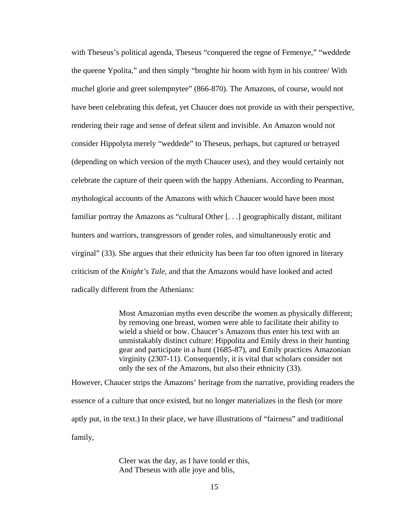with Theseus's political agenda, Theseus "conquered the regne of Femenye," "weddede the queene Ypolita," and then simply "broghte hir hoom with hym in his contree/ With muchel glorie and greet solempnytee" (866-870). The Amazons, of course, would not have been celebrating this defeat, yet Chaucer does not provide us with their perspective, rendering their rage and sense of defeat silent and invisible. An Amazon would not consider Hippolyta merely "weddede" to Theseus, perhaps, but captured or betrayed (depending on which version of the myth Chaucer uses), and they would certainly not celebrate the capture of their queen with the happy Athenians. According to Pearman, mythological accounts of the Amazons with which Chaucer would have been most familiar portray the Amazons as "cultural Other [. . .] geographically distant, militant hunters and warriors, transgressors of gender roles, and simultaneously erotic and virginal" (33). She argues that their ethnicity has been far too often ignored in literary criticism of the *Knight's Tale*, and that the Amazons would have looked and acted radically different from the Athenians:

> Most Amazonian myths even describe the women as physically different; by removing one breast, women were able to facilitate their ability to wield a shield or bow. Chaucer's Amazons thus enter his text with an unmistakably distinct culture: Hippolita and Emily dress in their hunting gear and participate in a hunt (1685-87), and Emily practices Amazonian virginity (2307-11). Consequently, it is vital that scholars consider not only the sex of the Amazons, but also their ethnicity (33).

However, Chaucer strips the Amazons' heritage from the narrative, providing readers the essence of a culture that once existed, but no longer materializes in the flesh (or more aptly put, in the text.) In their place, we have illustrations of "fairness" and traditional family,

> Cleer was the day, as I have toold er this, And Theseus with alle joye and blis,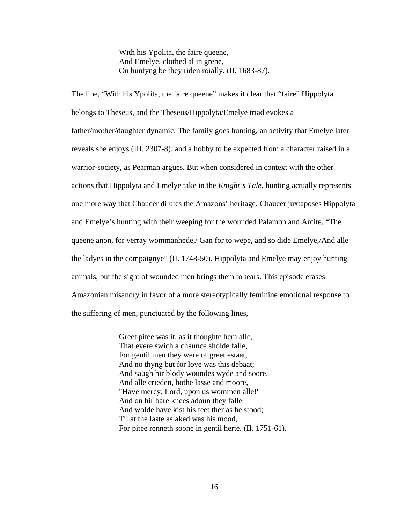With his Ypolita, the faire queene, And Emelye, clothed al in grene, On huntyng be they riden roially. (II. 1683-87).

The line, "With his Ypolita, the faire queene" makes it clear that "faire" Hippolyta belongs to Theseus, and the Theseus/Hippolyta/Emelye triad evokes a father/mother/daughter dynamic. The family goes hunting, an activity that Emelye later reveals she enjoys (III. 2307-8), and a hobby to be expected from a character raised in a warrior-society, as Pearman argues. But when considered in context with the other actions that Hippolyta and Emelye take in the *Knight's Tale*, hunting actually represents one more way that Chaucer dilutes the Amazons' heritage. Chaucer juxtaposes Hippolyta and Emelye's hunting with their weeping for the wounded Palamon and Arcite, "The queene anon, for verray wommanhede,/ Gan for to wepe, and so dide Emelye,/And alle the ladyes in the compaignye" (II. 1748-50). Hippolyta and Emelye may enjoy hunting animals, but the sight of wounded men brings them to tears. This episode erases Amazonian misandry in favor of a more stereotypically feminine emotional response to the suffering of men, punctuated by the following lines,

> Greet pitee was it, as it thoughte hem alle, That evere swich a chaunce sholde falle, For gentil men they were of greet estaat, And no thyng but for love was this debaat; And saugh hir blody woundes wyde and soore, And alle crieden, bothe lasse and moore, "Have mercy, Lord, upon us wommen alle!" And on hir bare knees adoun they falle And wolde have kist his feet ther as he stood; Til at the laste aslaked was his mood, For pitee renneth soone in gentil herte. (II. 1751-61).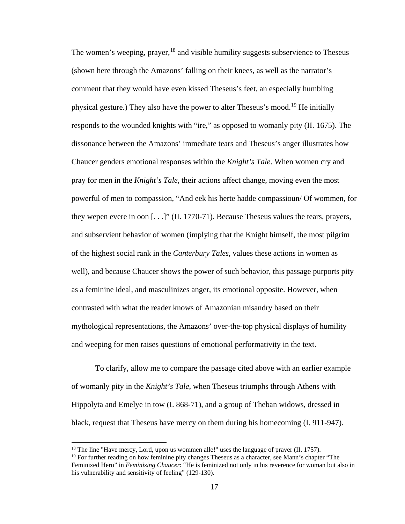The women's weeping, prayer,  $18$  and visible humility suggests subservience to Theseus (shown here through the Amazons' falling on their knees, as well as the narrator's comment that they would have even kissed Theseus's feet, an especially humbling physical gesture.) They also have the power to alter Theseus's mood.[19](#page-23-1) He initially responds to the wounded knights with "ire," as opposed to womanly pity (II. 1675). The dissonance between the Amazons' immediate tears and Theseus's anger illustrates how Chaucer genders emotional responses within the *Knight's Tale*. When women cry and pray for men in the *Knight's Tale*, their actions affect change, moving even the most powerful of men to compassion, "And eek his herte hadde compassioun/ Of wommen, for they wepen evere in oon [. . .]" (II. 1770-71). Because Theseus values the tears, prayers, and subservient behavior of women (implying that the Knight himself, the most pilgrim of the highest social rank in the *Canterbury Tales*, values these actions in women as well), and because Chaucer shows the power of such behavior, this passage purports pity as a feminine ideal, and masculinizes anger, its emotional opposite. However, when contrasted with what the reader knows of Amazonian misandry based on their mythological representations, the Amazons' over-the-top physical displays of humility and weeping for men raises questions of emotional performativity in the text.

To clarify, allow me to compare the passage cited above with an earlier example of womanly pity in the *Knight's Tale*, when Theseus triumphs through Athens with Hippolyta and Emelye in tow (I. 868-71), and a group of Theban widows, dressed in black, request that Theseus have mercy on them during his homecoming (I. 911-947).

l

 $18$  The line "Have mercy, Lord, upon us wommen alle!" uses the language of prayer (II. 1757).

<span id="page-23-1"></span><span id="page-23-0"></span> $19$  For further reading on how feminine pity changes Theseus as a character, see Mann's chapter "The Feminized Hero" in *Feminizing Chaucer*: "He is feminized not only in his reverence for woman but also in his vulnerability and sensitivity of feeling" (129-130).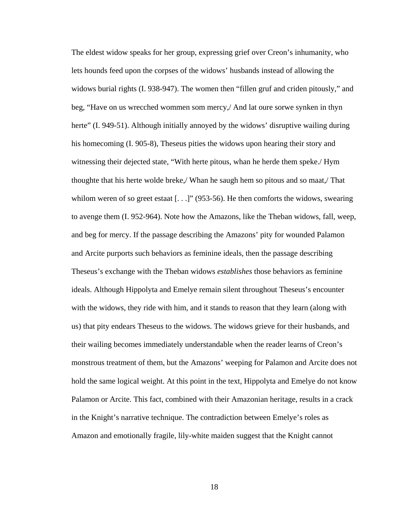The eldest widow speaks for her group, expressing grief over Creon's inhumanity, who lets hounds feed upon the corpses of the widows' husbands instead of allowing the widows burial rights (I. 938-947). The women then "fillen gruf and criden pitously," and beg, "Have on us wrecched wommen som mercy,/ And lat oure sorwe synken in thyn herte" (I. 949-51). Although initially annoyed by the widows' disruptive wailing during his homecoming (I. 905-8), Theseus pities the widows upon hearing their story and witnessing their dejected state, "With herte pitous, whan he herde them speke./ Hym thoughte that his herte wolde breke,/ Whan he saugh hem so pitous and so maat,/ That whilom weren of so greet estaat [...]" (953-56). He then comforts the widows, swearing to avenge them (I. 952-964). Note how the Amazons, like the Theban widows, fall, weep, and beg for mercy. If the passage describing the Amazons' pity for wounded Palamon and Arcite purports such behaviors as feminine ideals, then the passage describing Theseus's exchange with the Theban widows *establishes* those behaviors as feminine ideals. Although Hippolyta and Emelye remain silent throughout Theseus's encounter with the widows, they ride with him, and it stands to reason that they learn (along with us) that pity endears Theseus to the widows. The widows grieve for their husbands, and their wailing becomes immediately understandable when the reader learns of Creon's monstrous treatment of them, but the Amazons' weeping for Palamon and Arcite does not hold the same logical weight. At this point in the text, Hippolyta and Emelye do not know Palamon or Arcite. This fact, combined with their Amazonian heritage, results in a crack in the Knight's narrative technique. The contradiction between Emelye's roles as Amazon and emotionally fragile, lily-white maiden suggest that the Knight cannot

18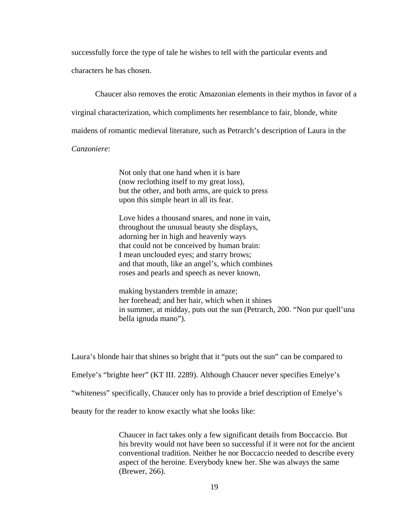successfully force the type of tale he wishes to tell with the particular events and

characters he has chosen.

Chaucer also removes the erotic Amazonian elements in their mythos in favor of a

virginal characterization, which compliments her resemblance to fair, blonde, white

maidens of romantic medieval literature, such as Petrarch's description of Laura in the

### *Canzoniere*:

Not only that one hand when it is bare (now reclothing itself to my great loss), but the other, and both arms, are quick to press upon this simple heart in all its fear.

Love hides a thousand snares, and none in vain, throughout the unusual beauty she displays, adorning her in high and heavenly ways that could not be conceived by human brain: I mean unclouded eyes; and starry brows; and that mouth, like an angel's, which combines roses and pearls and speech as never known,

making bystanders tremble in amaze; her forehead; and her hair, which when it shines in summer, at midday, puts out the sun (Petrarch, 200. "Non pur quell'una bella ignuda mano").

Laura's blonde hair that shines so bright that it "puts out the sun" can be compared to

Emelye's "brighte heer" (KT III. 2289). Although Chaucer never specifies Emelye's

"whiteness" specifically, Chaucer only has to provide a brief description of Emelye's

beauty for the reader to know exactly what she looks like:

Chaucer in fact takes only a few significant details from Boccaccio. But his brevity would not have been so successful if it were not for the ancient conventional tradition. Neither he nor Boccaccio needed to describe every aspect of the heroine. Everybody knew her. She was always the same (Brewer, 266).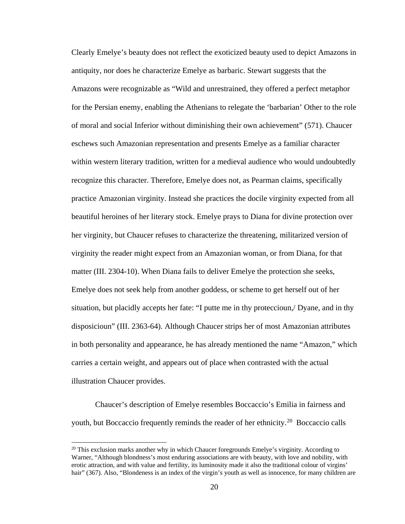Clearly Emelye's beauty does not reflect the exoticized beauty used to depict Amazons in antiquity, nor does he characterize Emelye as barbaric. Stewart suggests that the Amazons were recognizable as "Wild and unrestrained, they offered a perfect metaphor for the Persian enemy, enabling the Athenians to relegate the 'barbarian' Other to the role of moral and social Inferior without diminishing their own achievement" (571). Chaucer eschews such Amazonian representation and presents Emelye as a familiar character within western literary tradition, written for a medieval audience who would undoubtedly recognize this character. Therefore, Emelye does not, as Pearman claims, specifically practice Amazonian virginity. Instead she practices the docile virginity expected from all beautiful heroines of her literary stock. Emelye prays to Diana for divine protection over her virginity, but Chaucer refuses to characterize the threatening, militarized version of virginity the reader might expect from an Amazonian woman, or from Diana, for that matter (III. 2304-10). When Diana fails to deliver Emelye the protection she seeks, Emelye does not seek help from another goddess, or scheme to get herself out of her situation, but placidly accepts her fate: "I putte me in thy proteccioun,/ Dyane, and in thy disposicioun" (III. 2363-64). Although Chaucer strips her of most Amazonian attributes in both personality and appearance, he has already mentioned the name "Amazon," which carries a certain weight, and appears out of place when contrasted with the actual illustration Chaucer provides.

Chaucer's description of Emelye resembles Boccaccio's Emilia in fairness and youth, but Boccaccio frequently reminds the reader of her ethnicity.<sup>[20](#page-26-0)</sup> Boccaccio calls

l

<span id="page-26-0"></span> $20$  This exclusion marks another why in which Chaucer foregrounds Emelye's virginity. According to Warner, "Although blondness's most enduring associations are with beauty, with love and nobility, with erotic attraction, and with value and fertility, its luminosity made it also the traditional colour of virgins' hair" (367). Also, "Blondeness is an index of the virgin's youth as well as innocence, for many children are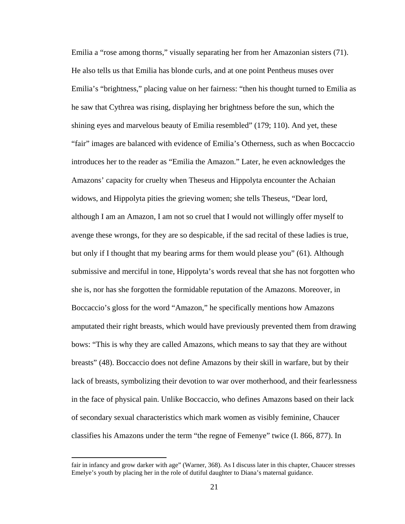Emilia a "rose among thorns," visually separating her from her Amazonian sisters (71). He also tells us that Emilia has blonde curls, and at one point Pentheus muses over Emilia's "brightness," placing value on her fairness: "then his thought turned to Emilia as he saw that Cythrea was rising, displaying her brightness before the sun, which the shining eyes and marvelous beauty of Emilia resembled" (179; 110). And yet, these "fair" images are balanced with evidence of Emilia's Otherness, such as when Boccaccio introduces her to the reader as "Emilia the Amazon." Later, he even acknowledges the Amazons' capacity for cruelty when Theseus and Hippolyta encounter the Achaian widows, and Hippolyta pities the grieving women; she tells Theseus, "Dear lord, although I am an Amazon, I am not so cruel that I would not willingly offer myself to avenge these wrongs, for they are so despicable, if the sad recital of these ladies is true, but only if I thought that my bearing arms for them would please you" (61). Although submissive and merciful in tone, Hippolyta's words reveal that she has not forgotten who she is, nor has she forgotten the formidable reputation of the Amazons. Moreover, in Boccaccio's gloss for the word "Amazon," he specifically mentions how Amazons amputated their right breasts, which would have previously prevented them from drawing bows: "This is why they are called Amazons, which means to say that they are without breasts" (48). Boccaccio does not define Amazons by their skill in warfare, but by their lack of breasts, symbolizing their devotion to war over motherhood, and their fearlessness in the face of physical pain. Unlike Boccaccio, who defines Amazons based on their lack of secondary sexual characteristics which mark women as visibly feminine, Chaucer classifies his Amazons under the term "the regne of Femenye" twice (I. 866, 877). In

 $\overline{\phantom{a}}$ 

fair in infancy and grow darker with age" (Warner, 368). As I discuss later in this chapter, Chaucer stresses Emelye's youth by placing her in the role of dutiful daughter to Diana's maternal guidance.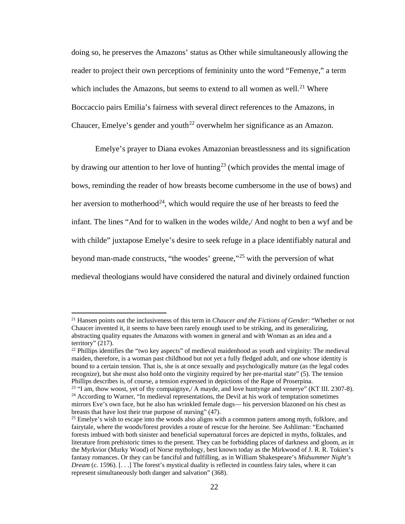doing so, he preserves the Amazons' status as Other while simultaneously allowing the reader to project their own perceptions of femininity unto the word "Femenye," a term which includes the Amazons, but seems to extend to all women as well.<sup>[21](#page-28-0)</sup> Where Boccaccio pairs Emilia's fairness with several direct references to the Amazons, in Chaucer, Emelye's gender and youth<sup>[22](#page-28-1)</sup> overwhelm her significance as an Amazon.

Emelye's prayer to Diana evokes Amazonian breastlessness and its signification by drawing our attention to her love of hunting<sup>[23](#page-28-2)</sup> (which provides the mental image of bows, reminding the reader of how breasts become cumbersome in the use of bows) and her aversion to motherhood<sup>24</sup>, which would require the use of her breasts to feed the infant. The lines "And for to walken in the wodes wilde,/ And noght to ben a wyf and be with childe" juxtapose Emelye's desire to seek refuge in a place identifiably natural and beyond man-made constructs, "the woodes' greene,"[25](#page-28-4) with the perversion of what medieval theologians would have considered the natural and divinely ordained function

 $\overline{a}$ 

<span id="page-28-0"></span><sup>21</sup> Hansen points out the inclusiveness of this term in *Chaucer and the Fictions of Gender*: "Whether or not Chaucer invented it, it seems to have been rarely enough used to be striking, and its generalizing, abstracting quality equates the Amazons with women in general and with Woman as an idea and a territory" (217).

<span id="page-28-1"></span> $22$  Phillips identifies the "two key aspects" of medieval maidenhood as youth and virginity: The medieval maiden, therefore, is a woman past childhood but not yet a fully fledged adult, and one whose identity is bound to a certain tension. That is, she is at once sexually and psychologically mature (as the legal codes recognize), but she must also hold onto the virginity required by her pre-marital state" (5). The tension Phillips describes is, of course, a tension expressed in depictions of the Rape of Proserpina.<br><sup>23</sup> "I am, thow woost, yet of thy compaignye,/ A mayde, and love huntynge and venerye" (KT III. 2307-8).

<span id="page-28-3"></span><span id="page-28-2"></span><sup>&</sup>lt;sup>24</sup> According to Warner, "In medieval representations, the Devil at his work of temptation sometimes mirrors Eve's own face, but he also has wrinkled female dugs— his perversion blazoned on his chest as breasts that have lost their true purpose of nursing" (47).

<span id="page-28-4"></span><sup>&</sup>lt;sup>25</sup> Emelye's wish to escape into the woods also aligns with a common pattern among myth, folklore, and fairytale, where the woods/forest provides a route of rescue for the heroine. See Ashliman: "Enchanted forests imbued with both sinister and beneficial supernatural forces are depicted in myths, folktales, and literature from prehistoric times to the present. They can be forbidding places of darkness and gloom, as in the Myrkvior (Murky Wood) of Norse mythology, best known today as the Mirkwood of J. R. R. Tokien's fantasy romances. Or they can be fanciful and fulfilling, as in William Shakespeare's *Midsummer Night's Dream* (c. 1596). [...] The forest's mystical duality is reflected in countless fairy tales, where it can represent simultaneously both danger and salvation" (368).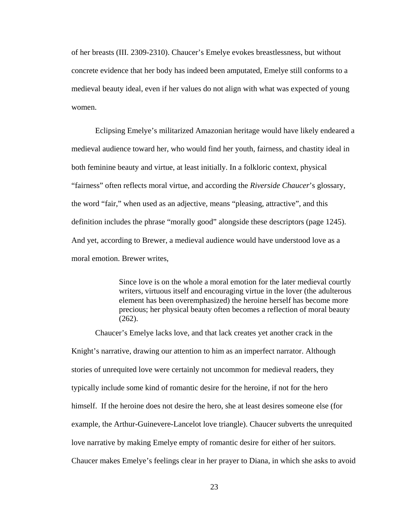of her breasts (III. 2309-2310). Chaucer's Emelye evokes breastlessness, but without concrete evidence that her body has indeed been amputated, Emelye still conforms to a medieval beauty ideal, even if her values do not align with what was expected of young women.

Eclipsing Emelye's militarized Amazonian heritage would have likely endeared a medieval audience toward her, who would find her youth, fairness, and chastity ideal in both feminine beauty and virtue, at least initially. In a folkloric context, physical "fairness" often reflects moral virtue, and according the *Riverside Chaucer*'s glossary, the word "fair," when used as an adjective, means "pleasing, attractive", and this definition includes the phrase "morally good" alongside these descriptors (page 1245). And yet, according to Brewer, a medieval audience would have understood love as a moral emotion. Brewer writes,

> Since love is on the whole a moral emotion for the later medieval courtly writers, virtuous itself and encouraging virtue in the lover (the adulterous element has been overemphasized) the heroine herself has become more precious; her physical beauty often becomes a reflection of moral beauty (262).

Chaucer's Emelye lacks love, and that lack creates yet another crack in the Knight's narrative, drawing our attention to him as an imperfect narrator. Although stories of unrequited love were certainly not uncommon for medieval readers, they typically include some kind of romantic desire for the heroine, if not for the hero himself. If the heroine does not desire the hero, she at least desires someone else (for example, the Arthur-Guinevere-Lancelot love triangle). Chaucer subverts the unrequited love narrative by making Emelye empty of romantic desire for either of her suitors. Chaucer makes Emelye's feelings clear in her prayer to Diana, in which she asks to avoid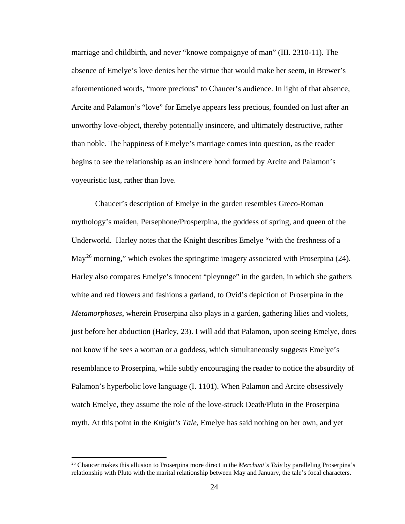marriage and childbirth, and never "knowe compaignye of man" (III. 2310-11). The absence of Emelye's love denies her the virtue that would make her seem, in Brewer's aforementioned words, "more precious" to Chaucer's audience. In light of that absence, Arcite and Palamon's "love" for Emelye appears less precious, founded on lust after an unworthy love-object, thereby potentially insincere, and ultimately destructive, rather than noble. The happiness of Emelye's marriage comes into question, as the reader begins to see the relationship as an insincere bond formed by Arcite and Palamon's voyeuristic lust, rather than love.

Chaucer's description of Emelye in the garden resembles Greco-Roman mythology's maiden, Persephone/Prosperpina, the goddess of spring, and queen of the Underworld. Harley notes that the Knight describes Emelye "with the freshness of a May<sup>[26](#page-30-0)</sup> morning," which evokes the springtime imagery associated with Proserpina  $(24)$ . Harley also compares Emelye's innocent "pleynnge" in the garden, in which she gathers white and red flowers and fashions a garland, to Ovid's depiction of Proserpina in the *Metamorphoses*, wherein Proserpina also plays in a garden, gathering lilies and violets, just before her abduction (Harley, 23). I will add that Palamon, upon seeing Emelye, does not know if he sees a woman or a goddess, which simultaneously suggests Emelye's resemblance to Proserpina, while subtly encouraging the reader to notice the absurdity of Palamon's hyperbolic love language (I. 1101). When Palamon and Arcite obsessively watch Emelye, they assume the role of the love-struck Death/Pluto in the Proserpina myth. At this point in the *Knight's Tale*, Emelye has said nothing on her own, and yet

 $\overline{\phantom{a}}$ 

<span id="page-30-0"></span><sup>26</sup> Chaucer makes this allusion to Proserpina more direct in the *Merchant's Tale* by paralleling Proserpina's relationship with Pluto with the marital relationship between May and January, the tale's focal characters.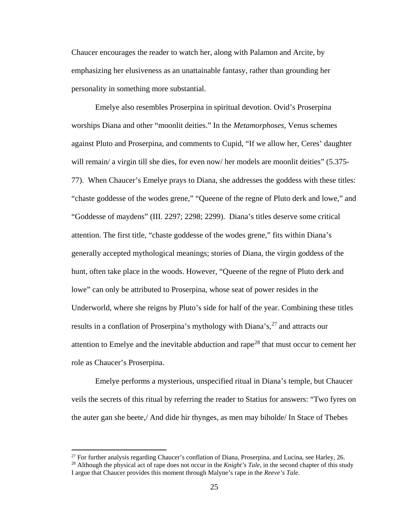Chaucer encourages the reader to watch her, along with Palamon and Arcite, by emphasizing her elusiveness as an unattainable fantasy, rather than grounding her personality in something more substantial.

Emelye also resembles Proserpina in spiritual devotion. Ovid's Proserpina worships Diana and other "moonlit deities." In the *Metamorphoses*, Venus schemes against Pluto and Proserpina, and comments to Cupid, "If we allow her, Ceres' daughter will remain/ a virgin till she dies, for even now/ her models are moonlit deities" (5.375-77). When Chaucer's Emelye prays to Diana, she addresses the goddess with these titles: "chaste goddesse of the wodes grene," "Queene of the regne of Pluto derk and lowe," and "Goddesse of maydens" (III. 2297; 2298; 2299). Diana's titles deserve some critical attention. The first title, "chaste goddesse of the wodes grene," fits within Diana's generally accepted mythological meanings; stories of Diana, the virgin goddess of the hunt, often take place in the woods. However, "Queene of the regne of Pluto derk and lowe" can only be attributed to Proserpina, whose seat of power resides in the Underworld, where she reigns by Pluto's side for half of the year. Combining these titles results in a conflation of Proserpina's mythology with Diana's,<sup>[27](#page-31-0)</sup> and attracts our attention to Emelye and the inevitable abduction and rape<sup>[28](#page-31-1)</sup> that must occur to cement her role as Chaucer's Proserpina.

Emelye performs a mysterious, unspecified ritual in Diana's temple, but Chaucer veils the secrets of this ritual by referring the reader to Statius for answers: "Two fyres on the auter gan she beete,/ And dide hir thynges, as men may biholde/ In Stace of Thebes

 $\overline{a}$ 

 $^{27}$  For further analysis regarding Chaucer's conflation of Diana, Proserpina, and Lucina, see Harley, 26.

<span id="page-31-1"></span><span id="page-31-0"></span><sup>&</sup>lt;sup>28</sup> Although the physical act of rape does not occur in the *Knight's Tale*, in the second chapter of this study I argue that Chaucer provides this moment through Malyne's rape in the *Reeve's Tale*.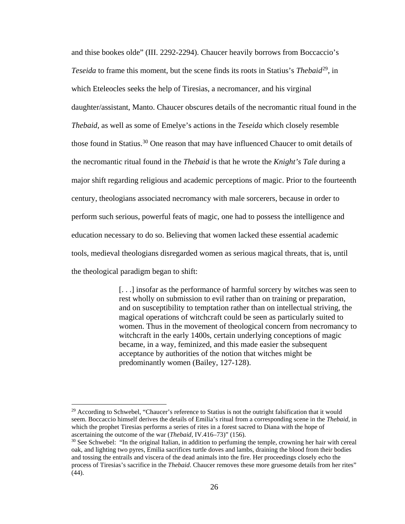and thise bookes olde" (III. 2292-2294). Chaucer heavily borrows from Boccaccio's *Teseida* to frame this moment, but the scene finds its roots in Statius's *Thebaid*<sup>29</sup>, in which Eteleocles seeks the help of Tiresias, a necromancer, and his virginal daughter/assistant, Manto. Chaucer obscures details of the necromantic ritual found in the *Thebaid*, as well as some of Emelye's actions in the *Teseida* which closely resemble those found in Statius.<sup>[30](#page-32-1)</sup> One reason that may have influenced Chaucer to omit details of the necromantic ritual found in the *Thebaid* is that he wrote the *Knight's Tale* during a major shift regarding religious and academic perceptions of magic. Prior to the fourteenth century, theologians associated necromancy with male sorcerers, because in order to perform such serious, powerful feats of magic, one had to possess the intelligence and education necessary to do so. Believing that women lacked these essential academic tools, medieval theologians disregarded women as serious magical threats, that is, until the theological paradigm began to shift:

> [. . .] insofar as the performance of harmful sorcery by witches was seen to rest wholly on submission to evil rather than on training or preparation, and on susceptibility to temptation rather than on intellectual striving, the magical operations of witchcraft could be seen as particularly suited to women. Thus in the movement of theological concern from necromancy to witchcraft in the early 1400s, certain underlying conceptions of magic became, in a way, feminized, and this made easier the subsequent acceptance by authorities of the notion that witches might be predominantly women (Bailey, 127-128).

 $\overline{a}$ 

<span id="page-32-0"></span><sup>&</sup>lt;sup>29</sup> According to Schwebel, "Chaucer's reference to Statius is not the outright falsification that it would seem. Boccaccio himself derives the details of Emilia's ritual from a corresponding scene in the *Thebaid*, in which the prophet Tiresias performs a series of rites in a forest sacred to Diana with the hope of ascertaining the outcome of the war (*Thebaid*, IV.416–73)" (156).

<span id="page-32-1"></span><sup>&</sup>lt;sup>30</sup> See Schwebel: "In the original Italian, in addition to perfuming the temple, crowning her hair with cereal oak, and lighting two pyres, Emilia sacrifices turtle doves and lambs, draining the blood from their bodies and tossing the entrails and viscera of the dead animals into the fire. Her proceedings closely echo the process of Tiresias's sacrifice in the *Thebaid*. Chaucer removes these more gruesome details from her rites" (44).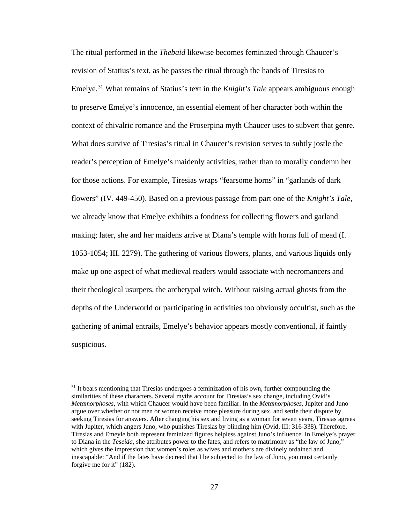The ritual performed in the *Thebaid* likewise becomes feminized through Chaucer's revision of Statius's text, as he passes the ritual through the hands of Tiresias to Emelye.[31](#page-33-0) What remains of Statius's text in the *Knight's Tale* appears ambiguous enough to preserve Emelye's innocence, an essential element of her character both within the context of chivalric romance and the Proserpina myth Chaucer uses to subvert that genre. What does survive of Tiresias's ritual in Chaucer's revision serves to subtly jostle the reader's perception of Emelye's maidenly activities, rather than to morally condemn her for those actions. For example, Tiresias wraps "fearsome horns" in "garlands of dark flowers" (IV. 449-450). Based on a previous passage from part one of the *Knight's Tale*, we already know that Emelye exhibits a fondness for collecting flowers and garland making; later, she and her maidens arrive at Diana's temple with horns full of mead (I. 1053-1054; III. 2279). The gathering of various flowers, plants, and various liquids only make up one aspect of what medieval readers would associate with necromancers and their theological usurpers, the archetypal witch. Without raising actual ghosts from the depths of the Underworld or participating in activities too obviously occultist, such as the gathering of animal entrails, Emelye's behavior appears mostly conventional, if faintly suspicious.

l

<span id="page-33-0"></span><sup>&</sup>lt;sup>31</sup> It bears mentioning that Tiresias undergoes a feminization of his own, further compounding the similarities of these characters. Several myths account for Tiresias's sex change, including Ovid's *Metamorphoses*, with which Chaucer would have been familiar. In the *Metamorphoses*, Jupiter and Juno argue over whether or not men or women receive more pleasure during sex, and settle their dispute by seeking Tiresias for answers. After changing his sex and living as a woman for seven years, Tiresias agrees with Jupiter, which angers Juno, who punishes Tiresias by blinding him (Ovid, III: 316-338). Therefore, Tiresias and Emeyle both represent feminized figures helpless against Juno's influence. In Emelye's prayer to Diana in the *Teseida*, she attributes power to the fates, and refers to matrimony as "the law of Juno," which gives the impression that women's roles as wives and mothers are divinely ordained and inescapable: "And if the fates have decreed that I be subjected to the law of Juno, you must certainly forgive me for it" (182).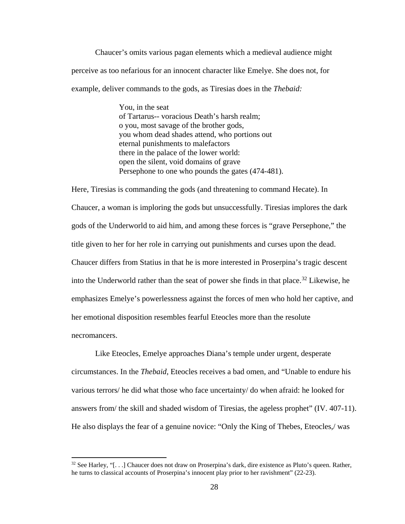Chaucer's omits various pagan elements which a medieval audience might perceive as too nefarious for an innocent character like Emelye. She does not, for example, deliver commands to the gods, as Tiresias does in the *Thebaid:*

> You, in the seat of Tartarus-- voracious Death's harsh realm; o you, most savage of the brother gods, you whom dead shades attend, who portions out eternal punishments to malefactors there in the palace of the lower world: open the silent, void domains of grave Persephone to one who pounds the gates (474-481).

Here, Tiresias is commanding the gods (and threatening to command Hecate). In Chaucer, a woman is imploring the gods but unsuccessfully. Tiresias implores the dark gods of the Underworld to aid him, and among these forces is "grave Persephone," the title given to her for her role in carrying out punishments and curses upon the dead. Chaucer differs from Statius in that he is more interested in Proserpina's tragic descent into the Underworld rather than the seat of power she finds in that place.<sup>[32](#page-34-0)</sup> Likewise, he emphasizes Emelye's powerlessness against the forces of men who hold her captive, and her emotional disposition resembles fearful Eteocles more than the resolute necromancers.

Like Eteocles, Emelye approaches Diana's temple under urgent, desperate circumstances. In the *Thebaid*, Eteocles receives a bad omen, and "Unable to endure his various terrors/ he did what those who face uncertainty/ do when afraid: he looked for answers from/ the skill and shaded wisdom of Tiresias, the ageless prophet" (IV. 407-11). He also displays the fear of a genuine novice: "Only the King of Thebes, Eteocles,/ was

 $\overline{\phantom{a}}$ 

<span id="page-34-0"></span><sup>32</sup> See Harley, "[. . .] Chaucer does not draw on Proserpina's dark, dire existence as Pluto's queen. Rather, he turns to classical accounts of Proserpina's innocent play prior to her ravishment" (22-23).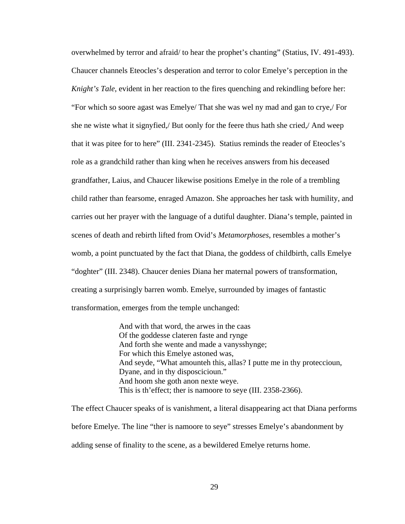overwhelmed by terror and afraid/ to hear the prophet's chanting" (Statius, IV. 491-493). Chaucer channels Eteocles's desperation and terror to color Emelye's perception in the *Knight's Tale*, evident in her reaction to the fires quenching and rekindling before her: "For which so soore agast was Emelye/ That she was wel ny mad and gan to crye,/ For she ne wiste what it signyfied,/ But oonly for the feere thus hath she cried,/ And weep that it was pitee for to here" (III. 2341-2345). Statius reminds the reader of Eteocles's role as a grandchild rather than king when he receives answers from his deceased grandfather, Laius, and Chaucer likewise positions Emelye in the role of a trembling child rather than fearsome, enraged Amazon. She approaches her task with humility, and carries out her prayer with the language of a dutiful daughter. Diana's temple, painted in scenes of death and rebirth lifted from Ovid's *Metamorphoses*, resembles a mother's womb, a point punctuated by the fact that Diana, the goddess of childbirth, calls Emelye "doghter" (III. 2348). Chaucer denies Diana her maternal powers of transformation, creating a surprisingly barren womb. Emelye, surrounded by images of fantastic transformation, emerges from the temple unchanged:

> And with that word, the arwes in the caas Of the goddesse clateren faste and rynge And forth she wente and made a vanysshynge; For which this Emelye astoned was, And seyde, "What amounteh this, allas? I putte me in thy proteccioun, Dyane, and in thy disposcicioun." And hoom she goth anon nexte weye. This is th'effect; ther is namoore to seye (III. 2358-2366).

The effect Chaucer speaks of is vanishment, a literal disappearing act that Diana performs before Emelye. The line "ther is namoore to seye" stresses Emelye's abandonment by adding sense of finality to the scene, as a bewildered Emelye returns home.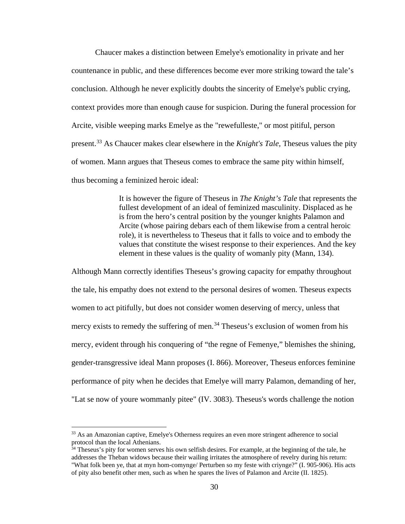Chaucer makes a distinction between Emelye's emotionality in private and her countenance in public, and these differences become ever more striking toward the tale's conclusion. Although he never explicitly doubts the sincerity of Emelye's public crying, context provides more than enough cause for suspicion. During the funeral procession for Arcite, visible weeping marks Emelye as the "rewefulleste," or most pitiful, person present.[33](#page-36-0) As Chaucer makes clear elsewhere in the *Knight's Tale,* Theseus values the pity of women. Mann argues that Theseus comes to embrace the same pity within himself, thus becoming a feminized heroic ideal:

> It is however the figure of Theseus in *The Knight's Tale* that represents the fullest development of an ideal of feminized masculinity. Displaced as he is from the hero's central position by the younger knights Palamon and Arcite (whose pairing debars each of them likewise from a central heroic role), it is nevertheless to Theseus that it falls to voice and to embody the values that constitute the wisest response to their experiences. And the key element in these values is the quality of womanly pity (Mann, 134).

Although Mann correctly identifies Theseus's growing capacity for empathy throughout the tale, his empathy does not extend to the personal desires of women. Theseus expects women to act pitifully, but does not consider women deserving of mercy, unless that mercy exists to remedy the suffering of men.<sup>[34](#page-36-1)</sup> Theseus's exclusion of women from his mercy, evident through his conquering of "the regne of Femenye," blemishes the shining, gender-transgressive ideal Mann proposes (I. 866). Moreover, Theseus enforces feminine performance of pity when he decides that Emelye will marry Palamon, demanding of her, "Lat se now of youre wommanly pitee" (IV. 3083). Theseus's words challenge the notion

 $\overline{a}$ 

<span id="page-36-0"></span><sup>&</sup>lt;sup>33</sup> As an Amazonian captive, Emelye's Otherness requires an even more stringent adherence to social protocol than the local Athenians.

<span id="page-36-1"></span> $34$  Theseus's pity for women serves his own selfish desires. For example, at the beginning of the tale, he addresses the Theban widows because their wailing irritates the atmosphere of revelry during his return: "What folk been ye, that at myn hom-comynge/ Perturben so my feste with criynge?" (I. 905-906). His acts of pity also benefit other men, such as when he spares the lives of Palamon and Arcite (II. 1825).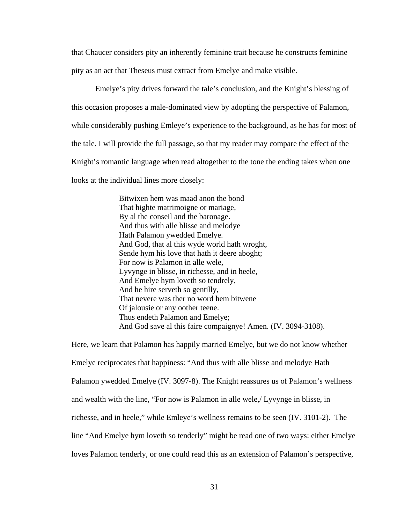that Chaucer considers pity an inherently feminine trait because he constructs feminine pity as an act that Theseus must extract from Emelye and make visible.

Emelye's pity drives forward the tale's conclusion, and the Knight's blessing of this occasion proposes a male-dominated view by adopting the perspective of Palamon, while considerably pushing Emleye's experience to the background, as he has for most of the tale. I will provide the full passage, so that my reader may compare the effect of the Knight's romantic language when read altogether to the tone the ending takes when one looks at the individual lines more closely:

> Bitwixen hem was maad anon the bond That highte matrimoigne or mariage, By al the conseil and the baronage. And thus with alle blisse and melodye Hath Palamon ywedded Emelye. And God, that al this wyde world hath wroght, Sende hym his love that hath it deere aboght; For now is Palamon in alle wele, Lyvynge in blisse, in richesse, and in heele, And Emelye hym loveth so tendrely, And he hire serveth so gentilly, That nevere was ther no word hem bitwene Of jalousie or any oother teene. Thus endeth Palamon and Emelye; And God save al this faire compaignye! Amen. (IV. 3094-3108).

Here, we learn that Palamon has happily married Emelye, but we do not know whether Emelye reciprocates that happiness: "And thus with alle blisse and melodye Hath Palamon ywedded Emelye (IV. 3097-8). The Knight reassures us of Palamon's wellness and wealth with the line, "For now is Palamon in alle wele,/ Lyvynge in blisse, in richesse, and in heele," while Emleye's wellness remains to be seen (IV. 3101-2). The line "And Emelye hym loveth so tenderly" might be read one of two ways: either Emelye loves Palamon tenderly, or one could read this as an extension of Palamon's perspective,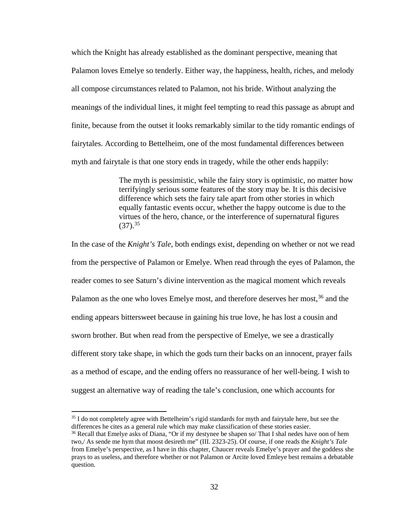which the Knight has already established as the dominant perspective, meaning that Palamon loves Emelye so tenderly. Either way, the happiness, health, riches, and melody all compose circumstances related to Palamon, not his bride. Without analyzing the meanings of the individual lines, it might feel tempting to read this passage as abrupt and finite, because from the outset it looks remarkably similar to the tidy romantic endings of fairytales. According to Bettelheim, one of the most fundamental differences between myth and fairytale is that one story ends in tragedy, while the other ends happily:

> The myth is pessimistic, while the fairy story is optimistic, no matter how terrifyingly serious some features of the story may be. It is this decisive difference which sets the fairy tale apart from other stories in which equally fantastic events occur, whether the happy outcome is due to the virtues of the hero, chance, or the interference of supernatural figures  $(37)$ <sup>[35](#page-38-0)</sup>

In the case of the *Knight's Tale*, both endings exist, depending on whether or not we read from the perspective of Palamon or Emelye. When read through the eyes of Palamon, the reader comes to see Saturn's divine intervention as the magical moment which reveals Palamon as the one who loves Emelye most, and therefore deserves her most.<sup>[36](#page-38-1)</sup> and the ending appears bittersweet because in gaining his true love, he has lost a cousin and sworn brother. But when read from the perspective of Emelye, we see a drastically different story take shape, in which the gods turn their backs on an innocent, prayer fails as a method of escape, and the ending offers no reassurance of her well-being. I wish to suggest an alternative way of reading the tale's conclusion, one which accounts for

<span id="page-38-0"></span><sup>&</sup>lt;sup>35</sup> I do not completely agree with Bettelheim's rigid standards for myth and fairytale here, but see the differences he cites as a general rule which may make classification of these stories easier.<br><sup>36</sup> Recall that Emelye asks of Diana, "Or if my destynee be shapen so/ That I shal nedes have oon of hem

<span id="page-38-1"></span>two,/ As sende me hym that moost desireth me" (III. 2323-25). Of course, if one reads the *Knight's Tale* from Emelye's perspective, as I have in this chapter, Chaucer reveals Emelye's prayer and the goddess she prays to as useless, and therefore whether or not Palamon or Arcite loved Emleye best remains a debatable question.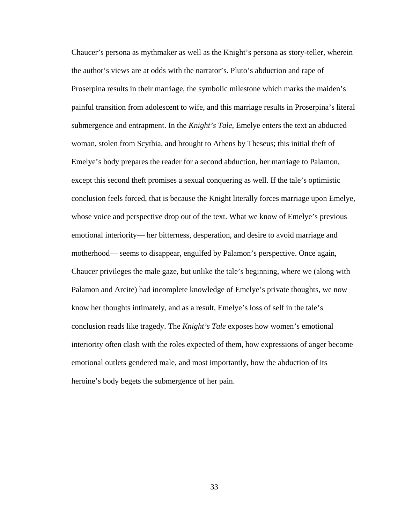Chaucer's persona as mythmaker as well as the Knight's persona as story-teller, wherein the author's views are at odds with the narrator's. Pluto's abduction and rape of Proserpina results in their marriage, the symbolic milestone which marks the maiden's painful transition from adolescent to wife, and this marriage results in Proserpina's literal submergence and entrapment. In the *Knight's Tale*, Emelye enters the text an abducted woman, stolen from Scythia, and brought to Athens by Theseus; this initial theft of Emelye's body prepares the reader for a second abduction, her marriage to Palamon, except this second theft promises a sexual conquering as well. If the tale's optimistic conclusion feels forced, that is because the Knight literally forces marriage upon Emelye, whose voice and perspective drop out of the text. What we know of Emelye's previous emotional interiority— her bitterness, desperation, and desire to avoid marriage and motherhood— seems to disappear, engulfed by Palamon's perspective. Once again, Chaucer privileges the male gaze, but unlike the tale's beginning, where we (along with Palamon and Arcite) had incomplete knowledge of Emelye's private thoughts, we now know her thoughts intimately, and as a result, Emelye's loss of self in the tale's conclusion reads like tragedy. The *Knight's Tale* exposes how women's emotional interiority often clash with the roles expected of them, how expressions of anger become emotional outlets gendered male, and most importantly, how the abduction of its heroine's body begets the submergence of her pain.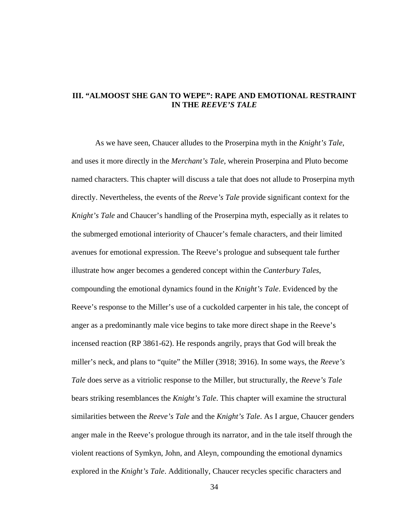## **III. "ALMOOST SHE GAN TO WEPE": RAPE AND EMOTIONAL RESTRAINT IN THE** *REEVE'S TALE*

As we have seen, Chaucer alludes to the Proserpina myth in the *Knight's Tale*, and uses it more directly in the *Merchant's Tale*, wherein Proserpina and Pluto become named characters. This chapter will discuss a tale that does not allude to Proserpina myth directly. Nevertheless, the events of the *Reeve's Tale* provide significant context for the *Knight's Tale* and Chaucer's handling of the Proserpina myth, especially as it relates to the submerged emotional interiority of Chaucer's female characters, and their limited avenues for emotional expression. The Reeve's prologue and subsequent tale further illustrate how anger becomes a gendered concept within the *Canterbury Tales*, compounding the emotional dynamics found in the *Knight's Tale*. Evidenced by the Reeve's response to the Miller's use of a cuckolded carpenter in his tale, the concept of anger as a predominantly male vice begins to take more direct shape in the Reeve's incensed reaction (RP 3861-62). He responds angrily, prays that God will break the miller's neck, and plans to "quite" the Miller (3918; 3916). In some ways, the *Reeve's Tale* does serve as a vitriolic response to the Miller, but structurally, the *Reeve's Tale* bears striking resemblances the *Knight's Tale*. This chapter will examine the structural similarities between the *Reeve's Tale* and the *Knight's Tale*. As I argue, Chaucer genders anger male in the Reeve's prologue through its narrator, and in the tale itself through the violent reactions of Symkyn, John, and Aleyn, compounding the emotional dynamics explored in the *Knight's Tale*. Additionally, Chaucer recycles specific characters and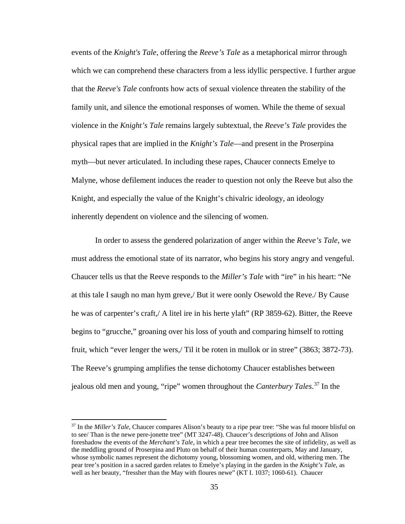events of the *Knight's Tale*, offering the *Reeve's Tale* as a metaphorical mirror through which we can comprehend these characters from a less idyllic perspective. I further argue that the *Reeve's Tale* confronts how acts of sexual violence threaten the stability of the family unit, and silence the emotional responses of women. While the theme of sexual violence in the *Knight's Tale* remains largely subtextual, the *Reeve's Tale* provides the physical rapes that are implied in the *Knight's Tale*—and present in the Proserpina myth—but never articulated. In including these rapes, Chaucer connects Emelye to Malyne, whose defilement induces the reader to question not only the Reeve but also the Knight, and especially the value of the Knight's chivalric ideology, an ideology inherently dependent on violence and the silencing of women.

In order to assess the gendered polarization of anger within the *Reeve's Tale*, we must address the emotional state of its narrator, who begins his story angry and vengeful. Chaucer tells us that the Reeve responds to the *Miller's Tale* with "ire" in his heart: "Ne at this tale I saugh no man hym greve,/ But it were oonly Osewold the Reve./ By Cause he was of carpenter's craft,/ A litel ire in his herte ylaft" (RP 3859-62). Bitter, the Reeve begins to "grucche," groaning over his loss of youth and comparing himself to rotting fruit, which "ever lenger the wers,/ Til it be roten in mullok or in stree" (3863; 3872-73). The Reeve's grumping amplifies the tense dichotomy Chaucer establishes between jealous old men and young, "ripe" women throughout the *Canterbury Tales*. [37](#page-41-0) In the

l

<span id="page-41-0"></span><sup>37</sup> In the *Miller's Tale*, Chaucer compares Alison's beauty to a ripe pear tree: "She was ful moore blisful on to see/ Than is the newe pere-jonette tree" (MT 3247-48). Chaucer's descriptions of John and Alison foreshadow the events of the *Merchant's Tale*, in which a pear tree becomes the site of infidelity, as well as the meddling ground of Proserpina and Pluto on behalf of their human counterparts, May and January, whose symbolic names represent the dichotomy young, blossoming women, and old, withering men. The pear tree's position in a sacred garden relates to Emelye's playing in the garden in the *Knight's Tale*, as well as her beauty, "fressher than the May with floures newe" (KT I. 1037; 1060-61). Chaucer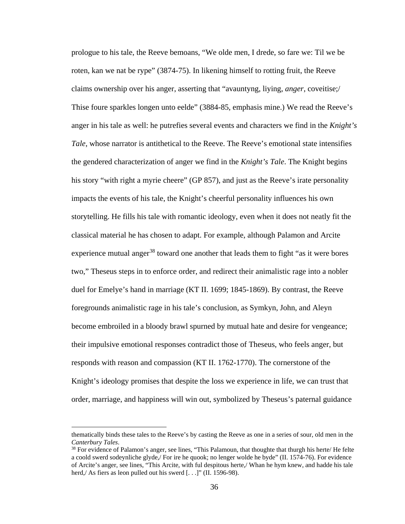prologue to his tale, the Reeve bemoans, "We olde men, I drede, so fare we: Til we be roten, kan we nat be rype" (3874-75). In likening himself to rotting fruit, the Reeve claims ownership over his anger, asserting that "avauntyng, liying, *anger*, coveitise;/ Thise foure sparkles longen unto eelde" (3884-85, emphasis mine.) We read the Reeve's anger in his tale as well: he putrefies several events and characters we find in the *Knight's Tale*, whose narrator is antithetical to the Reeve. The Reeve's emotional state intensifies the gendered characterization of anger we find in the *Knight's Tale*. The Knight begins his story "with right a myrie cheere" (GP 857), and just as the Reeve's irate personality impacts the events of his tale, the Knight's cheerful personality influences his own storytelling. He fills his tale with romantic ideology, even when it does not neatly fit the classical material he has chosen to adapt. For example, although Palamon and Arcite experience mutual anger<sup>[38](#page-42-0)</sup> toward one another that leads them to fight "as it were bores" two," Theseus steps in to enforce order, and redirect their animalistic rage into a nobler duel for Emelye's hand in marriage (KT II. 1699; 1845-1869). By contrast, the Reeve foregrounds animalistic rage in his tale's conclusion, as Symkyn, John, and Aleyn become embroiled in a bloody brawl spurned by mutual hate and desire for vengeance; their impulsive emotional responses contradict those of Theseus, who feels anger, but responds with reason and compassion (KT II. 1762-1770). The cornerstone of the Knight's ideology promises that despite the loss we experience in life, we can trust that order, marriage, and happiness will win out, symbolized by Theseus's paternal guidance

 $\overline{a}$ 

thematically binds these tales to the Reeve's by casting the Reeve as one in a series of sour, old men in the *Canterbury Tales*.

<span id="page-42-0"></span><sup>&</sup>lt;sup>38</sup> For evidence of Palamon's anger, see lines, "This Palamoun, that thoughte that thurgh his herte/ He felte a coold swerd sodeynliche glyde,/ For ire he quook; no lenger wolde he byde" (II. 1574-76). For evidence of Arcite's anger, see lines, "This Arcite, with ful despitous herte,/ Whan he hym knew, and hadde his tale herd,/ As fiers as leon pulled out his swerd [...]" (II. 1596-98).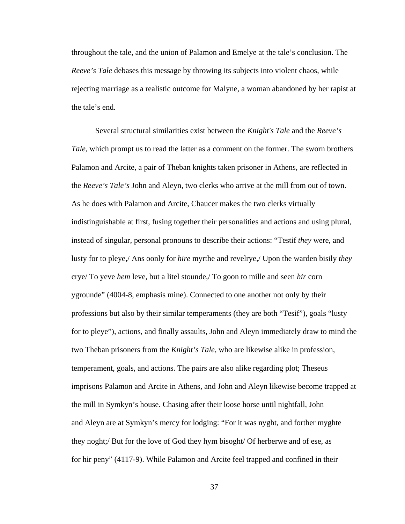throughout the tale, and the union of Palamon and Emelye at the tale's conclusion. The *Reeve's Tale* debases this message by throwing its subjects into violent chaos, while rejecting marriage as a realistic outcome for Malyne, a woman abandoned by her rapist at the tale's end.

Several structural similarities exist between the *Knight's Tale* and the *Reeve's Tale,* which prompt us to read the latter as a comment on the former. The sworn brothers Palamon and Arcite, a pair of Theban knights taken prisoner in Athens, are reflected in the *Reeve's Tale's* John and Aleyn, two clerks who arrive at the mill from out of town. As he does with Palamon and Arcite, Chaucer makes the two clerks virtually indistinguishable at first, fusing together their personalities and actions and using plural, instead of singular, personal pronouns to describe their actions: "Testif *they* were, and lusty for to pleye,/ Ans oonly for *hire* myrthe and revelrye,/ Upon the warden bisily *they* crye/ To yeve *hem* leve, but a litel stounde,/ To goon to mille and seen *hir* corn ygrounde" (4004-8, emphasis mine). Connected to one another not only by their professions but also by their similar temperaments (they are both "Tesif"), goals "lusty for to pleye"), actions, and finally assaults, John and Aleyn immediately draw to mind the two Theban prisoners from the *Knight's Tale*, who are likewise alike in profession, temperament, goals, and actions. The pairs are also alike regarding plot; Theseus imprisons Palamon and Arcite in Athens, and John and Aleyn likewise become trapped at the mill in Symkyn's house. Chasing after their loose horse until nightfall, John and Aleyn are at Symkyn's mercy for lodging: "For it was nyght, and forther myghte they noght;/ But for the love of God they hym bisoght/ Of herberwe and of ese, as for hir peny" (4117-9). While Palamon and Arcite feel trapped and confined in their

37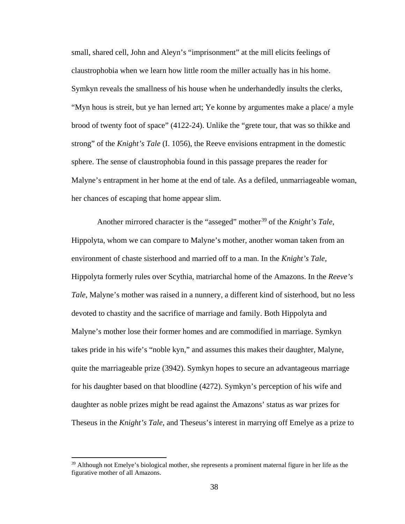small, shared cell, John and Aleyn's "imprisonment" at the mill elicits feelings of claustrophobia when we learn how little room the miller actually has in his home. Symkyn reveals the smallness of his house when he underhandedly insults the clerks, "Myn hous is streit, but ye han lerned art; Ye konne by argumentes make a place/ a myle brood of twenty foot of space" (4122-24). Unlike the "grete tour, that was so thikke and strong" of the *Knight's Tale* (I. 1056), the Reeve envisions entrapment in the domestic sphere. The sense of claustrophobia found in this passage prepares the reader for Malyne's entrapment in her home at the end of tale. As a defiled, unmarriageable woman, her chances of escaping that home appear slim.

Another mirrored character is the "asseged" mother<sup>[39](#page-44-0)</sup> of the *Knight's Tale*, Hippolyta, whom we can compare to Malyne's mother, another woman taken from an environment of chaste sisterhood and married off to a man. In the *Knight's Tale*, Hippolyta formerly rules over Scythia, matriarchal home of the Amazons. In the *Reeve's Tale*, Malyne's mother was raised in a nunnery, a different kind of sisterhood, but no less devoted to chastity and the sacrifice of marriage and family. Both Hippolyta and Malyne's mother lose their former homes and are commodified in marriage. Symkyn takes pride in his wife's "noble kyn," and assumes this makes their daughter, Malyne, quite the marriageable prize (3942). Symkyn hopes to secure an advantageous marriage for his daughter based on that bloodline (4272). Symkyn's perception of his wife and daughter as noble prizes might be read against the Amazons' status as war prizes for Theseus in the *Knight's Tale*, and Theseus's interest in marrying off Emelye as a prize to

<span id="page-44-0"></span><sup>&</sup>lt;sup>39</sup> Although not Emelye's biological mother, she represents a prominent maternal figure in her life as the figurative mother of all Amazons.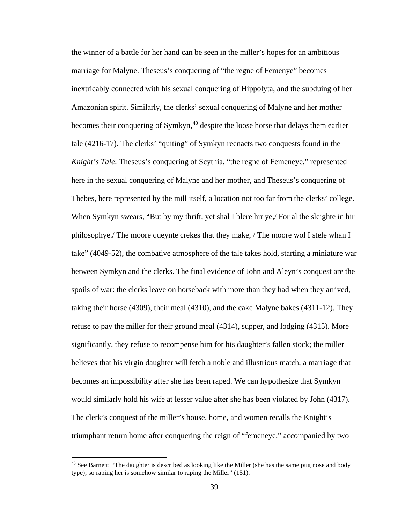the winner of a battle for her hand can be seen in the miller's hopes for an ambitious marriage for Malyne. Theseus's conquering of "the regne of Femenye" becomes inextricably connected with his sexual conquering of Hippolyta, and the subduing of her Amazonian spirit. Similarly, the clerks' sexual conquering of Malyne and her mother becomes their conquering of Symkyn,<sup>[40](#page-45-0)</sup> despite the loose horse that delays them earlier tale (4216-17). The clerks' "quiting" of Symkyn reenacts two conquests found in the *Knight's Tale*: Theseus's conquering of Scythia, "the regne of Femeneye," represented here in the sexual conquering of Malyne and her mother, and Theseus's conquering of Thebes, here represented by the mill itself, a location not too far from the clerks' college. When Symkyn swears, "But by my thrift, yet shal I blere hir ye,/ For al the sleighte in hir philosophye./ The moore queynte crekes that they make, / The moore wol I stele whan I take" (4049-52), the combative atmosphere of the tale takes hold, starting a miniature war between Symkyn and the clerks. The final evidence of John and Aleyn's conquest are the spoils of war: the clerks leave on horseback with more than they had when they arrived, taking their horse (4309), their meal (4310), and the cake Malyne bakes (4311-12). They refuse to pay the miller for their ground meal (4314), supper, and lodging (4315). More significantly, they refuse to recompense him for his daughter's fallen stock; the miller believes that his virgin daughter will fetch a noble and illustrious match, a marriage that becomes an impossibility after she has been raped. We can hypothesize that Symkyn would similarly hold his wife at lesser value after she has been violated by John (4317). The clerk's conquest of the miller's house, home, and women recalls the Knight's triumphant return home after conquering the reign of "femeneye," accompanied by two

<span id="page-45-0"></span> $40$  See Barnett: "The daughter is described as looking like the Miller (she has the same pug nose and body type); so raping her is somehow similar to raping the Miller" (151).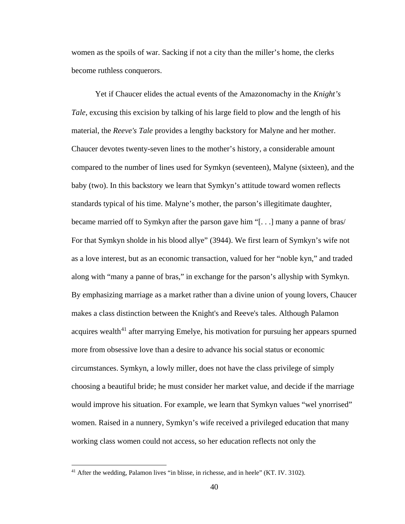women as the spoils of war. Sacking if not a city than the miller's home, the clerks become ruthless conquerors.

Yet if Chaucer elides the actual events of the Amazonomachy in the *Knight's Tale*, excusing this excision by talking of his large field to plow and the length of his material, the *Reeve's Tale* provides a lengthy backstory for Malyne and her mother. Chaucer devotes twenty-seven lines to the mother's history, a considerable amount compared to the number of lines used for Symkyn (seventeen), Malyne (sixteen), and the baby (two). In this backstory we learn that Symkyn's attitude toward women reflects standards typical of his time. Malyne's mother, the parson's illegitimate daughter, became married off to Symkyn after the parson gave him "[. . .] many a panne of bras/ For that Symkyn sholde in his blood allye" (3944). We first learn of Symkyn's wife not as a love interest, but as an economic transaction, valued for her "noble kyn," and traded along with "many a panne of bras," in exchange for the parson's allyship with Symkyn. By emphasizing marriage as a market rather than a divine union of young lovers, Chaucer makes a class distinction between the Knight's and Reeve's tales. Although Palamon acquires wealth<sup>[41](#page-46-0)</sup> after marrying Emelye, his motivation for pursuing her appears spurned more from obsessive love than a desire to advance his social status or economic circumstances. Symkyn, a lowly miller, does not have the class privilege of simply choosing a beautiful bride; he must consider her market value, and decide if the marriage would improve his situation. For example, we learn that Symkyn values "wel ynorrised" women. Raised in a nunnery, Symkyn's wife received a privileged education that many working class women could not access, so her education reflects not only the

l

<span id="page-46-0"></span><sup>&</sup>lt;sup>41</sup> After the wedding, Palamon lives "in blisse, in richesse, and in heele" (KT. IV. 3102).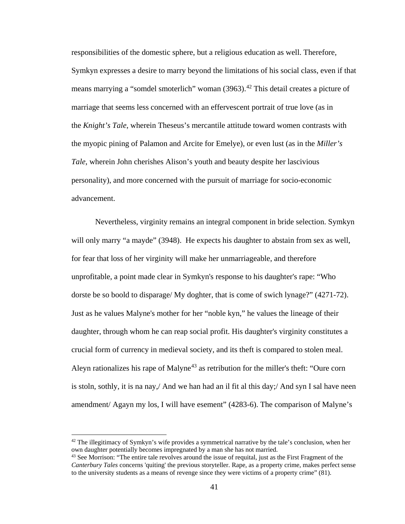responsibilities of the domestic sphere, but a religious education as well. Therefore, Symkyn expresses a desire to marry beyond the limitations of his social class, even if that means marrying a "somdel smoterlich" woman  $(3963)$ <sup>[42](#page-47-0)</sup> This detail creates a picture of marriage that seems less concerned with an effervescent portrait of true love (as in the *Knight's Tale*, wherein Theseus's mercantile attitude toward women contrasts with the myopic pining of Palamon and Arcite for Emelye), or even lust (as in the *Miller's Tale*, wherein John cherishes Alison's youth and beauty despite her lascivious personality), and more concerned with the pursuit of marriage for socio-economic advancement.

Nevertheless, virginity remains an integral component in bride selection. Symkyn will only marry "a mayde" (3948). He expects his daughter to abstain from sex as well, for fear that loss of her virginity will make her unmarriageable, and therefore unprofitable, a point made clear in Symkyn's response to his daughter's rape: "Who dorste be so boold to disparage/ My doghter, that is come of swich lynage?" (4271-72). Just as he values Malyne's mother for her "noble kyn," he values the lineage of their daughter, through whom he can reap social profit. His daughter's virginity constitutes a crucial form of currency in medieval society, and its theft is compared to stolen meal. Aleyn rationalizes his rape of Malyne<sup>[43](#page-47-1)</sup> as retribution for the miller's theft: "Oure corn is stoln, sothly, it is na nay,/ And we han had an il fit al this day;/ And syn I sal have neen amendment/ Agayn my los, I will have esement" (4283-6). The comparison of Malyne's

<span id="page-47-0"></span> $42$  The illegitimacy of Symkyn's wife provides a symmetrical narrative by the tale's conclusion, when her own daughter potentially becomes impregnated by a man she has not married.

<span id="page-47-1"></span><sup>&</sup>lt;sup>43</sup> See Morrison: "The entire tale revolves around the issue of requital, just as the First Fragment of the *Canterbury Tales* concerns 'quiting' the previous storyteller. Rape, as a property crime, makes perfect sense to the university students as a means of revenge since they were victims of a property crime" (81).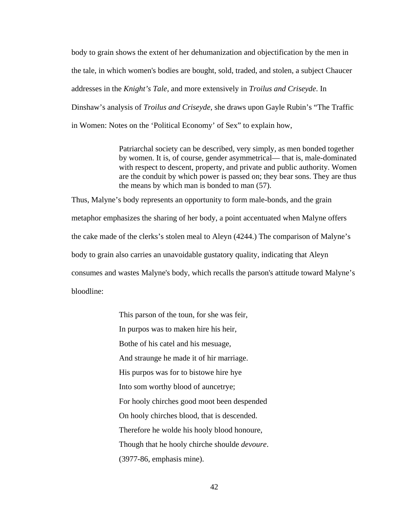body to grain shows the extent of her dehumanization and objectification by the men in the tale, in which women's bodies are bought, sold, traded, and stolen, a subject Chaucer addresses in the *Knight's Tale*, and more extensively in *Troilus and Criseyde*. In Dinshaw's analysis of *Troilus and Criseyde*, she draws upon Gayle Rubin's "The Traffic in Women: Notes on the 'Political Economy' of Sex" to explain how,

> Patriarchal society can be described, very simply, as men bonded together by women. It is, of course, gender asymmetrical— that is, male-dominated with respect to descent, property, and private and public authority. Women are the conduit by which power is passed on; they bear sons. They are thus the means by which man is bonded to man (57).

Thus, Malyne's body represents an opportunity to form male-bonds, and the grain metaphor emphasizes the sharing of her body, a point accentuated when Malyne offers the cake made of the clerks's stolen meal to Aleyn (4244.) The comparison of Malyne's body to grain also carries an unavoidable gustatory quality, indicating that Aleyn consumes and wastes Malyne's body, which recalls the parson's attitude toward Malyne's bloodline:

> This parson of the toun, for she was feir, In purpos was to maken hire his heir, Bothe of his catel and his mesuage, And straunge he made it of hir marriage. His purpos was for to bistowe hire hye Into som worthy blood of auncetrye; For hooly chirches good moot been despended On hooly chirches blood, that is descended. Therefore he wolde his hooly blood honoure, Though that he hooly chirche shoulde *devoure*. (3977-86, emphasis mine).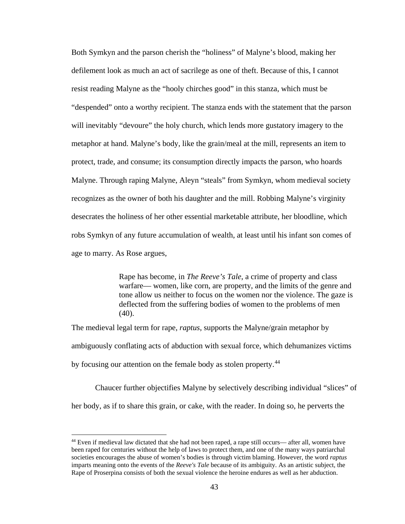Both Symkyn and the parson cherish the "holiness" of Malyne's blood, making her defilement look as much an act of sacrilege as one of theft. Because of this, I cannot resist reading Malyne as the "hooly chirches good" in this stanza, which must be "despended" onto a worthy recipient. The stanza ends with the statement that the parson will inevitably "devoure" the holy church, which lends more gustatory imagery to the metaphor at hand. Malyne's body, like the grain/meal at the mill, represents an item to protect, trade, and consume; its consumption directly impacts the parson, who hoards Malyne. Through raping Malyne, Aleyn "steals" from Symkyn, whom medieval society recognizes as the owner of both his daughter and the mill. Robbing Malyne's virginity desecrates the holiness of her other essential marketable attribute, her bloodline, which robs Symkyn of any future accumulation of wealth, at least until his infant son comes of age to marry. As Rose argues,

> Rape has become, in *The Reeve's Tale*, a crime of property and class warfare— women, like corn, are property, and the limits of the genre and tone allow us neither to focus on the women nor the violence. The gaze is deflected from the suffering bodies of women to the problems of men (40).

The medieval legal term for rape, *raptus*, supports the Malyne/grain metaphor by ambiguously conflating acts of abduction with sexual force, which dehumanizes victims by focusing our attention on the female body as stolen property.<sup>[44](#page-49-0)</sup>

Chaucer further objectifies Malyne by selectively describing individual "slices" of her body, as if to share this grain, or cake, with the reader. In doing so, he perverts the

<span id="page-49-0"></span><sup>44</sup> Even if medieval law dictated that she had not been raped, a rape still occurs— after all, women have been raped for centuries without the help of laws to protect them, and one of the many ways patriarchal societies encourages the abuse of women's bodies is through victim blaming. However, the word *raptus* imparts meaning onto the events of the *Reeve's Tale* because of its ambiguity. As an artistic subject, the Rape of Proserpina consists of both the sexual violence the heroine endures as well as her abduction.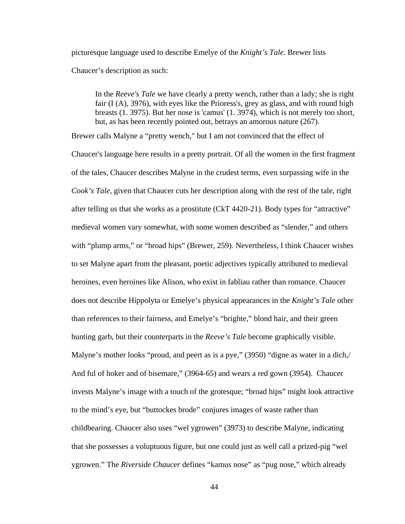picturesque language used to describe Emelye of the *Knight's Tale.* Brewer lists Chaucer's description as such:

In the *Reeve's Tale* we have clearly a pretty wench, rather than a lady; she is right fair (I (A), 3976), with eyes like the Prioress's, grey as glass, and with round high breasts (1. 3975). But her nose is 'camus' (1. 3974), which is not merely too short, but, as has been recently pointed out, betrays an amorous nature (267).

Brewer calls Malyne a "pretty wench," but I am not convinced that the effect of Chaucer's language here results in a pretty portrait. Of all the women in the first fragment of the tales, Chaucer describes Malyne in the crudest terms, even surpassing wife in the *Cook's Tale*, given that Chaucer cuts her description along with the rest of the tale, right after telling us that she works as a prostitute (CkT 4420-21). Body types for "attractive" medieval women vary somewhat, with some women described as "slender," and others with "plump arms," or "broad hips" (Brewer, 259). Nevertheless, I think Chaucer wishes to set Malyne apart from the pleasant, poetic adjectives typically attributed to medieval heroines, even heroines like Alison, who exist in fabliau rather than romance. Chaucer does not describe Hippolyta or Emelye's physical appearances in the *Knight's Tale* other than references to their fairness, and Emelye's "brighte," blond hair, and their green hunting garb, but their counterparts in the *Reeve's Tale* become graphically visible. Malyne's mother looks "proud, and peert as is a pye," (3950) "digne as water in a dich, And ful of hoker and of bisemare," (3964-65) and wears a red gown (3954). Chaucer invests Malyne's image with a touch of the grotesque; "broad hips" might look attractive to the mind's eye, but "buttockes brode" conjures images of waste rather than childbearing. Chaucer also uses "wel ygrowen" (3973) to describe Malyne, indicating that she possesses a voluptuous figure, but one could just as well call a prized-pig "wel ygrowen." The *Riverside Chaucer* defines "kamus nose" as "pug nose," which already

44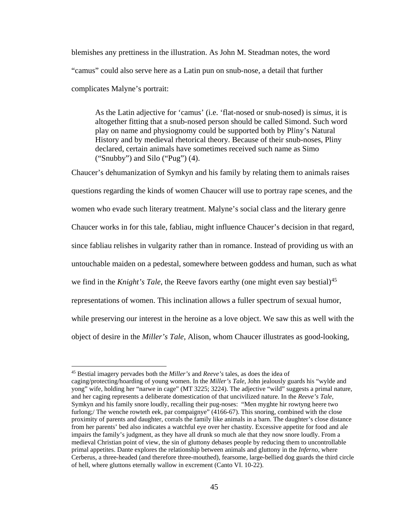blemishes any prettiness in the illustration. As John M. Steadman notes, the word "camus" could also serve here as a Latin pun on snub-nose, a detail that further complicates Malyne's portrait:

As the Latin adjective for 'camus' (i.e. 'flat-nosed or snub-nosed) is *simus*, it is altogether fitting that a snub-nosed person should be called Simond. Such word play on name and physiognomy could be supported both by Pliny's Natural History and by medieval rhetorical theory. Because of their snub-noses, Pliny declared, certain animals have sometimes received such name as Simo ("Snubby") and Silo ("Pug") (4).

Chaucer's dehumanization of Symkyn and his family by relating them to animals raises questions regarding the kinds of women Chaucer will use to portray rape scenes, and the women who evade such literary treatment. Malyne's social class and the literary genre Chaucer works in for this tale, fabliau, might influence Chaucer's decision in that regard, since fabliau relishes in vulgarity rather than in romance. Instead of providing us with an untouchable maiden on a pedestal, somewhere between goddess and human, such as what we find in the *Knight's Tale*, the Reeve favors earthy (one might even say bestial) [45](#page-51-0) representations of women. This inclination allows a fuller spectrum of sexual humor, while preserving our interest in the heroine as a love object. We saw this as well with the object of desire in the *Miller's Tale*, Alison, whom Chaucer illustrates as good-looking,

<span id="page-51-0"></span><sup>45</sup> Bestial imagery pervades both the *Miller's* and *Reeve's* tales, as does the idea of caging/protecting/hoarding of young women. In the *Miller's Tale*, John jealously guards his "wylde and yong" wife, holding her "narwe in cage" (MT 3225; 3224). The adjective "wild" suggests a primal nature, and her caging represents a deliberate domestication of that uncivilized nature. In the *Reeve's Tale*, Symkyn and his family snore loudly, recalling their pug-noses: "Men myghte hir rowtyng heere two furlong;/ The wenche rowteth eek, par compaignye" (4166-67). This snoring, combined with the close proximity of parents and daughter, corrals the family like animals in a barn. The daughter's close distance from her parents' bed also indicates a watchful eye over her chastity. Excessive appetite for food and ale impairs the family's judgment, as they have all drunk so much ale that they now snore loudly. From a medieval Christian point of view, the sin of gluttony debases people by reducing them to uncontrollable primal appetites. Dante explores the relationship between animals and gluttony in the *Inferno*, where Cerberus, a three-headed (and therefore three-mouthed), fearsome, large-bellied dog guards the third circle of hell, where gluttons eternally wallow in excrement (Canto VI. 10-22).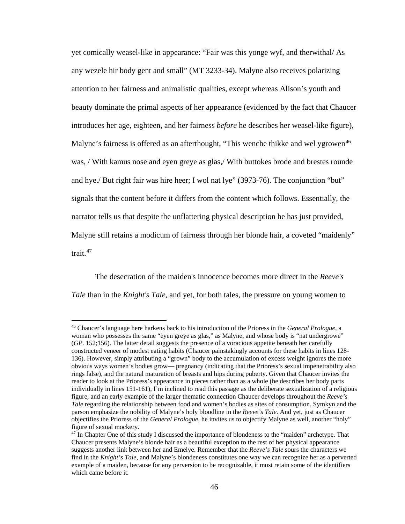yet comically weasel-like in appearance: "Fair was this yonge wyf, and therwithal/ As any wezele hir body gent and small" (MT 3233-34). Malyne also receives polarizing attention to her fairness and animalistic qualities, except whereas Alison's youth and beauty dominate the primal aspects of her appearance (evidenced by the fact that Chaucer introduces her age, eighteen, and her fairness *before* he describes her weasel-like figure), Malyne's fairness is offered as an afterthought, "This wenche thikke and wel ygrowen<sup>[46](#page-52-0)</sup> was, / With kamus nose and eyen greye as glas,/ With buttokes brode and brestes rounde and hye./ But right fair was hire heer; I wol nat lye" (3973-76). The conjunction "but" signals that the content before it differs from the content which follows. Essentially, the narrator tells us that despite the unflattering physical description he has just provided, Malyne still retains a modicum of fairness through her blonde hair, a coveted "maidenly" trait.<sup>47</sup>

The desecration of the maiden's innocence becomes more direct in the *Reeve's Tale* than in the *Knight's Tale*, and yet, for both tales, the pressure on young women to

<span id="page-52-0"></span><sup>46</sup> Chaucer's language here harkens back to his introduction of the Prioress in the *General Prologue*, a woman who possesses the same "eyen greye as glas," as Malyne, and whose body is "nat undergrowe" (*GP*. 152;156). The latter detail suggests the presence of a voracious appetite beneath her carefully constructed veneer of modest eating habits (Chaucer painstakingly accounts for these habits in lines 128- 136). However, simply attributing a "grown" body to the accumulation of excess weight ignores the more obvious ways women's bodies grow— pregnancy (indicating that the Prioress's sexual impenetrability also rings false), and the natural maturation of breasts and hips during puberty. Given that Chaucer invites the reader to look at the Prioress's appearance in pieces rather than as a whole (he describes her body parts individually in lines 151-161), I'm inclined to read this passage as the deliberate sexualization of a religious figure, and an early example of the larger thematic connection Chaucer develops throughout the *Reeve's Tale* regarding the relationship between food and women's bodies as sites of consumption. Symkyn and the parson emphasize the nobility of Malyne's holy bloodline in the *Reeve's Tale*. And yet, just as Chaucer objectifies the Prioress of the *General Prologue*, he invites us to objectify Malyne as well, another "holy" figure of sexual mockery.

<span id="page-52-1"></span><sup>&</sup>lt;sup>47</sup> In Chapter One of this study I discussed the importance of blondeness to the "maiden" archetype. That Chaucer presents Malyne's blonde hair as a beautiful exception to the rest of her physical appearance suggests another link between her and Emelye. Remember that the *Reeve's Tale* sours the characters we find in the *Knight's Tale*, and Malyne's blondeness constitutes one way we can recognize her as a perverted example of a maiden, because for any perversion to be recognizable, it must retain some of the identifiers which came before it.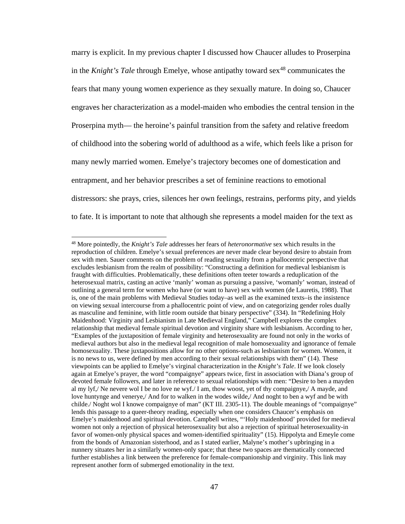marry is explicit. In my previous chapter I discussed how Chaucer alludes to Proserpina in the *Knight's Tale* through Emelye, whose antipathy toward sex<sup>[48](#page-53-0)</sup> communicates the fears that many young women experience as they sexually mature. In doing so, Chaucer engraves her characterization as a model-maiden who embodies the central tension in the Proserpina myth— the heroine's painful transition from the safety and relative freedom of childhood into the sobering world of adulthood as a wife, which feels like a prison for many newly married women. Emelye's trajectory becomes one of domestication and entrapment, and her behavior prescribes a set of feminine reactions to emotional distressors: she prays, cries, silences her own feelings, restrains, performs pity, and yields to fate. It is important to note that although she represents a model maiden for the text as

l

<span id="page-53-0"></span><sup>48</sup> More pointedly, the *Knight's Tale* addresses her fears of *heteronormative* sex which results in the reproduction of children. Emelye's sexual preferences are never made clear beyond desire to abstain from sex with men. Sauer comments on the problem of reading sexuality from a phallocentric perspective that excludes lesbianism from the realm of possibility: "Constructing a definition for medieval lesbianism is fraught with difficulties. Problematically, these definitions often teeter towards a reduplication of the heterosexual matrix, casting an active 'manly' woman as pursuing a passive, 'womanly' woman, instead of outlining a general term for women who have (or want to have) sex with women (de Lauretis, 1988). That is, one of the main problems with Medieval Studies today–as well as the examined texts–is the insistence on viewing sexual intercourse from a phallocentric point of view, and on categorizing gender roles dually as masculine and feminine, with little room outside that binary perspective" (334). In "Redefining Holy Maidenhood: Virginity and Lesbianism in Late Medieval England," Campbell explores the complex relationship that medieval female spiritual devotion and virginity share with lesbianism. According to her, "Examples of the juxtaposition of female virginity and heterosexuality are found not only in the works of medieval authors but also in the medieval legal recognition of male homosexuality and ignorance of female homosexuality. These juxtapositions allow for no other options-such as lesbianism for women. Women, it is no news to us, were defined by men according to their sexual relationships with them" (14). These viewpoints can be applied to Emelye's virginal characterization in the *Knight's Tale*. If we look closely again at Emelye's prayer, the word "compaignye" appears twice, first in association with Diana's group of devoted female followers, and later in reference to sexual relationships with men: "Desire to ben a mayden al my lyf,/ Ne nevere wol I be no love ne wyf./ I am, thow woost, yet of thy compaignye,/ A mayde, and love huntynge and venerye,/ And for to walken in the wodes wilde,/ And noght to ben a wyf and be with childe./ Noght wol I knowe compaignye of man" (KT III. 2305-11). The double meanings of "compaignye" lends this passage to a queer-theory reading, especially when one considers Chaucer's emphasis on Emelye's maidenhood and spiritual devotion. Campbell writes, "'Holy maidenhood' provided for medieval women not only a rejection of physical heterosexuality but also a rejection of spiritual heterosexuality-in favor of women-only physical spaces and women-identified spirituality" (15). Hippolyta and Emeyle come from the bonds of Amazonian sisterhood, and as I stated earlier, Malyne's mother's upbringing in a nunnery situates her in a similarly women-only space; that these two spaces are thematically connected further establishes a link between the preference for female-companionship and virginity. This link may represent another form of submerged emotionality in the text.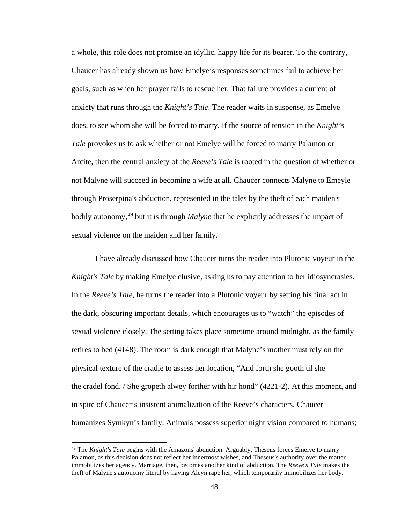a whole, this role does not promise an idyllic, happy life for its bearer. To the contrary, Chaucer has already shown us how Emelye's responses sometimes fail to achieve her goals, such as when her prayer fails to rescue her. That failure provides a current of anxiety that runs through the *Knight's Tale*. The reader waits in suspense, as Emelye does, to see whom she will be forced to marry. If the source of tension in the *Knight's Tale* provokes us to ask whether or not Emelye will be forced to marry Palamon or Arcite, then the central anxiety of the *Reeve's Tale* is rooted in the question of whether or not Malyne will succeed in becoming a wife at all. Chaucer connects Malyne to Emeyle through Proserpina's abduction, represented in the tales by the theft of each maiden's bodily autonomy,<sup>[49](#page-54-0)</sup> but it is through *Malyne* that he explicitly addresses the impact of sexual violence on the maiden and her family.

I have already discussed how Chaucer turns the reader into Plutonic voyeur in the *Knight's Tale* by making Emelye elusive, asking us to pay attention to her idiosyncrasies. In the *Reeve's Tale*, he turns the reader into a Plutonic voyeur by setting his final act in the dark, obscuring important details, which encourages us to "watch" the episodes of sexual violence closely. The setting takes place sometime around midnight, as the family retires to bed (4148). The room is dark enough that Malyne's mother must rely on the physical texture of the cradle to assess her location, "And forth she gooth til she the cradel fond, / She gropeth alwey forther with hir hond" (4221-2). At this moment, and in spite of Chaucer's insistent animalization of the Reeve's characters, Chaucer humanizes Symkyn's family. Animals possess superior night vision compared to humans;

l

<span id="page-54-0"></span><sup>49</sup> The *Knight's Tale* begins with the Amazons' abduction. Arguably, Theseus forces Emelye to marry Palamon, as this decision does not reflect her innermost wishes, and Theseus's authority over the matter immobilizes her agency. Marriage, then, becomes another kind of abduction. The *Reeve's Tale* makes the theft of Malyne's autonomy literal by having Aleyn rape her, which temporarily immobilizes her body.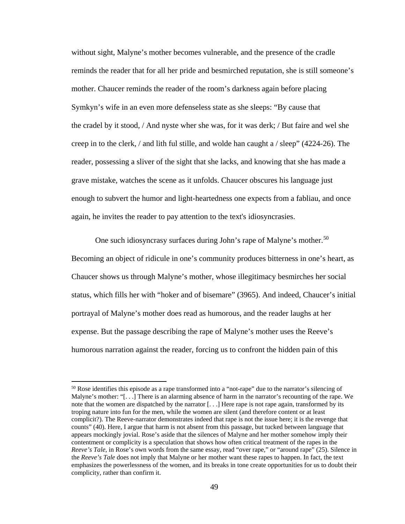without sight, Malyne's mother becomes vulnerable, and the presence of the cradle reminds the reader that for all her pride and besmirched reputation, she is still someone's mother. Chaucer reminds the reader of the room's darkness again before placing Symkyn's wife in an even more defenseless state as she sleeps: "By cause that the cradel by it stood, / And nyste wher she was, for it was derk; / But faire and wel she creep in to the clerk, / and lith ful stille, and wolde han caught a / sleep" (4224-26). The reader, possessing a sliver of the sight that she lacks, and knowing that she has made a grave mistake, watches the scene as it unfolds. Chaucer obscures his language just enough to subvert the humor and light-heartedness one expects from a fabliau, and once again, he invites the reader to pay attention to the text's idiosyncrasies.

One such idiosyncrasy surfaces during John's rape of Malyne's mother.<sup>[50](#page-55-0)</sup> Becoming an object of ridicule in one's community produces bitterness in one's heart, as Chaucer shows us through Malyne's mother, whose illegitimacy besmirches her social status, which fills her with "hoker and of bisemare" (3965). And indeed, Chaucer's initial portrayal of Malyne's mother does read as humorous, and the reader laughs at her expense. But the passage describing the rape of Malyne's mother uses the Reeve's humorous narration against the reader, forcing us to confront the hidden pain of this

 $\overline{a}$ 

<span id="page-55-0"></span> $50$  Rose identifies this episode as a rape transformed into a "not-rape" due to the narrator's silencing of Malyne's mother: "[. . .] There is an alarming absence of harm in the narrator's recounting of the rape. We note that the women are dispatched by the narrator [. . .] Here rape is not rape again, transformed by its troping nature into fun for the men, while the women are silent (and therefore content or at least complicit?). The Reeve-narrator demonstrates indeed that rape is not the issue here; it is the revenge that counts" (40). Here, I argue that harm is not absent from this passage, but tucked between language that appears mockingly jovial. Rose's aside that the silences of Malyne and her mother somehow imply their contentment or complicity is a speculation that shows how often critical treatment of the rapes in the *Reeve's Tale*, in Rose's own words from the same essay, read "over rape," or "around rape" (25). Silence in the *Reeve's Tale* does not imply that Malyne or her mother want these rapes to happen. In fact, the text emphasizes the powerlessness of the women, and its breaks in tone create opportunities for us to doubt their complicity, rather than confirm it.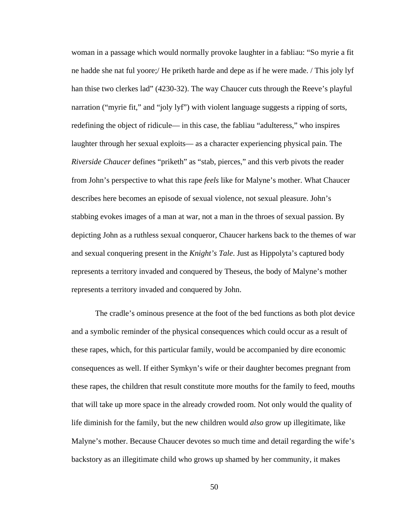woman in a passage which would normally provoke laughter in a fabliau: "So myrie a fit ne hadde she nat ful yoore;/ He priketh harde and depe as if he were made. / This joly lyf han thise two clerkes lad" (4230-32). The way Chaucer cuts through the Reeve's playful narration ("myrie fit," and "joly lyf") with violent language suggests a ripping of sorts, redefining the object of ridicule— in this case, the fabliau "adulteress," who inspires laughter through her sexual exploits— as a character experiencing physical pain. The *Riverside Chaucer* defines "priketh" as "stab, pierces," and this verb pivots the reader from John's perspective to what this rape *feels* like for Malyne's mother. What Chaucer describes here becomes an episode of sexual violence, not sexual pleasure. John's stabbing evokes images of a man at war, not a man in the throes of sexual passion. By depicting John as a ruthless sexual conqueror, Chaucer harkens back to the themes of war and sexual conquering present in the *Knight's Tale*. Just as Hippolyta's captured body represents a territory invaded and conquered by Theseus, the body of Malyne's mother represents a territory invaded and conquered by John.

The cradle's ominous presence at the foot of the bed functions as both plot device and a symbolic reminder of the physical consequences which could occur as a result of these rapes, which, for this particular family, would be accompanied by dire economic consequences as well. If either Symkyn's wife or their daughter becomes pregnant from these rapes, the children that result constitute more mouths for the family to feed, mouths that will take up more space in the already crowded room. Not only would the quality of life diminish for the family, but the new children would *also* grow up illegitimate, like Malyne's mother. Because Chaucer devotes so much time and detail regarding the wife's backstory as an illegitimate child who grows up shamed by her community, it makes

50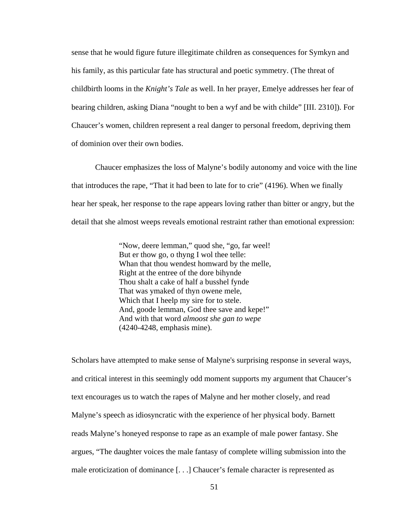sense that he would figure future illegitimate children as consequences for Symkyn and his family, as this particular fate has structural and poetic symmetry. (The threat of childbirth looms in the *Knight's Tale* as well. In her prayer, Emelye addresses her fear of bearing children, asking Diana "nought to ben a wyf and be with childe" [III. 2310]). For Chaucer's women, children represent a real danger to personal freedom, depriving them of dominion over their own bodies.

Chaucer emphasizes the loss of Malyne's bodily autonomy and voice with the line that introduces the rape, "That it had been to late for to crie" (4196). When we finally hear her speak, her response to the rape appears loving rather than bitter or angry, but the detail that she almost weeps reveals emotional restraint rather than emotional expression:

> "Now, deere lemman," quod she, "go, far weel! But er thow go, o thyng I wol thee telle: Whan that thou wendest homward by the melle, Right at the entree of the dore bihynde Thou shalt a cake of half a busshel fynde That was ymaked of thyn owene mele, Which that I heelp my sire for to stele. And, goode lemman, God thee save and kepe!" And with that word *almoost she gan to wepe* (4240-4248, emphasis mine).

Scholars have attempted to make sense of Malyne's surprising response in several ways, and critical interest in this seemingly odd moment supports my argument that Chaucer's text encourages us to watch the rapes of Malyne and her mother closely, and read Malyne's speech as idiosyncratic with the experience of her physical body. Barnett reads Malyne's honeyed response to rape as an example of male power fantasy. She argues, "The daughter voices the male fantasy of complete willing submission into the male eroticization of dominance [. . .] Chaucer's female character is represented as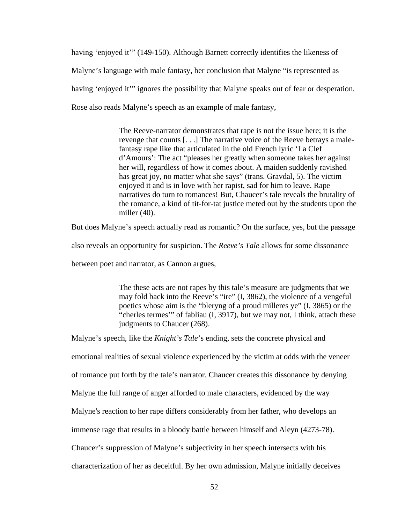having 'enjoyed it'" (149-150). Although Barnett correctly identifies the likeness of Malyne's language with male fantasy, her conclusion that Malyne "is represented as having 'enjoyed it'" ignores the possibility that Malyne speaks out of fear or desperation. Rose also reads Malyne's speech as an example of male fantasy,

> The Reeve-narrator demonstrates that rape is not the issue here; it is the revenge that counts [. . .] The narrative voice of the Reeve betrays a malefantasy rape like that articulated in the old French lyric 'La Clef d'Amours': The act "pleases her greatly when someone takes her against her will, regardless of how it comes about. A maiden suddenly ravished has great joy, no matter what she says" (trans. Gravdal, 5). The victim enjoyed it and is in love with her rapist, sad for him to leave. Rape narratives do turn to romances! But, Chaucer's tale reveals the brutality of the romance, a kind of tit-for-tat justice meted out by the students upon the miller (40).

But does Malyne's speech actually read as romantic? On the surface, yes, but the passage

also reveals an opportunity for suspicion. The *Reeve's Tale* allows for some dissonance

between poet and narrator, as Cannon argues,

The these acts are not rapes by this tale's measure are judgments that we may fold back into the Reeve's "ire" (I, 3862), the violence of a vengeful poetics whose aim is the "bleryng of a proud milleres ye" (I, 3865) or the "cherles termes'" of fabliau (I, 3917), but we may not, I think, attach these judgments to Chaucer (268).

Malyne's speech, like the *Knight's Tale*'s ending, sets the concrete physical and emotional realities of sexual violence experienced by the victim at odds with the veneer of romance put forth by the tale's narrator. Chaucer creates this dissonance by denying Malyne the full range of anger afforded to male characters, evidenced by the way Malyne's reaction to her rape differs considerably from her father, who develops an immense rage that results in a bloody battle between himself and Aleyn (4273-78). Chaucer's suppression of Malyne's subjectivity in her speech intersects with his characterization of her as deceitful. By her own admission, Malyne initially deceives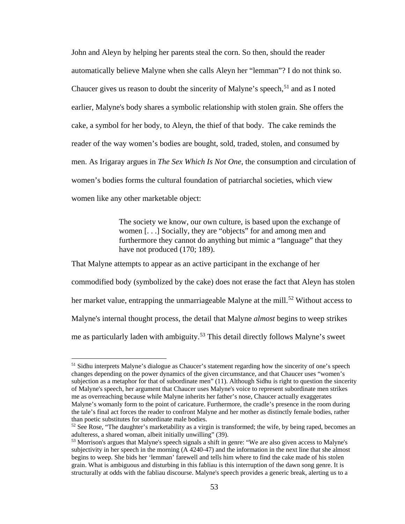John and Aleyn by helping her parents steal the corn. So then, should the reader automatically believe Malyne when she calls Aleyn her "lemman"? I do not think so. Chaucer gives us reason to doubt the sincerity of Malyne's speech,  $51$  and as I noted earlier, Malyne's body shares a symbolic relationship with stolen grain. She offers the cake, a symbol for her body, to Aleyn, the thief of that body. The cake reminds the reader of the way women's bodies are bought, sold, traded, stolen, and consumed by men. As Irigaray argues in *The Sex Which Is Not One*, the consumption and circulation of women's bodies forms the cultural foundation of patriarchal societies, which view women like any other marketable object:

> The society we know, our own culture, is based upon the exchange of women [. . .] Socially, they are "objects" for and among men and furthermore they cannot do anything but mimic a "language" that they have not produced (170; 189).

That Malyne attempts to appear as an active participant in the exchange of her commodified body (symbolized by the cake) does not erase the fact that Aleyn has stolen her market value, entrapping the unmarriageable Malyne at the mill.<sup>[52](#page-59-1)</sup> Without access to Malyne's internal thought process, the detail that Malyne *almost* begins to weep strikes me as particularly laden with ambiguity. [53](#page-59-2) This detail directly follows Malyne's sweet

 $\overline{a}$ 

<span id="page-59-0"></span><sup>&</sup>lt;sup>51</sup> Sidhu interprets Malyne's dialogue as Chaucer's statement regarding how the sincerity of one's speech changes depending on the power dynamics of the given circumstance, and that Chaucer uses "women's subjection as a metaphor for that of subordinate men" (11). Although Sidhu is right to question the sincerity of Malyne's speech, her argument that Chaucer uses Malyne's voice to represent subordinate men strikes me as overreaching because while Malyne inherits her father's nose, Chaucer actually exaggerates Malyne's womanly form to the point of caricature. Furthermore, the cradle's presence in the room during the tale's final act forces the reader to confront Malyne and her mother as distinctly female bodies, rather than poetic substitutes for subordinate male bodies.

<span id="page-59-1"></span> $52$  See Rose, "The daughter's marketability as a virgin is transformed; the wife, by being raped, becomes an adulteress, a shared woman, albeit initially unwilling" (39).<br><sup>53</sup> Morrison's argues that Malyne's speech signals a shift in genre: "We are also given access to Malyne's

<span id="page-59-2"></span>subjectivity in her speech in the morning (A 4240-47) and the information in the next line that she almost begins to weep. She bids her 'lemman' farewell and tells him where to find the cake made of his stolen grain. What is ambiguous and disturbing in this fabliau is this interruption of the dawn song genre. It is structurally at odds with the fabliau discourse. Malyne's speech provides a generic break, alerting us to a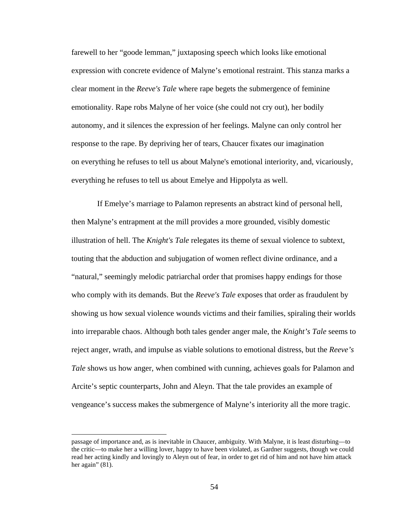farewell to her "goode lemman," juxtaposing speech which looks like emotional expression with concrete evidence of Malyne's emotional restraint. This stanza marks a clear moment in the *Reeve's Tale* where rape begets the submergence of feminine emotionality. Rape robs Malyne of her voice (she could not cry out), her bodily autonomy, and it silences the expression of her feelings. Malyne can only control her response to the rape. By depriving her of tears, Chaucer fixates our imagination on everything he refuses to tell us about Malyne's emotional interiority, and, vicariously, everything he refuses to tell us about Emelye and Hippolyta as well.

If Emelye's marriage to Palamon represents an abstract kind of personal hell, then Malyne's entrapment at the mill provides a more grounded, visibly domestic illustration of hell. The *Knight's Tale* relegates its theme of sexual violence to subtext, touting that the abduction and subjugation of women reflect divine ordinance, and a "natural," seemingly melodic patriarchal order that promises happy endings for those who comply with its demands. But the *Reeve's Tale* exposes that order as fraudulent by showing us how sexual violence wounds victims and their families, spiraling their worlds into irreparable chaos. Although both tales gender anger male, the *Knight's Tale* seems to reject anger, wrath, and impulse as viable solutions to emotional distress, but the *Reeve's Tale* shows us how anger, when combined with cunning, achieves goals for Palamon and Arcite's septic counterparts, John and Aleyn. That the tale provides an example of vengeance's success makes the submergence of Malyne's interiority all the more tragic.

passage of importance and, as is inevitable in Chaucer, ambiguity. With Malyne, it is least disturbing—to the critic—to make her a willing lover, happy to have been violated, as Gardner suggests, though we could read her acting kindly and lovingly to Aleyn out of fear, in order to get rid of him and not have him attack her again" (81).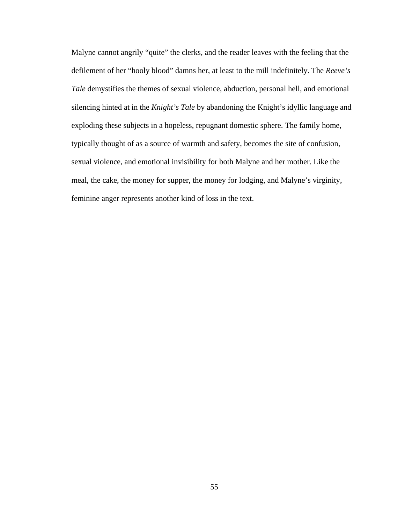Malyne cannot angrily "quite" the clerks, and the reader leaves with the feeling that the defilement of her "hooly blood" damns her, at least to the mill indefinitely. The *Reeve's Tale* demystifies the themes of sexual violence, abduction, personal hell, and emotional silencing hinted at in the *Knight's Tale* by abandoning the Knight's idyllic language and exploding these subjects in a hopeless, repugnant domestic sphere. The family home, typically thought of as a source of warmth and safety, becomes the site of confusion, sexual violence, and emotional invisibility for both Malyne and her mother. Like the meal, the cake, the money for supper, the money for lodging, and Malyne's virginity, feminine anger represents another kind of loss in the text.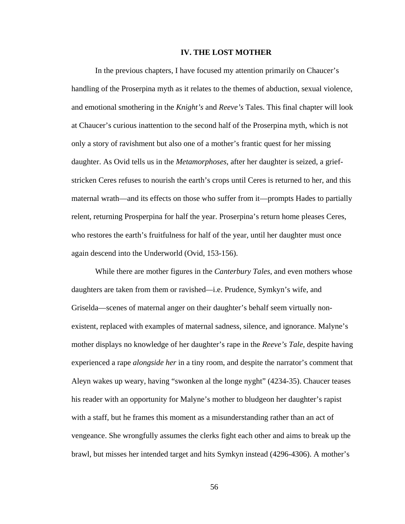## **IV. THE LOST MOTHER**

In the previous chapters, I have focused my attention primarily on Chaucer's handling of the Proserpina myth as it relates to the themes of abduction, sexual violence, and emotional smothering in the *Knight's* and *Reeve's* Tales. This final chapter will look at Chaucer's curious inattention to the second half of the Proserpina myth, which is not only a story of ravishment but also one of a mother's frantic quest for her missing daughter. As Ovid tells us in the *Metamorphoses*, after her daughter is seized, a griefstricken Ceres refuses to nourish the earth's crops until Ceres is returned to her, and this maternal wrath—and its effects on those who suffer from it—prompts Hades to partially relent, returning Prosperpina for half the year. Proserpina's return home pleases Ceres, who restores the earth's fruitfulness for half of the year, until her daughter must once again descend into the Underworld (Ovid, 153-156).

While there are mother figures in the *Canterbury Tales*, and even mothers whose daughters are taken from them or ravished*—*i.e. Prudence, Symkyn's wife, and Griselda—scenes of maternal anger on their daughter's behalf seem virtually nonexistent, replaced with examples of maternal sadness, silence, and ignorance. Malyne's mother displays no knowledge of her daughter's rape in the *Reeve's Tale*, despite having experienced a rape *alongside her* in a tiny room, and despite the narrator's comment that Aleyn wakes up weary, having "swonken al the longe nyght" (4234-35). Chaucer teases his reader with an opportunity for Malyne's mother to bludgeon her daughter's rapist with a staff, but he frames this moment as a misunderstanding rather than an act of vengeance. She wrongfully assumes the clerks fight each other and aims to break up the brawl, but misses her intended target and hits Symkyn instead (4296-4306). A mother's

56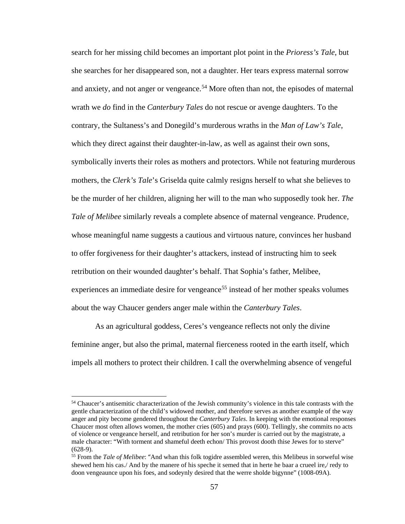search for her missing child becomes an important plot point in the *Prioress's Tale*, but she searches for her disappeared son, not a daughter. Her tears express maternal sorrow and anxiety, and not anger or vengeance.<sup>[54](#page-63-0)</sup> More often than not, the episodes of maternal wrath we *do* find in the *Canterbury Tales* do not rescue or avenge daughters. To the contrary, the Sultaness's and Donegild's murderous wraths in the *Man of Law's Tale*, which they direct against their daughter-in-law, as well as against their own sons, symbolically inverts their roles as mothers and protectors. While not featuring murderous mothers, the *Clerk's Tale*'s Griselda quite calmly resigns herself to what she believes to be the murder of her children, aligning her will to the man who supposedly took her. *The Tale of Melibee* similarly reveals a complete absence of maternal vengeance. Prudence, whose meaningful name suggests a cautious and virtuous nature, convinces her husband to offer forgiveness for their daughter's attackers, instead of instructing him to seek retribution on their wounded daughter's behalf. That Sophia's father, Melibee, experiences an immediate desire for vengeance<sup>[55](#page-63-1)</sup> instead of her mother speaks volumes about the way Chaucer genders anger male within the *Canterbury Tales*.

As an agricultural goddess, Ceres's vengeance reflects not only the divine feminine anger, but also the primal, maternal fierceness rooted in the earth itself, which impels all mothers to protect their children. I call the overwhelming absence of vengeful

<span id="page-63-0"></span><sup>54</sup> Chaucer's antisemitic characterization of the Jewish community's violence in this tale contrasts with the gentle characterization of the child's widowed mother, and therefore serves as another example of the way anger and pity become gendered throughout the *Canterbury Tales*. In keeping with the emotional responses Chaucer most often allows women, the mother cries (605) and prays (600). Tellingly, she commits no acts of violence or vengeance herself, and retribution for her son's murder is carried out by the magistrate, a male character: "With torment and shameful deeth echon/ This provost dooth thise Jewes for to sterve"  $(628-9)$ .

<span id="page-63-1"></span><sup>55</sup> From the *Tale of Melibee*: "And whan this folk togidre assembled weren, this Melibeus in sorweful wise shewed hem his cas./ And by the manere of his speche it semed that in herte he baar a crueel ire,/ redy to doon vengeaunce upon his foes, and sodeynly desired that the werre sholde bigynne" (1008-09A).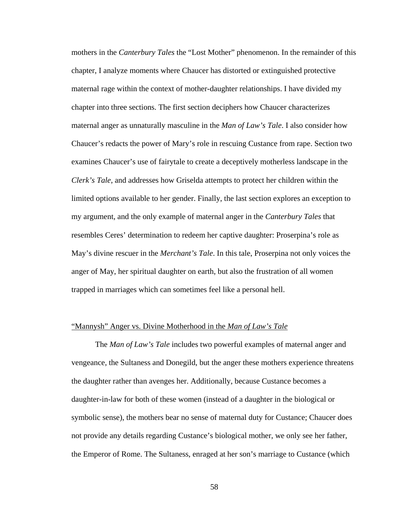mothers in the *Canterbury Tales* the "Lost Mother" phenomenon. In the remainder of this chapter, I analyze moments where Chaucer has distorted or extinguished protective maternal rage within the context of mother-daughter relationships. I have divided my chapter into three sections. The first section deciphers how Chaucer characterizes maternal anger as unnaturally masculine in the *Man of Law's Tale*. I also consider how Chaucer's redacts the power of Mary's role in rescuing Custance from rape. Section two examines Chaucer's use of fairytale to create a deceptively motherless landscape in the *Clerk's Tale*, and addresses how Griselda attempts to protect her children within the limited options available to her gender. Finally, the last section explores an exception to my argument, and the only example of maternal anger in the *Canterbury Tales* that resembles Ceres' determination to redeem her captive daughter: Proserpina's role as May's divine rescuer in the *Merchant's Tale*. In this tale, Proserpina not only voices the anger of May, her spiritual daughter on earth, but also the frustration of all women trapped in marriages which can sometimes feel like a personal hell.

## "Mannysh" Anger vs. Divine Motherhood in the *Man of Law's Tale*

The *Man of Law's Tale* includes two powerful examples of maternal anger and vengeance, the Sultaness and Donegild, but the anger these mothers experience threatens the daughter rather than avenges her. Additionally, because Custance becomes a daughter-in-law for both of these women (instead of a daughter in the biological or symbolic sense), the mothers bear no sense of maternal duty for Custance; Chaucer does not provide any details regarding Custance's biological mother, we only see her father, the Emperor of Rome. The Sultaness, enraged at her son's marriage to Custance (which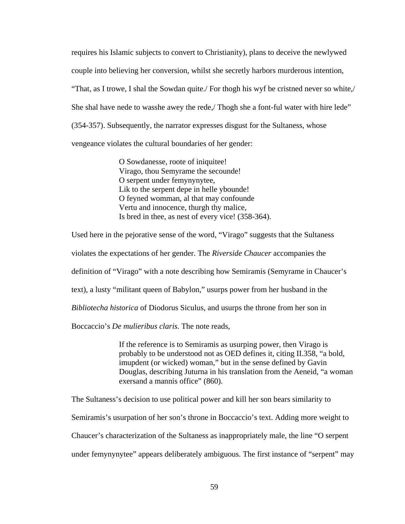requires his Islamic subjects to convert to Christianity), plans to deceive the newlywed couple into believing her conversion, whilst she secretly harbors murderous intention, "That, as I trowe, I shal the Sowdan quite./ For thogh his wyf be cristned never so white,/ She shal have nede to wasshe awey the rede,/ Thogh she a font-ful water with hire lede" (354-357). Subsequently, the narrator expresses disgust for the Sultaness, whose vengeance violates the cultural boundaries of her gender:

> O Sowdanesse, roote of iniquitee! Virago, thou Semyrame the secounde! O serpent under femynynytee, Lik to the serpent depe in helle ybounde! O feyned womman, al that may confounde Vertu and innocence, thurgh thy malice, Is bred in thee, as nest of every vice! (358-364).

Used here in the pejorative sense of the word, "Virago" suggests that the Sultaness violates the expectations of her gender. The *Riverside Chaucer* accompanies the definition of "Virago" with a note describing how Semiramis (Semyrame in Chaucer's text), a lusty "militant queen of Babylon," usurps power from her husband in the *Bibliotecha historica* of Diodorus Siculus, and usurps the throne from her son in Boccaccio's *De mulieribus claris*. The note reads,

> If the reference is to Semiramis as usurping power, then Virago is probably to be understood not as OED defines it, citing II.358, "a bold, imupdent (or wicked) woman," but in the sense defined by Gavin Douglas, describing Juturna in his translation from the Aeneid, "a woman exersand a mannis office" (860).

The Sultaness's decision to use political power and kill her son bears similarity to

Semiramis's usurpation of her son's throne in Boccaccio's text. Adding more weight to

Chaucer's characterization of the Sultaness as inappropriately male, the line "O serpent

under femynynytee" appears deliberately ambiguous. The first instance of "serpent" may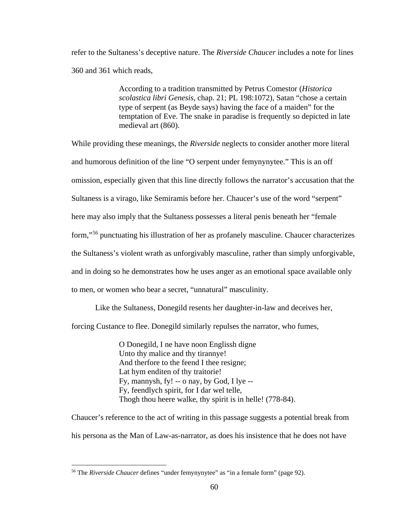refer to the Sultaness's deceptive nature. The *Riverside Chaucer* includes a note for lines 360 and 361 which reads,

> According to a tradition transmitted by Petrus Comestor (*Historica scolastica libri Genesis*, chap. 21; PL 198:1072), Satan "chose a certain type of serpent (as Beyde says) having the face of a maiden" for the temptation of Eve. The snake in paradise is frequently so depicted in late medieval art (860).

While providing these meanings, the *Riverside* neglects to consider another more literal and humorous definition of the line "O serpent under femynynytee." This is an off omission, especially given that this line directly follows the narrator's accusation that the Sultaness is a virago, like Semiramis before her. Chaucer's use of the word "serpent" here may also imply that the Sultaness possesses a literal penis beneath her "female form,"[56](#page-66-0) punctuating his illustration of her as profanely masculine. Chaucer characterizes the Sultaness's violent wrath as unforgivably masculine, rather than simply unforgivable, and in doing so he demonstrates how he uses anger as an emotional space available only to men, or women who bear a secret, "unnatural" masculinity.

Like the Sultaness, Donegild resents her daughter-in-law and deceives her,

forcing Custance to flee. Donegild similarly repulses the narrator, who fumes,

O Donegild, I ne have noon Englissh digne Unto thy malice and thy tirannye! And therfore to the feend I thee resigne; Lat hym enditen of thy traitorie! Fy, mannysh, fy! -- o nay, by God, I lye -- Fy, feendlych spirit, for I dar wel telle, Thogh thou heere walke, thy spirit is in helle! (778-84).

Chaucer's reference to the act of writing in this passage suggests a potential break from his persona as the Man of Law-as-narrator, as does his insistence that he does not have

l

<span id="page-66-0"></span><sup>56</sup> The *Riverside Chaucer* defines "under femynynytee" as "in a female form" (page 92).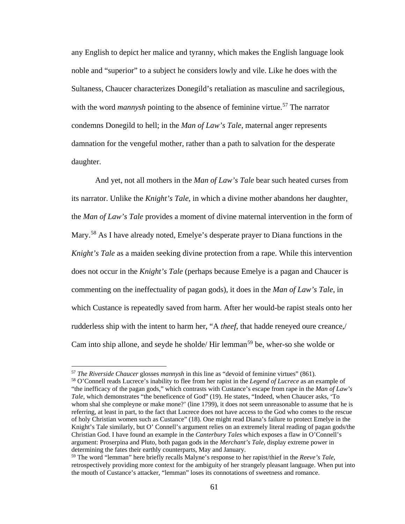any English to depict her malice and tyranny, which makes the English language look noble and "superior" to a subject he considers lowly and vile. Like he does with the Sultaness, Chaucer characterizes Donegild's retaliation as masculine and sacrilegious, with the word *mannysh* pointing to the absence of feminine virtue.<sup>[57](#page-67-0)</sup> The narrator condemns Donegild to hell; in the *Man of Law's Tale*, maternal anger represents damnation for the vengeful mother, rather than a path to salvation for the desperate daughter.

And yet, not all mothers in the *Man of Law's Tale* bear such heated curses from its narrator. Unlike the *Knight's Tale*, in which a divine mother abandons her daughter, the *Man of Law's Tale* provides a moment of divine maternal intervention in the form of Mary.<sup>[58](#page-67-1)</sup> As I have already noted, Emelye's desperate prayer to Diana functions in the *Knight's Tale* as a maiden seeking divine protection from a rape. While this intervention does not occur in the *Knight's Tale* (perhaps because Emelye is a pagan and Chaucer is commenting on the ineffectuality of pagan gods), it does in the *Man of Law's Tale*, in which Custance is repeatedly saved from harm. After her would-be rapist steals onto her rudderless ship with the intent to harm her, "A *theef*, that hadde reneyed oure creance,/ Cam into ship allone, and seyde he sholde/ Hir lemman<sup>[59](#page-67-2)</sup> be, wher-so she wolde or

<sup>57</sup> *The Riverside Chaucer* glosses *mannysh* in this line as "devoid of feminine virtues" (861).

<span id="page-67-1"></span><span id="page-67-0"></span><sup>58</sup> O'Connell reads Lucrece's inability to flee from her rapist in the *Legend of Lucrece* as an example of "the inefficacy of the pagan gods," which contrasts with Custance's escape from rape in the *Man of Law's Tale*, which demonstrates "the beneficence of God" (19). He states, "Indeed, when Chaucer asks, 'To whom shal she compleyne or make mone?' (line 1799), it does not seem unreasonable to assume that he is referring, at least in part, to the fact that Lucrece does not have access to the God who comes to the rescue of holy Christian women such as Custance" (18). One might read Diana's failure to protect Emelye in the Knight's Tale similarly, but O' Connell's argument relies on an extremely literal reading of pagan gods/the Christian God. I have found an example in the *Canterbury Tales* which exposes a flaw in O'Connell's argument: Proserpina and Pluto, both pagan gods in the *Merchant's Tale*, display extreme power in determining the fates their earthly counterparts, May and January.

<span id="page-67-2"></span><sup>59</sup> The word "lemman" here briefly recalls Malyne's response to her rapist/thief in the *Reeve's Tale*, retrospectively providing more context for the ambiguity of her strangely pleasant language. When put into the mouth of Custance's attacker, "lemman" loses its connotations of sweetness and romance.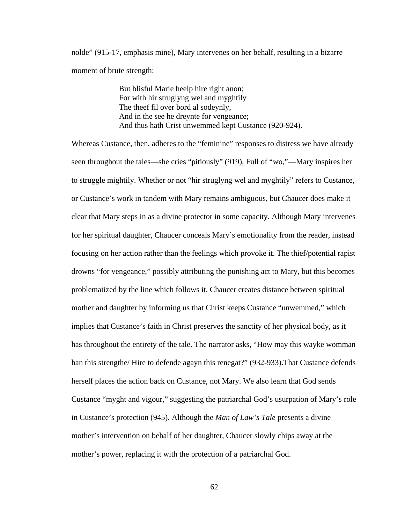nolde" (915-17, emphasis mine), Mary intervenes on her behalf, resulting in a bizarre moment of brute strength:

> But blisful Marie heelp hire right anon; For with hir struglyng wel and myghtily The theef fil over bord al sodeynly, And in the see he dreynte for vengeance; And thus hath Crist unwemmed kept Custance (920-924).

Whereas Custance, then, adheres to the "feminine" responses to distress we have already seen throughout the tales—she cries "pitiously" (919), Full of "wo,"—Mary inspires her to struggle mightily. Whether or not "hir struglyng wel and myghtily" refers to Custance, or Custance's work in tandem with Mary remains ambiguous, but Chaucer does make it clear that Mary steps in as a divine protector in some capacity. Although Mary intervenes for her spiritual daughter, Chaucer conceals Mary's emotionality from the reader, instead focusing on her action rather than the feelings which provoke it. The thief/potential rapist drowns "for vengeance," possibly attributing the punishing act to Mary, but this becomes problematized by the line which follows it. Chaucer creates distance between spiritual mother and daughter by informing us that Christ keeps Custance "unwemmed," which implies that Custance's faith in Christ preserves the sanctity of her physical body, as it has throughout the entirety of the tale. The narrator asks, "How may this wayke womman han this strengthe/Hire to defende agayn this renegat?" (932-933). That Custance defends herself places the action back on Custance, not Mary. We also learn that God sends Custance "myght and vigour," suggesting the patriarchal God's usurpation of Mary's role in Custance's protection (945). Although the *Man of Law's Tale* presents a divine mother's intervention on behalf of her daughter, Chaucer slowly chips away at the mother's power, replacing it with the protection of a patriarchal God.

62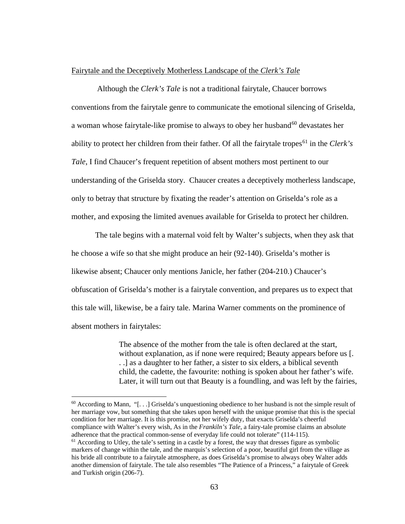## Fairytale and the Deceptively Motherless Landscape of the *Clerk's Tale*

Although the *Clerk's Tale* is not a traditional fairytale, Chaucer borrows conventions from the fairytale genre to communicate the emotional silencing of Griselda, a woman whose fairytale-like promise to always to obey her husband<sup>[60](#page-69-0)</sup> devastates her ability to protect her children from their father. Of all the fairytale tropes<sup>[61](#page-69-1)</sup> in the *Clerk's Tale*, I find Chaucer's frequent repetition of absent mothers most pertinent to our understanding of the Griselda story. Chaucer creates a deceptively motherless landscape, only to betray that structure by fixating the reader's attention on Griselda's role as a mother, and exposing the limited avenues available for Griselda to protect her children.

The tale begins with a maternal void felt by Walter's subjects, when they ask that he choose a wife so that she might produce an heir (92-140). Griselda's mother is likewise absent; Chaucer only mentions Janicle, her father (204-210.) Chaucer's obfuscation of Griselda's mother is a fairytale convention, and prepares us to expect that this tale will, likewise, be a fairy tale. Marina Warner comments on the prominence of absent mothers in fairytales:

> The absence of the mother from the tale is often declared at the start, without explanation, as if none were required; Beauty appears before us [. . .] as a daughter to her father, a sister to six elders, a biblical seventh child, the cadette, the favourite: nothing is spoken about her father's wife. Later, it will turn out that Beauty is a foundling, and was left by the fairies,

l

<span id="page-69-0"></span> $60$  According to Mann, "[...] Griselda's unquestioning obedience to her husband is not the simple result of her marriage vow, but something that she takes upon herself with the unique promise that this is the special condition for her marriage. It is this promise, not her wifely duty, that exacts Griselda's cheerful compliance with Walter's every wish, As in the *Frankiln's Tale*, a fairy-tale promise claims an absolute adherence that the practical common-sense of everyday life could not tolerate" (114-115).

<span id="page-69-1"></span> $<sup>61</sup>$  According to Utley, the tale's setting in a castle by a forest, the way that dresses figure as symbolic</sup> markers of change within the tale, and the marquis's selection of a poor, beautiful girl from the village as his bride all contribute to a fairytale atmosphere, as does Griselda's promise to always obey Walter adds another dimension of fairytale. The tale also resembles "The Patience of a Princess," a fairytale of Greek and Turkish origin (206-7).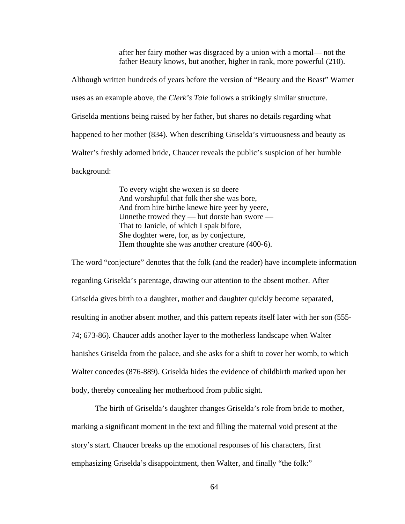after her fairy mother was disgraced by a union with a mortal— not the father Beauty knows, but another, higher in rank, more powerful (210).

Although written hundreds of years before the version of "Beauty and the Beast" Warner uses as an example above, the *Clerk's Tale* follows a strikingly similar structure. Griselda mentions being raised by her father, but shares no details regarding what happened to her mother (834). When describing Griselda's virtuousness and beauty as Walter's freshly adorned bride, Chaucer reveals the public's suspicion of her humble background:

> To every wight she woxen is so deere And worshipful that folk ther she was bore, And from hire birthe knewe hire yeer by yeere, Unnethe trowed they — but dorste han swore — That to Janicle, of which I spak bifore, She doghter were, for, as by conjecture, Hem thoughte she was another creature (400-6).

The word "conjecture" denotes that the folk (and the reader) have incomplete information regarding Griselda's parentage, drawing our attention to the absent mother. After Griselda gives birth to a daughter, mother and daughter quickly become separated, resulting in another absent mother, and this pattern repeats itself later with her son (555- 74; 673-86). Chaucer adds another layer to the motherless landscape when Walter banishes Griselda from the palace, and she asks for a shift to cover her womb, to which Walter concedes (876-889). Griselda hides the evidence of childbirth marked upon her body, thereby concealing her motherhood from public sight.

The birth of Griselda's daughter changes Griselda's role from bride to mother, marking a significant moment in the text and filling the maternal void present at the story's start. Chaucer breaks up the emotional responses of his characters, first emphasizing Griselda's disappointment, then Walter, and finally "the folk:"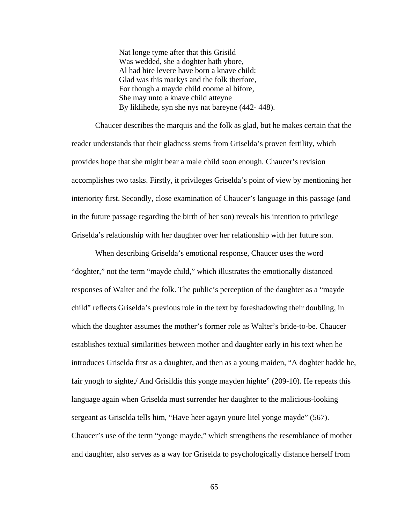Nat longe tyme after that this Grisild Was wedded, she a doghter hath ybore, Al had hire levere have born a knave child; Glad was this markys and the folk therfore, For though a mayde child coome al bifore, She may unto a knave child atteyne By liklihede, syn she nys nat bareyne (442- 448).

Chaucer describes the marquis and the folk as glad, but he makes certain that the reader understands that their gladness stems from Griselda's proven fertility, which provides hope that she might bear a male child soon enough. Chaucer's revision accomplishes two tasks. Firstly, it privileges Griselda's point of view by mentioning her interiority first. Secondly, close examination of Chaucer's language in this passage (and in the future passage regarding the birth of her son) reveals his intention to privilege Griselda's relationship with her daughter over her relationship with her future son.

When describing Griselda's emotional response, Chaucer uses the word "doghter," not the term "mayde child," which illustrates the emotionally distanced responses of Walter and the folk. The public's perception of the daughter as a "mayde child" reflects Griselda's previous role in the text by foreshadowing their doubling, in which the daughter assumes the mother's former role as Walter's bride-to-be. Chaucer establishes textual similarities between mother and daughter early in his text when he introduces Griselda first as a daughter, and then as a young maiden, "A doghter hadde he, fair ynogh to sighte,/ And Grisildis this yonge mayden highte" (209-10). He repeats this language again when Griselda must surrender her daughter to the malicious-looking sergeant as Griselda tells him, "Have heer agayn youre litel yonge mayde" (567). Chaucer's use of the term "yonge mayde," which strengthens the resemblance of mother and daughter, also serves as a way for Griselda to psychologically distance herself from

65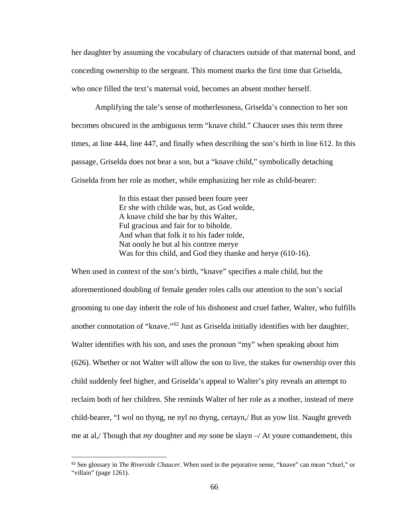her daughter by assuming the vocabulary of characters outside of that maternal bond, and conceding ownership to the sergeant. This moment marks the first time that Griselda, who once filled the text's maternal void, becomes an absent mother herself.

Amplifying the tale's sense of motherlessness, Griselda's connection to her son becomes obscured in the ambiguous term "knave child." Chaucer uses this term three times, at line 444, line 447, and finally when describing the son's birth in line 612. In this passage, Griselda does not bear a son, but a "knave child," symbolically detaching Griselda from her role as mother, while emphasizing her role as child-bearer:

> In this estaat ther passed been foure yeer Er she with childe was, but, as God wolde, A knave child she bar by this Walter, Ful gracious and fair for to biholde. And whan that folk it to his fader tolde, Nat oonly he but al his contree merye Was for this child, and God they thanke and herye (610-16).

When used in context of the son's birth, "knave" specifies a male child, but the aforementioned doubling of female gender roles calls our attention to the son's social grooming to one day inherit the role of his dishonest and cruel father, Walter, who fulfills another connotation of "knave."[62](#page-72-0) Just as Griselda initially identifies with her daughter, Walter identifies with his son, and uses the pronoun "my" when speaking about him (626). Whether or not Walter will allow the son to live, the stakes for ownership over this child suddenly feel higher, and Griselda's appeal to Walter's pity reveals an attempt to reclaim both of her children. She reminds Walter of her role as a mother, instead of mere child-bearer, "I wol no thyng, ne nyl no thyng, certayn,/ But as yow list. Naught greveth me at al,/ Though that *my* doughter and *my* sone be slayn –/ At youre comandement, this

<span id="page-72-0"></span> <sup>62</sup> See glossary in *The Riverside Chaucer*. When used in the pejorative sense, "knave" can mean "churl," or "villain" (page 1261).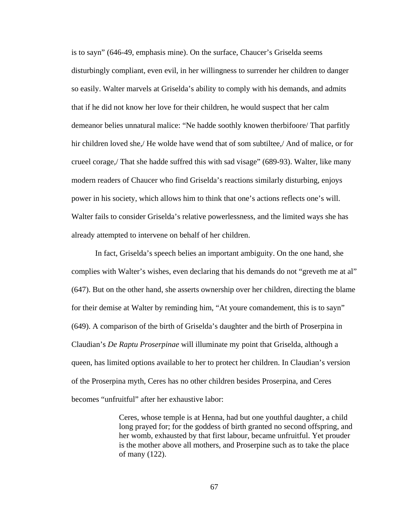is to sayn" (646-49, emphasis mine). On the surface, Chaucer's Griselda seems disturbingly compliant, even evil, in her willingness to surrender her children to danger so easily. Walter marvels at Griselda's ability to comply with his demands, and admits that if he did not know her love for their children, he would suspect that her calm demeanor belies unnatural malice: "Ne hadde soothly knowen therbifoore/ That parfitly hir children loved she,/ He wolde have wend that of som subtiltee,/ And of malice, or for crueel corage,/ That she hadde suffred this with sad visage" (689-93). Walter, like many modern readers of Chaucer who find Griselda's reactions similarly disturbing, enjoys power in his society, which allows him to think that one's actions reflects one's will. Walter fails to consider Griselda's relative powerlessness, and the limited ways she has already attempted to intervene on behalf of her children.

In fact, Griselda's speech belies an important ambiguity. On the one hand, she complies with Walter's wishes, even declaring that his demands do not "greveth me at al" (647). But on the other hand, she asserts ownership over her children, directing the blame for their demise at Walter by reminding him, "At youre comandement, this is to sayn" (649). A comparison of the birth of Griselda's daughter and the birth of Proserpina in Claudian's *De Raptu Proserpinae* will illuminate my point that Griselda, although a queen, has limited options available to her to protect her children. In Claudian's version of the Proserpina myth, Ceres has no other children besides Proserpina, and Ceres becomes "unfruitful" after her exhaustive labor:

> Ceres, whose temple is at Henna, had but one youthful daughter, a child long prayed for; for the goddess of birth granted no second offspring, and her womb, exhausted by that first labour, became unfruitful. Yet prouder is the mother above all mothers, and Proserpine such as to take the place of many (122).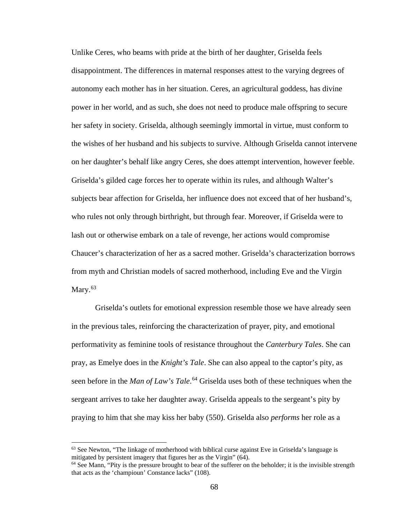Unlike Ceres, who beams with pride at the birth of her daughter, Griselda feels disappointment. The differences in maternal responses attest to the varying degrees of autonomy each mother has in her situation. Ceres, an agricultural goddess, has divine power in her world, and as such, she does not need to produce male offspring to secure her safety in society. Griselda, although seemingly immortal in virtue, must conform to the wishes of her husband and his subjects to survive. Although Griselda cannot intervene on her daughter's behalf like angry Ceres, she does attempt intervention, however feeble. Griselda's gilded cage forces her to operate within its rules, and although Walter's subjects bear affection for Griselda, her influence does not exceed that of her husband's, who rules not only through birthright, but through fear. Moreover, if Griselda were to lash out or otherwise embark on a tale of revenge, her actions would compromise Chaucer's characterization of her as a sacred mother. Griselda's characterization borrows from myth and Christian models of sacred motherhood, including Eve and the Virgin Mary. $63$ 

Griselda's outlets for emotional expression resemble those we have already seen in the previous tales, reinforcing the characterization of prayer, pity, and emotional performativity as feminine tools of resistance throughout the *Canterbury Tales*. She can pray, as Emelye does in the *Knight's Tale*. She can also appeal to the captor's pity, as seen before in the *Man of Law's Tale*. [64](#page-74-1) Griselda uses both of these techniques when the sergeant arrives to take her daughter away. Griselda appeals to the sergeant's pity by praying to him that she may kiss her baby (550). Griselda also *performs* her role as a

l

<span id="page-74-0"></span> $63$  See Newton, "The linkage of motherhood with biblical curse against Eve in Griselda's language is mitigated by persistent imagery that figures her as the Virgin" (64).

<span id="page-74-1"></span><sup>&</sup>lt;sup>64</sup> See Mann, "Pity is the pressure brought to bear of the sufferer on the beholder; it is the invisible strength that acts as the 'champioun' Constance lacks" (108).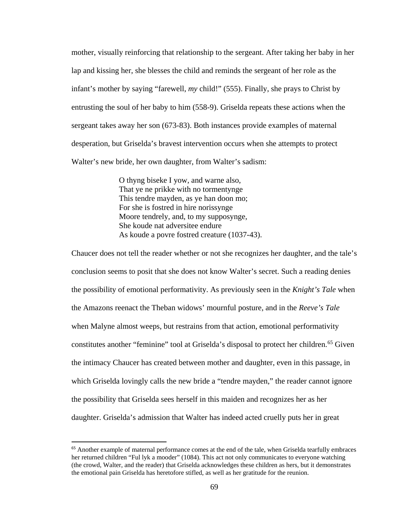mother, visually reinforcing that relationship to the sergeant. After taking her baby in her lap and kissing her, she blesses the child and reminds the sergeant of her role as the infant's mother by saying "farewell, *my* child!" (555). Finally, she prays to Christ by entrusting the soul of her baby to him (558-9). Griselda repeats these actions when the sergeant takes away her son (673-83). Both instances provide examples of maternal desperation, but Griselda's bravest intervention occurs when she attempts to protect Walter's new bride, her own daughter, from Walter's sadism:

> O thyng biseke I yow, and warne also, That ye ne prikke with no tormentynge This tendre mayden, as ye han doon mo; For she is fostred in hire norissynge Moore tendrely, and, to my supposynge, She koude nat adversitee endure As koude a povre fostred creature (1037-43).

Chaucer does not tell the reader whether or not she recognizes her daughter, and the tale's conclusion seems to posit that she does not know Walter's secret. Such a reading denies the possibility of emotional performativity. As previously seen in the *Knight's Tale* when the Amazons reenact the Theban widows' mournful posture, and in the *Reeve's Tale* when Malyne almost weeps, but restrains from that action, emotional performativity constitutes another "feminine" tool at Griselda's disposal to protect her children.<sup>[65](#page-75-0)</sup> Given the intimacy Chaucer has created between mother and daughter, even in this passage, in which Griselda lovingly calls the new bride a "tendre mayden," the reader cannot ignore the possibility that Griselda sees herself in this maiden and recognizes her as her daughter. Griselda's admission that Walter has indeed acted cruelly puts her in great

<span id="page-75-0"></span><sup>&</sup>lt;sup>65</sup> Another example of maternal performance comes at the end of the tale, when Griselda tearfully embraces her returned children "Ful lyk a mooder" (1084). This act not only communicates to everyone watching (the crowd, Walter, and the reader) that Griselda acknowledges these children as hers, but it demonstrates the emotional pain Griselda has heretofore stifled, as well as her gratitude for the reunion.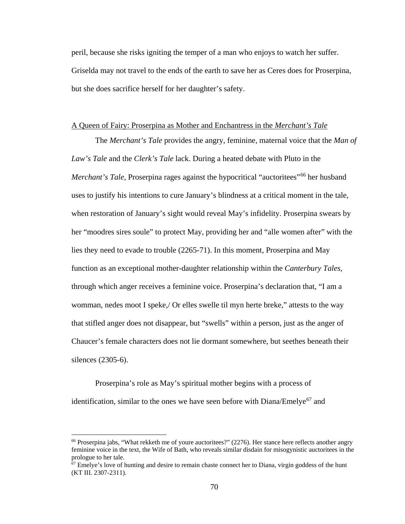peril, because she risks igniting the temper of a man who enjoys to watch her suffer. Griselda may not travel to the ends of the earth to save her as Ceres does for Proserpina, but she does sacrifice herself for her daughter's safety.

## A Queen of Fairy: Proserpina as Mother and Enchantress in the *Merchant's Tale*

The *Merchant's Tale* provides the angry, feminine, maternal voice that the *Man of Law's Tale* and the *Clerk's Tale* lack. During a heated debate with Pluto in the *Merchant's Tale*, Proserpina rages against the hypocritical "auctoritees"<sup>[66](#page-76-0)</sup> her husband uses to justify his intentions to cure January's blindness at a critical moment in the tale, when restoration of January's sight would reveal May's infidelity. Proserpina swears by her "moodres sires soule" to protect May, providing her and "alle women after" with the lies they need to evade to trouble (2265-71). In this moment, Proserpina and May function as an exceptional mother-daughter relationship within the *Canterbury Tales*, through which anger receives a feminine voice. Proserpina's declaration that, "I am a womman, nedes moot I speke,/ Or elles swelle til myn herte breke," attests to the way that stifled anger does not disappear, but "swells" within a person, just as the anger of Chaucer's female characters does not lie dormant somewhere, but seethes beneath their silences (2305-6).

Proserpina's role as May's spiritual mother begins with a process of identification, similar to the ones we have seen before with  $Diana/Emelye^{67}$  $Diana/Emelye^{67}$  $Diana/Emelye^{67}$  and

<span id="page-76-0"></span><sup>&</sup>lt;sup>66</sup> Proserpina jabs, "What rekketh me of youre auctoritees?" (2276). Her stance here reflects another angry feminine voice in the text, the Wife of Bath, who reveals similar disdain for misogynistic auctoritees in the prologue to her tale.

<span id="page-76-1"></span> $67$  Emelye's love of hunting and desire to remain chaste connect her to Diana, virgin goddess of the hunt (KT III. 2307-2311).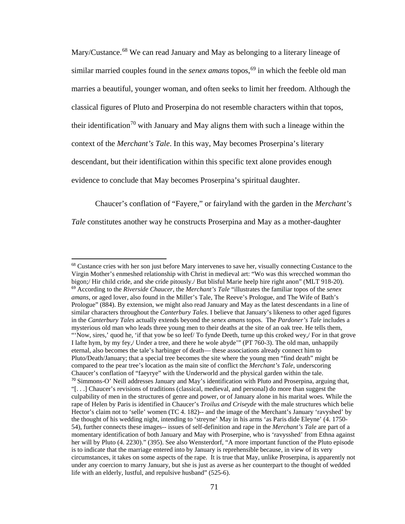Mary/Custance.<sup>[68](#page-77-0)</sup> We can read January and May as belonging to a literary lineage of similar married couples found in the *senex amans* topos,<sup>[69](#page-77-1)</sup> in which the feeble old man marries a beautiful, younger woman, and often seeks to limit her freedom. Although the classical figures of Pluto and Proserpina do not resemble characters within that topos, their identification<sup>[70](#page-77-2)</sup> with January and May aligns them with such a lineage within the context of the *Merchant's Tale*. In this way, May becomes Proserpina's literary descendant, but their identification within this specific text alone provides enough evidence to conclude that May becomes Proserpina's spiritual daughter.

Chaucer's conflation of "Fayere," or fairyland with the garden in the *Merchant's Tale* constitutes another way he constructs Proserpina and May as a mother-daughter

<span id="page-77-2"></span><span id="page-77-1"></span><span id="page-77-0"></span><sup>&</sup>lt;sup>68</sup> Custance cries with her son just before Mary intervenes to save her, visually connecting Custance to the Virgin Mother's enmeshed relationship with Christ in medieval art: "Wo was this wrecched womman tho bigon;/ Hir child cride, and she cride pitously./ But blisful Marie heelp hire right anon" (MLT 918-20). <sup>69</sup> According to the *Riverside Chaucer*, the *Merchant's Tale* "illustrates the familiar topos of the *senex amans*, or aged lover, also found in the Miller's Tale, The Reeve's Prologue, and The Wife of Bath's Prologue" (884). By extension, we might also read January and May as the latest descendants in a line of similar characters throughout the *Canterbury Tales*. I believe that January's likeness to other aged figures in the *Canterbury Tales* actually extends beyond the *senex amans* topos. The *Pardoner's Tale* includes a mysterious old man who leads three young men to their deaths at the site of an oak tree. He tells them, "'Now, sires,' quod he, 'if that yow be so leef/ To fynde Deeth, turne up this croked wey,/ For in that grove I lafte hym, by my fey,/ Under a tree, and there he wole abyde'" (PT 760-3). The old man, unhappily eternal, also becomes the tale's harbinger of death— these associations already connect him to Pluto/Death/January; that a special tree becomes the site where the young men "find death" might be compared to the pear tree's location as the main site of conflict the *Merchant's Tale*, underscoring Chaucer's conflation of "faeyrye" with the Underworld and the physical garden within the tale.  $70$  Simmons-O' Neill addresses January and May's identification with Pluto and Proserpina, arguing that, "[. . .] Chaucer's revisions of traditions (classical, medieval, and personal) do more than suggest the culpability of men in the structures of genre and power, or of January alone in his marital woes. While the rape of Helen by Paris is identified in Chaucer's *Troilus and Criseyde* with the male structures which belie Hector's claim not to 'selle' women (TC 4. 182)-- and the image of the Merchant's January 'ravyshed' by the thought of his wedding night, intending to 'streyne' May in his arms 'as Paris dide Eleyne' (4. 1750- 54), further connects these images-- issues of self-definition and rape in the *Merchant's Tale* are part of a momentary identification of both January and May with Proserpine, who is 'ravysshed' from Ethna against her will by Pluto (4. 2230)." (395). See also Wensterdorf, "A more important function of the Pluto episode is to indicate that the marriage entered into by January is reprehensible because, in view of its very circumstances, it takes on some aspects of the rape. It is true that May, unlike Proserpina, is apparently not under any coercion to marry January, but she is just as averse as her counterpart to the thought of wedded life with an elderly, lustful, and repulsive husband" (525-6).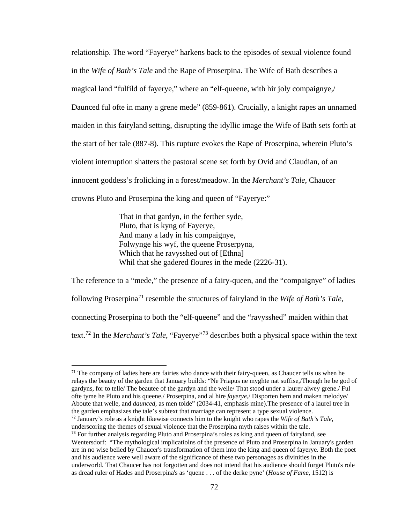relationship. The word "Fayerye" harkens back to the episodes of sexual violence found in the *Wife of Bath's Tale* and the Rape of Proserpina. The Wife of Bath describes a magical land "fulfild of fayerye," where an "elf-queene, with hir joly compaignye,/ Daunced ful ofte in many a grene mede" (859-861). Crucially, a knight rapes an unnamed maiden in this fairyland setting, disrupting the idyllic image the Wife of Bath sets forth at the start of her tale (887-8). This rupture evokes the Rape of Proserpina, wherein Pluto's violent interruption shatters the pastoral scene set forth by Ovid and Claudian, of an innocent goddess's frolicking in a forest/meadow. In the *Merchant's Tale*, Chaucer crowns Pluto and Proserpina the king and queen of "Fayerye:"

> That in that gardyn, in the ferther syde, Pluto, that is kyng of Fayerye, And many a lady in his compaignye, Folwynge his wyf, the queene Proserpyna, Which that he ravysshed out of [Ethna] Whil that she gadered floures in the mede (2226-31).

The reference to a "mede," the presence of a fairy-queen, and the "compaignye" of ladies following Proserpina[71](#page-78-0) resemble the structures of fairyland in the *Wife of Bath's Tale*, connecting Proserpina to both the "elf-queene" and the "ravysshed" maiden within that text.[72](#page-78-1) In the *Merchant's Tale*, "Fayerye"[73](#page-78-2) describes both a physical space within the text

<span id="page-78-1"></span><sup>72</sup> January's role as a knight likewise connects him to the knight who rapes the *Wife of Bath's Tale*, underscoring the themes of sexual violence that the Proserpina myth raises within the tale.

<span id="page-78-0"></span> $71$  The company of ladies here are fairies who dance with their fairy-queen, as Chaucer tells us when he relays the beauty of the garden that January builds: "Ne Priapus ne myghte nat suffise,/Though he be god of gardyns, for to telle/ The beautee of the gardyn and the welle/ That stood under a laurer alwey grene./ Ful ofte tyme he Pluto and his queene,/ Proserpina, and al hire *fayerye*,/ Disporten hem and maken melodye/ Aboute that welle, and *daunced*, as men tolde" (2034-41, emphasis mine).The presence of a laurel tree in the garden emphasizes the tale's subtext that marriage can represent a type sexual violence.

<span id="page-78-2"></span> $<sup>73</sup>$  For further analysis regarding Pluto and Proserpina's roles as king and queen of fairyland, see</sup> Wentersdorf: "The mythological implicatiolns of the presence of Pluto and Proserpina in January's garden are in no wise belied by Chaucer's transformation of them into the king and queen of fayerye. Both the poet and his audience were well aware of the significance of these two personages as divinities in the underworld. That Chaucer has not forgotten and does not intend that his audience should forget Pluto's role as dread ruler of Hades and Proserpina's as 'quene . . . of the derke pyne' (*House of Fame*, 1512) is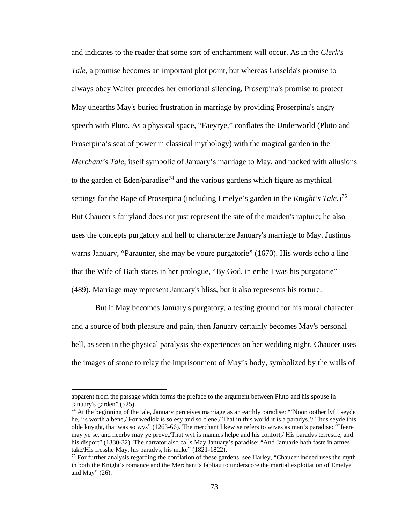and indicates to the reader that some sort of enchantment will occur. As in the *Clerk's Tale*, a promise becomes an important plot point, but whereas Griselda's promise to always obey Walter precedes her emotional silencing, Proserpina's promise to protect May unearths May's buried frustration in marriage by providing Proserpina's angry speech with Pluto. As a physical space, "Faeyrye," conflates the Underworld (Pluto and Proserpina's seat of power in classical mythology) with the magical garden in the *Merchant's Tale*, itself symbolic of January's marriage to May, and packed with allusions to the garden of Eden/paradise<sup>[74](#page-79-0)</sup> and the various gardens which figure as mythical settings for the Rape of Proserpina (including Emelye's garden in the *Knight's Tale.*)[75](#page-79-1) But Chaucer's fairyland does not just represent the site of the maiden's rapture; he also uses the concepts purgatory and hell to characterize January's marriage to May. Justinus warns January, "Paraunter, she may be youre purgatorie" (1670). His words echo a line that the Wife of Bath states in her prologue, "By God, in erthe I was his purgatorie" (489). Marriage may represent January's bliss, but it also represents his torture.

But if May becomes January's purgatory, a testing ground for his moral character and a source of both pleasure and pain, then January certainly becomes May's personal hell, as seen in the physical paralysis she experiences on her wedding night. Chaucer uses the images of stone to relay the imprisonment of May's body, symbolized by the walls of

apparent from the passage which forms the preface to the argument between Pluto and his spouse in January's garden" (525).

<span id="page-79-0"></span><sup>74</sup> At the beginning of the tale, January perceives marriage as an earthly paradise: "'Noon oother lyf,' seyde he, 'is worth a bene,/ For wedlok is so esy and so clene,/ That in this world it is a paradys.'/ Thus seyde this olde knyght, that was so wys" (1263-66). The merchant likewise refers to wives as man's paradise: "Heere may ye se, and heerby may ye preve,/That wyf is mannes helpe and his confort,/ His paradys terrestre, and his disport" (1330-32). The narrator also calls May January's paradise: "And Januarie hath faste in armes take/His fresshe May, his paradys, his make" (1821-1822).

<span id="page-79-1"></span><sup>&</sup>lt;sup>75</sup> For further analysis regarding the conflation of these gardens, see Harley, "Chaucer indeed uses the myth in both the Knight's romance and the Merchant's fabliau to underscore the marital exploitation of Emelye and May" (26).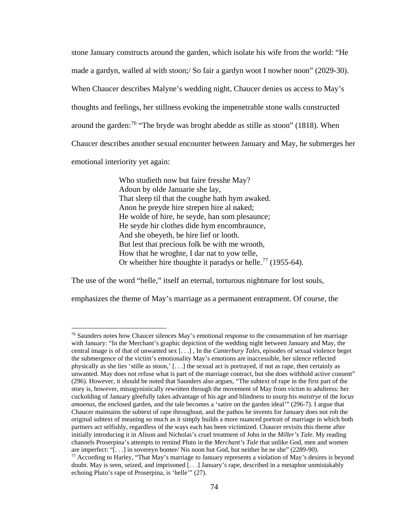stone January constructs around the garden, which isolate his wife from the world: "He made a gardyn, walled al with stoon;/ So fair a gardyn woot I nowher noon" (2029-30). When Chaucer describes Malyne's wedding night, Chaucer denies us access to May's thoughts and feelings, her stillness evoking the impenetrable stone walls constructed around the garden:<sup>[76](#page-80-0)</sup> "The bryde was broght abedde as stille as stoon" (1818). When Chaucer describes another sexual encounter between January and May, he submerges her emotional interiority yet again:

> Who studieth now but faire fresshe May? Adoun by olde Januarie she lay, That sleep til that the coughe hath hym awaked. Anon he preyde hire strepen hire al naked; He wolde of hire, he seyde, han som plesaunce; He seyde hir clothes dide hym encombraunce, And she obeyeth, be hire lief or looth. But lest that precious folk be with me wrooth, How that he wroghte, I dar nat to yow telle, Or wheither hire thoughte it paradys or helle.<sup>[77](#page-80-1)</sup> (1955-64).

The use of the word "helle," itself an eternal, torturous nightmare for lost souls,

l

emphasizes the theme of May's marriage as a permanent entrapment. Of course, the

<span id="page-80-1"></span><span id="page-80-0"></span><sup>&</sup>lt;sup>76</sup> Saunders notes how Chaucer silences May's emotional response to the consummation of her marriage with January: "In the Merchant's graphic depiction of the wedding night between January and May, the central image is of that of unwanted sex [. . .] , In the *Canterbury Tales*, episodes of sexual violence beget the submergence of the victim's emotionality May's emotions are inaccessible, her silence reflected physically as she lies 'stille as stoon,' [. . .] the sexual act is portrayed, if not as rape, then certainly as unwanted. May does not refuse what is part of the marriage contract, but she does withhold active consent" (296). However, it should be noted that Saunders also argues, "The subtext of rape in the first part of the story is, however, misogynistically rewritten through the movement of May from victim to adultress: her cuckolding of January gleefully takes advantage of his age and blindness to usurp his *maistrye* of the *locus amoenus*, the enclosed garden, and the tale becomes a 'satire on the garden ideal'" (296-7). I argue that Chaucer maintains the subtext of rape throughout, and the pathos he invents for January does not rob the original subtext of meaning so much as it simply builds a more nuanced portrait of marriage in which both partners act selfishly, regardless of the ways each has been victimized. Chaucer revisits this theme after initially introducing it in Alison and Nicholas's cruel treatment of John in the *Miller's Tale*. My reading channels Proserpina's attempts to remind Pluto in the *Merchant's Tale* that unlike God, men and women are imperfect: "[...] in sovereyn bontee/ Nis noon but God, but neither he ne she" (2289-90).<br><sup>77</sup> According to Harley, "That May's marriage to January represents a violation of May's desires is beyond doubt. May is seen, seized, and imprisoned [. . .] January's rape, described in a metaphor unmistakably echoing Pluto's rape of Proserpina, is 'helle'" (27).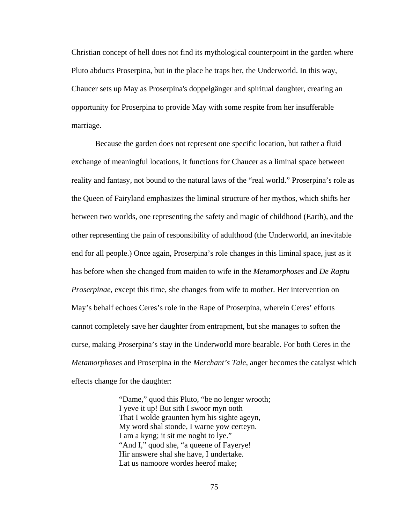Christian concept of hell does not find its mythological counterpoint in the garden where Pluto abducts Proserpina, but in the place he traps her, the Underworld. In this way, Chaucer sets up May as Proserpina's doppelgänger and spiritual daughter, creating an opportunity for Proserpina to provide May with some respite from her insufferable marriage.

Because the garden does not represent one specific location, but rather a fluid exchange of meaningful locations, it functions for Chaucer as a liminal space between reality and fantasy, not bound to the natural laws of the "real world." Proserpina's role as the Queen of Fairyland emphasizes the liminal structure of her mythos, which shifts her between two worlds, one representing the safety and magic of childhood (Earth), and the other representing the pain of responsibility of adulthood (the Underworld, an inevitable end for all people.) Once again, Proserpina's role changes in this liminal space, just as it has before when she changed from maiden to wife in the *Metamorphoses* and *De Raptu Proserpinae*, except this time, she changes from wife to mother. Her intervention on May's behalf echoes Ceres's role in the Rape of Proserpina, wherein Ceres' efforts cannot completely save her daughter from entrapment, but she manages to soften the curse, making Proserpina's stay in the Underworld more bearable. For both Ceres in the *Metamorphoses* and Proserpina in the *Merchant's Tale*, anger becomes the catalyst which effects change for the daughter:

> "Dame," quod this Pluto, "be no lenger wrooth; I yeve it up! But sith I swoor myn ooth That I wolde graunten hym his sighte ageyn, My word shal stonde, I warne yow certeyn. I am a kyng; it sit me noght to lye." "And I," quod she, "a queene of Fayerye! Hir answere shal she have, I undertake. Lat us namoore wordes heerof make;

> > 75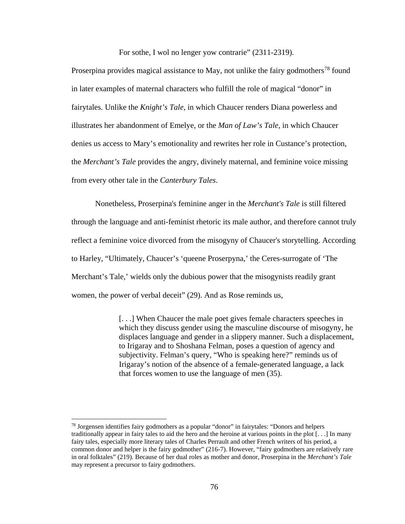For sothe, I wol no lenger yow contrarie" (2311-2319).

Proserpina provides magical assistance to May, not unlike the fairy godmothers<sup>[78](#page-82-0)</sup> found in later examples of maternal characters who fulfill the role of magical "donor" in fairytales. Unlike the *Knight's Tale*, in which Chaucer renders Diana powerless and illustrates her abandonment of Emelye, or the *Man of Law's Tale*, in which Chaucer denies us access to Mary's emotionality and rewrites her role in Custance's protection, the *Merchant's Tale* provides the angry, divinely maternal, and feminine voice missing from every other tale in the *Canterbury Tales*.

Nonetheless, Proserpina's feminine anger in the *Merchant's Tale* is still filtered through the language and anti-feminist rhetoric its male author, and therefore cannot truly reflect a feminine voice divorced from the misogyny of Chaucer's storytelling. According to Harley, "Ultimately, Chaucer's 'queene Proserpyna,' the Ceres-surrogate of 'The Merchant's Tale,' wields only the dubious power that the misogynists readily grant women, the power of verbal deceit" (29). And as Rose reminds us,

> [...] When Chaucer the male poet gives female characters speeches in which they discuss gender using the masculine discourse of misogyny, he displaces language and gender in a slippery manner. Such a displacement, to Irigaray and to Shoshana Felman, poses a question of agency and subjectivity. Felman's query, "Who is speaking here?" reminds us of Irigaray's notion of the absence of a female-generated language, a lack that forces women to use the language of men (35).

<span id="page-82-0"></span><sup>78</sup> Jorgensen identifies fairy godmothers as a popular "donor" in fairytales: "Donors and helpers traditionally appear in fairy tales to aid the hero and the heroine at various points in the plot [. . .] In many fairy tales, especially more literary tales of Charles Perrault and other French writers of his period, a common donor and helper is the fairy godmother" (216-7). However, "fairy godmothers are relatively rare in oral folktales" (219). Because of her dual roles as mother and donor, Proserpina in the *Merchant's Tale* may represent a precursor to fairy godmothers.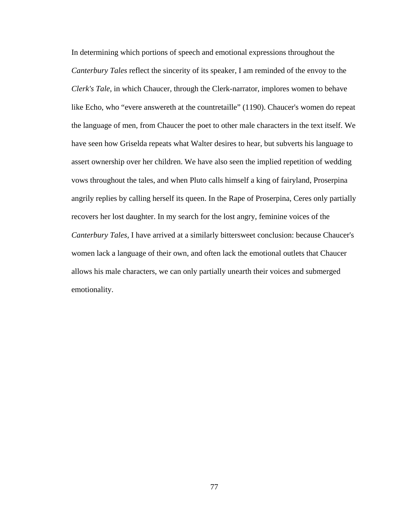In determining which portions of speech and emotional expressions throughout the *Canterbury Tales* reflect the sincerity of its speaker, I am reminded of the envoy to the *Clerk's Tale*, in which Chaucer, through the Clerk-narrator, implores women to behave like Echo, who "evere answereth at the countretaille" (1190). Chaucer's women do repeat the language of men, from Chaucer the poet to other male characters in the text itself. We have seen how Griselda repeats what Walter desires to hear, but subverts his language to assert ownership over her children. We have also seen the implied repetition of wedding vows throughout the tales, and when Pluto calls himself a king of fairyland, Proserpina angrily replies by calling herself its queen. In the Rape of Proserpina, Ceres only partially recovers her lost daughter. In my search for the lost angry, feminine voices of the *Canterbury Tales*, I have arrived at a similarly bittersweet conclusion: because Chaucer's women lack a language of their own, and often lack the emotional outlets that Chaucer allows his male characters, we can only partially unearth their voices and submerged emotionality.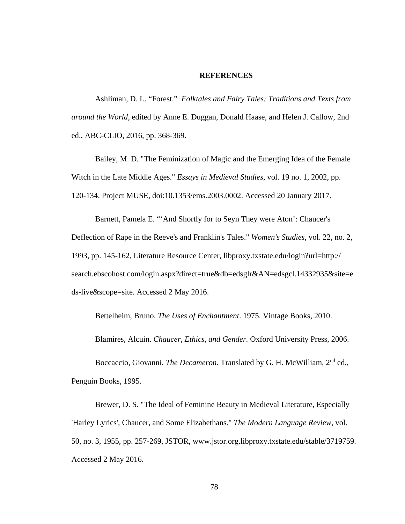## **REFERENCES**

Ashliman, D. L. "Forest." *Folktales and Fairy Tales: Traditions and Texts from around the World*, edited by Anne E. Duggan, Donald Haase, and Helen J. Callow, 2nd ed., ABC-CLIO, 2016, pp. 368-369.

Bailey, M. D. "The Feminization of Magic and the Emerging Idea of the Female Witch in the Late Middle Ages." *Essays in Medieval Studies*, vol. 19 no. 1, 2002, pp. 120-134. Project MUSE, doi:10.1353/ems.2003.0002. Accessed 20 January 2017.

Barnett, Pamela E. "'And Shortly for to Seyn They were Aton': Chaucer's Deflection of Rape in the Reeve's and Franklin's Tales." *Women's Studies*, vol. 22, no. 2, 1993, pp. 145-162, Literature Resource Center, [libproxy.txstate.edu/login?url=http://](http://libproxy.txstate.edu/login?url=http://search.ebscohost.com/login.aspx?direct=true&db=edsglr&AN=edsgcl.14332935&site=eds-live&scope=site) [search.ebscohost.com/login.aspx?direct=true&db=edsglr&AN=edsgcl.14332935&site=e](http://libproxy.txstate.edu/login?url=http://search.ebscohost.com/login.aspx?direct=true&db=edsglr&AN=edsgcl.14332935&site=eds-live&scope=site) [ds-live&scope=site.](http://libproxy.txstate.edu/login?url=http://search.ebscohost.com/login.aspx?direct=true&db=edsglr&AN=edsgcl.14332935&site=eds-live&scope=site) Accessed 2 May 2016.

Bettelheim, Bruno. *The Uses of Enchantment*. 1975. Vintage Books, 2010.

Blamires, Alcuin. *Chaucer, Ethics, and Gender.* Oxford University Press, 2006.

Boccaccio, Giovanni. *The Decameron*. Translated by G. H. McWilliam, 2nd ed., Penguin Books, 1995.

Brewer, D. S. "The Ideal of Feminine Beauty in Medieval Literature, Especially 'Harley Lyrics', Chaucer, and Some Elizabethans." *The Modern Language Review*, vol. 50, no. 3, 1955, pp. 257-269, JSTOR, [www.jstor.org.libproxy.txstate.edu/stable/3719759.](http://www.jstor.org.libproxy.txstate.edu/stable/3719759) Accessed 2 May 2016.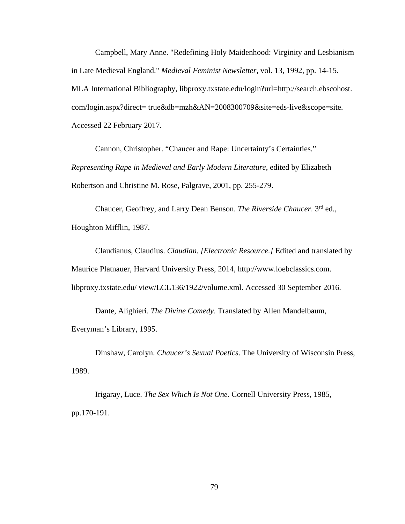Campbell, Mary Anne. "Redefining Holy Maidenhood: Virginity and Lesbianism in Late Medieval England." *Medieval Feminist Newsletter*, vol. 13, 1992, pp. 14-15. MLA International Bibliography, libproxy.txstate.edu/login?url=http://search.ebscohost. com/login.aspx?direct= true&db=mzh&AN=2008300709&site=eds-live&scope=site. Accessed 22 February 2017.

Cannon, Christopher. "Chaucer and Rape: Uncertainty's Certainties." *Representing Rape in Medieval and Early Modern Literature*, edited by Elizabeth Robertson and Christine M. Rose, Palgrave, 2001, pp. 255-279.

Chaucer, Geoffrey, and Larry Dean Benson. *The Riverside Chaucer*. 3rd ed., Houghton Mifflin, 1987.

Claudianus, Claudius. *Claudian. [Electronic Resource.]* Edited and translated by Maurice Platnauer, Harvard University Press, 2014, http://www.loebclassics.com. libproxy.txstate.edu/ view/LCL136/1922/volume.xml. Accessed 30 September 2016.

Dante, Alighieri. *The Divine Comedy*. Translated by Allen Mandelbaum, Everyman's Library, 1995.

Dinshaw, Carolyn. *Chaucer's Sexual Poetics*. The University of Wisconsin Press, 1989.

Irigaray, Luce. *The Sex Which Is Not One*. Cornell University Press, 1985, pp.170-191.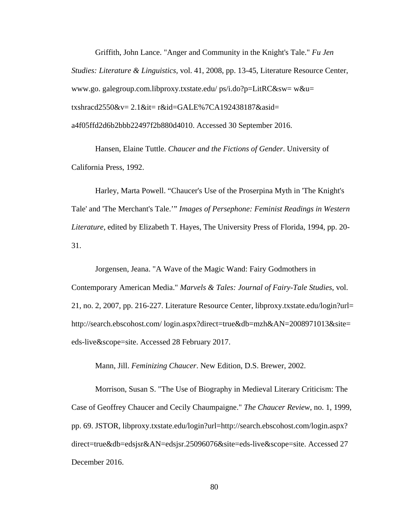Griffith, John Lance. "Anger and Community in the Knight's Tale." *Fu Jen Studies: Literature & Linguistics,* vol. 41, 2008, pp. 13-45, Literature Resource Center, www.go. galegroup.com.libproxy.txstate.edu/ ps/i.do?p=LitRC&sw= w&u= txshracd2550&v= 2.1&it= r&id=GALE%7CA192438187&asid= a4f05ffd2d6b2bbb22497f2b880d4010. Accessed 30 September 2016.

Hansen, Elaine Tuttle. *Chaucer and the Fictions of Gender*. University of California Press, 1992.

Harley, Marta Powell. "Chaucer's Use of the Proserpina Myth in 'The Knight's Tale' and 'The Merchant's Tale.'" *Images of Persephone: Feminist Readings in Western Literature*, edited by Elizabeth T. Hayes, The University Press of Florida, 1994, pp. 20- 31.

Jorgensen, Jeana. "A Wave of the Magic Wand: Fairy Godmothers in Contemporary American Media." *Marvels & Tales: Journal of Fairy-Tale Studies*, vol. 21, no. 2, 2007, pp. 216-227. Literature Resource Center, libproxy.txstate.edu/login?url= http://search.ebscohost.com/ login.aspx?direct=true&db=mzh&AN=2008971013&site= eds-live&scope=site. Accessed 28 February 2017.

Mann, Jill. *Feminizing Chaucer*. New Edition, D.S. Brewer, 2002.

Morrison, Susan S. "The Use of Biography in Medieval Literary Criticism: The Case of Geoffrey Chaucer and Cecily Chaumpaigne." *The Chaucer Review*, no. 1, 1999, pp. 69. JSTOR, libproxy.txstate.edu/login?url=http://search.ebscohost.com/login.aspx? direct=true&db=edsjsr&AN=edsjsr.25096076&site=eds-live&scope=site. Accessed 27 December 2016.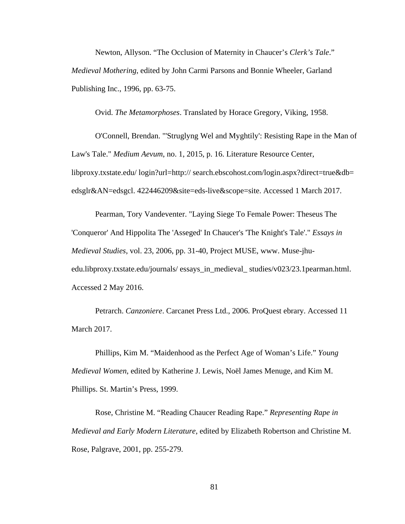Newton, Allyson. "The Occlusion of Maternity in Chaucer's *Clerk's Tale*." *Medieval Mothering*, edited by John Carmi Parsons and Bonnie Wheeler, Garland Publishing Inc., 1996, pp. 63-75.

Ovid. *The Metamorphoses*. Translated by Horace Gregory, Viking, 1958.

O'Connell, Brendan. "'Struglyng Wel and Myghtily': Resisting Rape in the Man of Law's Tale." *Medium Aevum*, no. 1, 2015, p. 16. Literature Resource Center, libproxy.txstate.edu/ login?url=http:// search.ebscohost.com/login.aspx?direct=true&db= edsglr&AN=edsgcl. 422446209&site=eds-live&scope=site. Accessed 1 March 2017.

Pearman, Tory Vandeventer. "Laying Siege To Female Power: Theseus The 'Conqueror' And Hippolita The 'Asseged' In Chaucer's 'The Knight's Tale'." *Essays in Medieval Studies*, vol. 23, 2006, pp. 31-40, Project MUSE, [www. Muse-jhu](https://muse-jhu-edu.libproxy.txstate.edu/journals/essays_in_medieval_studies/v023/23.1pearman.html)[edu.libproxy.txstate.edu/journals/ essays\\_in\\_medieval\\_ studies/v023/23.1pearman.html.](https://muse-jhu-edu.libproxy.txstate.edu/journals/essays_in_medieval_studies/v023/23.1pearman.html) Accessed 2 May 2016.

Petrarch. *Canzoniere*. Carcanet Press Ltd., 2006. ProQuest ebrary. Accessed 11 March 2017.

Phillips, Kim M. "Maidenhood as the Perfect Age of Woman's Life." *Young Medieval Women*, edited by Katherine J. Lewis, Noël James Menuge, and Kim M. Phillips. St. Martin's Press, 1999.

Rose, Christine M. "Reading Chaucer Reading Rape." *Representing Rape in Medieval and Early Modern Literature*, edited by Elizabeth Robertson and Christine M. Rose, Palgrave, 2001, pp. 255-279.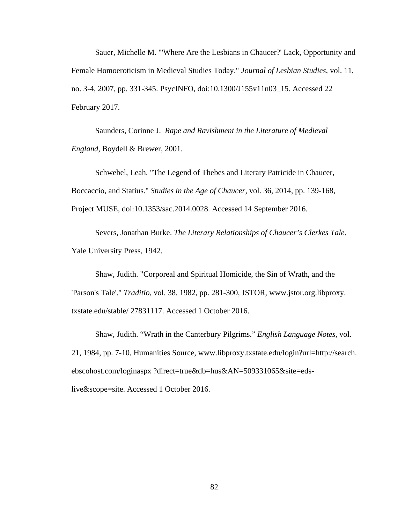Sauer, Michelle M. "'Where Are the Lesbians in Chaucer?' Lack, Opportunity and Female Homoeroticism in Medieval Studies Today." *Journal of Lesbian Studies*, vol. 11, no. 3-4, 2007, pp. 331-345. PsycINFO, doi:10.1300/J155v11n03\_15. Accessed 22 February 2017.

Saunders, Corinne J. *Rape and Ravishment in the Literature of Medieval England*, Boydell & Brewer, 2001.

Schwebel, Leah. "The Legend of Thebes and Literary Patricide in Chaucer, Boccaccio, and Statius." *Studies in the Age of Chaucer*, vol. 36, 2014, pp. 139-168, Project MUSE, doi:10.1353/sac.2014.0028. Accessed 14 September 2016.

Severs, Jonathan Burke. *The Literary Relationships of Chaucer's Clerkes Tale*. Yale University Press, 1942.

Shaw, Judith. "Corporeal and Spiritual Homicide, the Sin of Wrath, and the 'Parson's Tale'." *Traditio*, vol. 38, 1982, pp. 281-300, JSTOR, www.jstor.org.libproxy. txstate.edu/stable/ 27831117. Accessed 1 October 2016.

Shaw, Judith. "Wrath in the Canterbury Pilgrims." *English Language Notes*, vol. 21, 1984, pp. 7-10, Humanities Source, www[.libproxy.txstate.edu/login?url=http://search.](http://libproxy.txstate.edu/login?url=http://search.ebscohost.com/login.aspx?direct=true&db=hus&AN=509331065&site=eds-live&scope=site)  [ebscohost.com/loginaspx ?direct=true&db=hus&AN=509331065&site=eds](http://libproxy.txstate.edu/login?url=http://search.ebscohost.com/login.aspx?direct=true&db=hus&AN=509331065&site=eds-live&scope=site)[live&scope=site.](http://libproxy.txstate.edu/login?url=http://search.ebscohost.com/login.aspx?direct=true&db=hus&AN=509331065&site=eds-live&scope=site) Accessed 1 October 2016.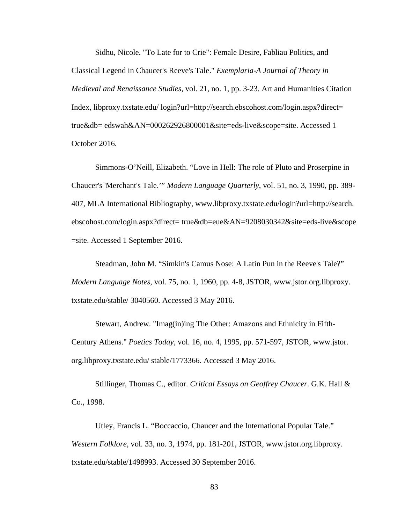Sidhu, Nicole. "To Late for to Crie": Female Desire, Fabliau Politics, and Classical Legend in Chaucer's Reeve's Tale." *Exemplaria-A Journal of Theory in Medieval and Renaissance Studies*, vol. 21, no. 1, pp. 3-23. Art and Humanities Citation Index, libproxy.txstate.edu/ login?url=http://search.ebscohost.com/login.aspx?direct= true&db= edswah&AN=000262926800001&site=eds-live&scope=site. Accessed 1 October 2016.

Simmons-O'Neill, Elizabeth. "Love in Hell: The role of Pluto and Proserpine in Chaucer's 'Merchant's Tale.'" *Modern Language Quarterly*, vol. 51, no. 3, 1990, pp. 389- 407, MLA International Bibliography, [www.libproxy.txstate.edu/login?url=http://search.](http://www.libproxy.txstate.edu/login?url=http://search.%20ebscohost.com/login.aspx?direct)  [ebscohost.com/login.aspx?direct=](http://www.libproxy.txstate.edu/login?url=http://search.%20ebscohost.com/login.aspx?direct) true&db=eue&AN=9208030342&site=eds-live&scope =site. Accessed 1 September 2016.

Steadman, John M. "Simkin's Camus Nose: A Latin Pun in the Reeve's Tale?" *Modern Language Notes*, vol. 75, no. 1, 1960, pp. 4-8, JSTOR, www.jstor.org.libproxy. txstate.edu/stable/ 3040560. Accessed 3 May 2016.

Stewart, Andrew. "Imag(in)ing The Other: Amazons and Ethnicity in Fifth-Century Athens." *Poetics Today*, vol. 16, no. 4, 1995, pp. 571-597, JSTOR, www.jstor. org.libproxy.txstate.edu/ stable/1773366. Accessed 3 May 2016.

Stillinger, Thomas C., editor. *Critical Essays on Geoffrey Chaucer*. G.K. Hall & Co., 1998.

Utley, Francis L. "Boccaccio, Chaucer and the International Popular Tale." *Western Folklore*, vol. 33, no. 3, 1974, pp. 181-201, JSTOR, www.jstor.org.libproxy. txstate.edu/stable/1498993. Accessed 30 September 2016.